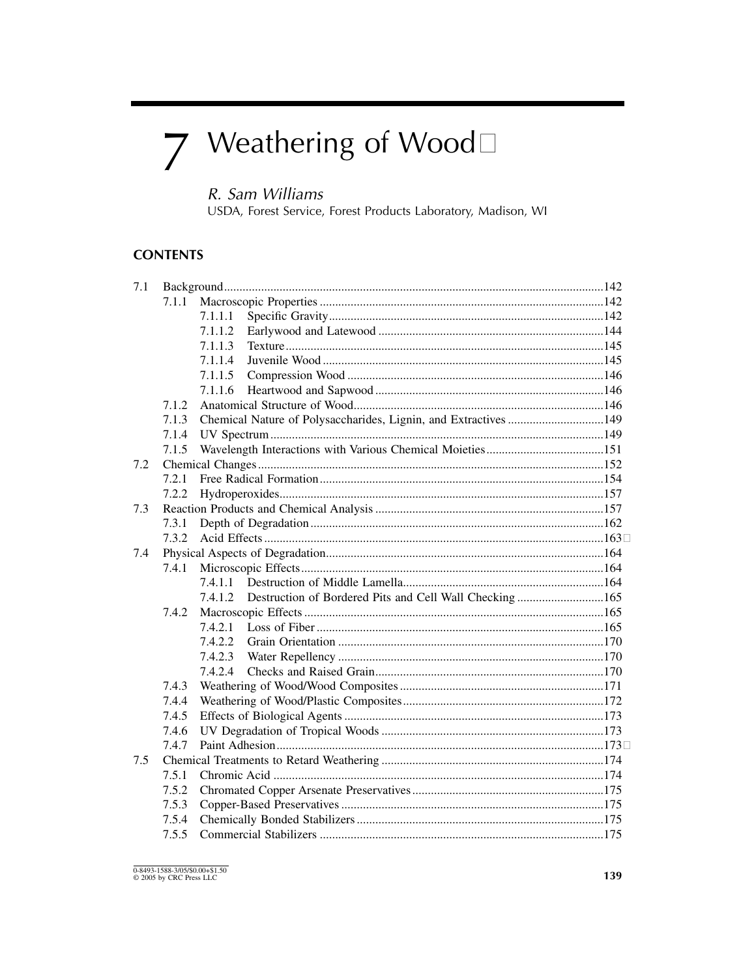# 7 Weathering of Wood□

# R. Sam Williams

USDA, Forest Service, Forest Products Laboratory, Madison, WI

## **CONTENTS**

| 7.1 |       |                                                                   |  |  |  |  |  |
|-----|-------|-------------------------------------------------------------------|--|--|--|--|--|
|     | 7.1.1 |                                                                   |  |  |  |  |  |
|     |       | 7.1.1.1                                                           |  |  |  |  |  |
|     |       | 7.1.1.2                                                           |  |  |  |  |  |
|     |       | 7.1.1.3                                                           |  |  |  |  |  |
|     |       | 7.1.1.4                                                           |  |  |  |  |  |
|     |       | 7.1.1.5                                                           |  |  |  |  |  |
|     |       | 7.1.1.6                                                           |  |  |  |  |  |
|     | 7.1.2 |                                                                   |  |  |  |  |  |
|     | 7.1.3 | Chemical Nature of Polysaccharides, Lignin, and Extractives 149   |  |  |  |  |  |
|     | 7.1.4 |                                                                   |  |  |  |  |  |
|     | 7.1.5 |                                                                   |  |  |  |  |  |
| 7.2 |       |                                                                   |  |  |  |  |  |
|     | 7.2.1 |                                                                   |  |  |  |  |  |
|     | 7.2.2 |                                                                   |  |  |  |  |  |
| 7.3 |       |                                                                   |  |  |  |  |  |
|     | 7.3.1 |                                                                   |  |  |  |  |  |
|     | 7.3.2 |                                                                   |  |  |  |  |  |
| 7.4 |       |                                                                   |  |  |  |  |  |
|     | 7.4.1 |                                                                   |  |  |  |  |  |
|     |       | 7.4.1.1                                                           |  |  |  |  |  |
|     |       | Destruction of Bordered Pits and Cell Wall Checking165<br>7.4.1.2 |  |  |  |  |  |
|     | 7.4.2 |                                                                   |  |  |  |  |  |
|     |       | 7.4.2.1                                                           |  |  |  |  |  |
|     |       | 7.4.2.2                                                           |  |  |  |  |  |
|     |       | 7.4.2.3                                                           |  |  |  |  |  |
|     |       | 7.4.2.4                                                           |  |  |  |  |  |
|     | 7.4.3 |                                                                   |  |  |  |  |  |
|     | 7.4.4 |                                                                   |  |  |  |  |  |
|     | 7.4.5 |                                                                   |  |  |  |  |  |
|     | 7.4.6 |                                                                   |  |  |  |  |  |
|     | 7.4.7 |                                                                   |  |  |  |  |  |
| 7.5 |       |                                                                   |  |  |  |  |  |
|     | 7.5.1 |                                                                   |  |  |  |  |  |
|     | 7.5.2 |                                                                   |  |  |  |  |  |
|     | 7.5.3 |                                                                   |  |  |  |  |  |
|     | 7.5.4 |                                                                   |  |  |  |  |  |
|     | 7.5.5 |                                                                   |  |  |  |  |  |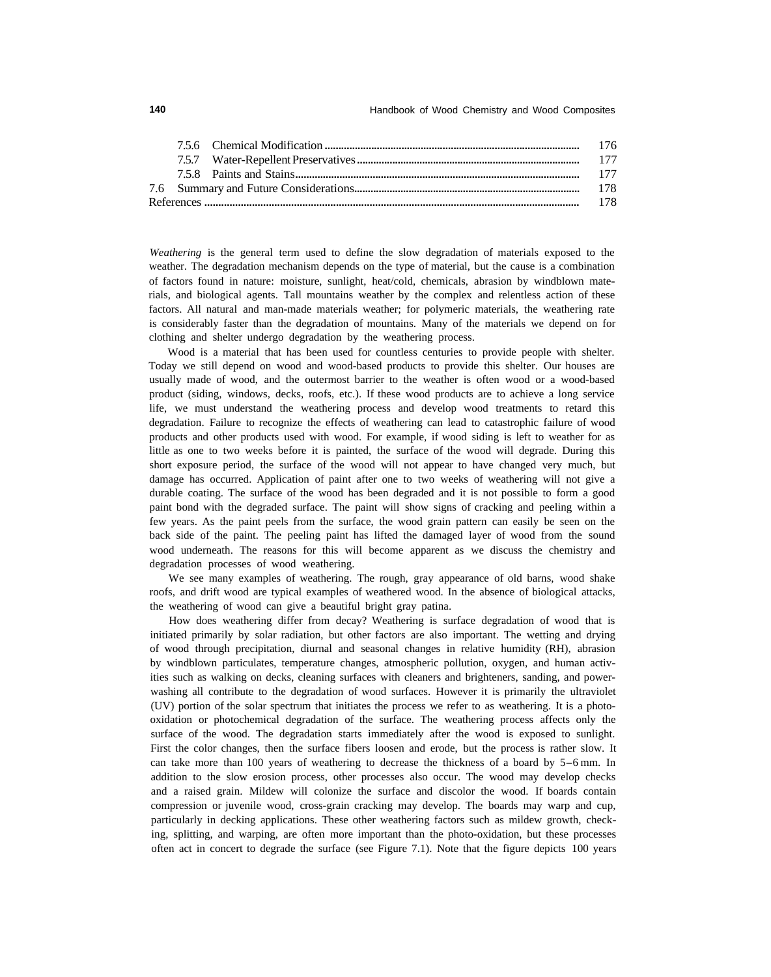#### **140** Handbook of Wood Chemistry and Wood Composites

*Weathering* is the general term used to define the slow degradation of materials exposed to the weather. The degradation mechanism depends on the type of material, but the cause is a combination of factors found in nature: moisture, sunlight, heat/cold, chemicals, abrasion by windblown materials, and biological agents. Tall mountains weather by the complex and relentless action of these factors. All natural and man-made materials weather; for polymeric materials, the weathering rate is considerably faster than the degradation of mountains. Many of the materials we depend on for clothing and shelter undergo degradation by the weathering process.

Wood is a material that has been used for countless centuries to provide people with shelter. Today we still depend on wood and wood-based products to provide this shelter. Our houses are usually made of wood, and the outermost barrier to the weather is often wood or a wood-based product (siding, windows, decks, roofs, etc.). If these wood products are to achieve a long service life, we must understand the weathering process and develop wood treatments to retard this degradation. Failure to recognize the effects of weathering can lead to catastrophic failure of wood products and other products used with wood. For example, if wood siding is left to weather for as little as one to two weeks before it is painted, the surface of the wood will degrade. During this short exposure period, the surface of the wood will not appear to have changed very much, but damage has occurred. Application of paint after one to two weeks of weathering will not give a durable coating. The surface of the wood has been degraded and it is not possible to form a good paint bond with the degraded surface. The paint will show signs of cracking and peeling within a few years. As the paint peels from the surface, the wood grain pattern can easily be seen on the back side of the paint. The peeling paint has lifted the damaged layer of wood from the sound wood underneath. The reasons for this will become apparent as we discuss the chemistry and degradation processes of wood weathering.

We see many examples of weathering. The rough, gray appearance of old barns, wood shake roofs, and drift wood are typical examples of weathered wood. In the absence of biological attacks, the weathering of wood can give a beautiful bright gray patina.

How does weathering differ from decay? Weathering is surface degradation of wood that is initiated primarily by solar radiation, but other factors are also important. The wetting and drying of wood through precipitation, diurnal and seasonal changes in relative humidity (RH), abrasion by windblown particulates, temperature changes, atmospheric pollution, oxygen, and human activities such as walking on decks, cleaning surfaces with cleaners and brighteners, sanding, and powerwashing all contribute to the degradation of wood surfaces. However it is primarily the ultraviolet (UV) portion of the solar spectrum that initiates the process we refer to as weathering. It is a photooxidation or photochemical degradation of the surface. The weathering process affects only the surface of the wood. The degradation starts immediately after the wood is exposed to sunlight. First the color changes, then the surface fibers loosen and erode, but the process is rather slow. It can take more than 100 years of weathering to decrease the thickness of a board by 5-6 mm. In addition to the slow erosion process, other processes also occur. The wood may develop checks and a raised grain. Mildew will colonize the surface and discolor the wood. If boards contain compression or juvenile wood, cross-grain cracking may develop. The boards may warp and cup, particularly in decking applications. These other weathering factors such as mildew growth, checking, splitting, and warping, are often more important than the photo-oxidation, but these processes often act in concert to degrade the surface (see Figure 7.1). Note that the figure depicts 100 years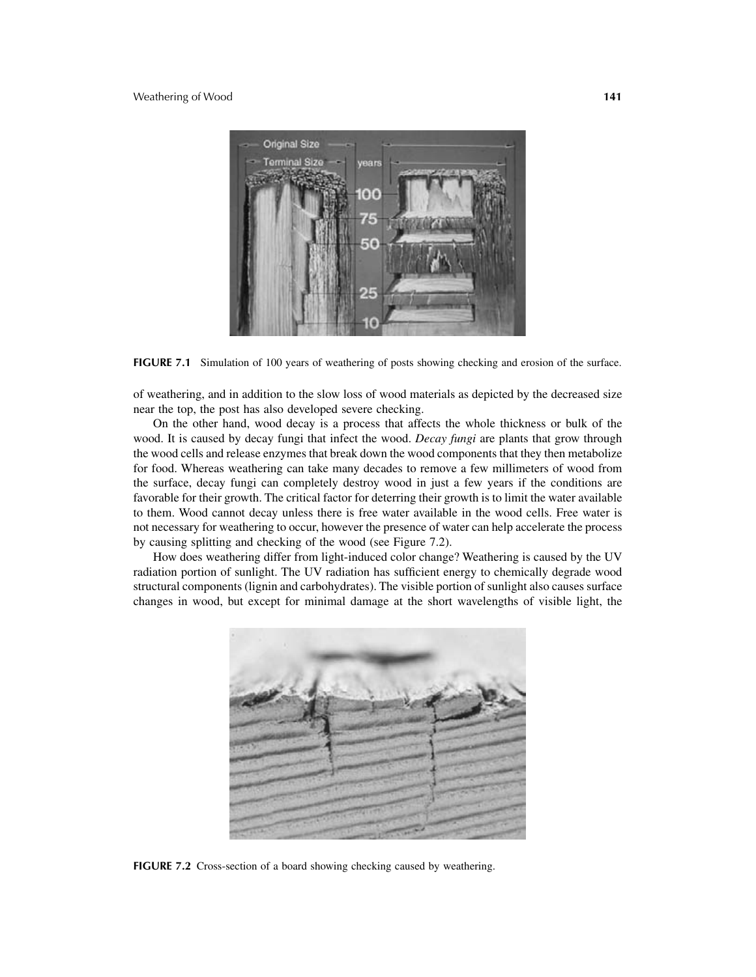

**FIGURE 7.1** Simulation of 100 years of weathering of posts showing checking and erosion of the surface.

of weathering, and in addition to the slow loss of wood materials as depicted by the decreased size near the top, the post has also developed severe checking.

On the other hand, wood decay is a process that affects the whole thickness or bulk of the wood. It is caused by decay fungi that infect the wood. *Decay fungi* are plants that grow through the wood cells and release enzymes that break down the wood components that they then metabolize for food. Whereas weathering can take many decades to remove a few millimeters of wood from the surface, decay fungi can completely destroy wood in just a few years if the conditions are favorable for their growth. The critical factor for deterring their growth is to limit the water available to them. Wood cannot decay unless there is free water available in the wood cells. Free water is not necessary for weathering to occur, however the presence of water can help accelerate the process by causing splitting and checking of the wood (see Figure 7.2).

How does weathering differ from light-induced color change? Weathering is caused by the UV radiation portion of sunlight. The UV radiation has sufficient energy to chemically degrade wood structural components (lignin and carbohydrates). The visible portion of sunlight also causes surface changes in wood, but except for minimal damage at the short wavelengths of visible light, the



**FIGURE 7.2** Cross-section of a board showing checking caused by weathering.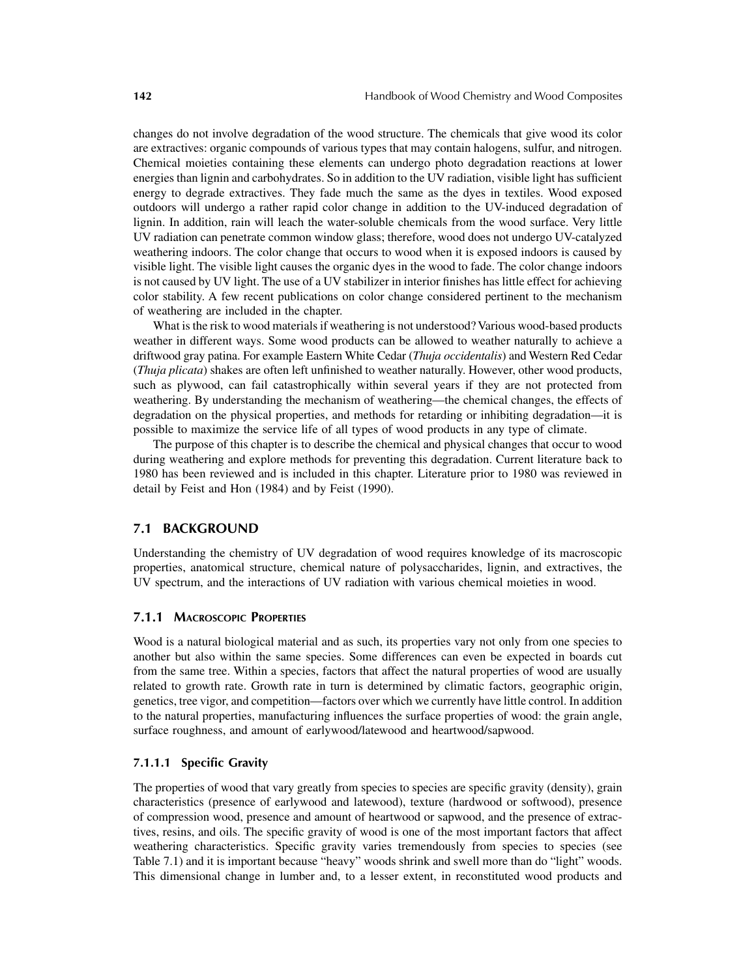changes do not involve degradation of the wood structure. The chemicals that give wood its color are extractives: organic compounds of various types that may contain halogens, sulfur, and nitrogen. Chemical moieties containing these elements can undergo photo degradation reactions at lower energies than lignin and carbohydrates. So in addition to the UV radiation, visible light has sufficient energy to degrade extractives. They fade much the same as the dyes in textiles. Wood exposed outdoors will undergo a rather rapid color change in addition to the UV-induced degradation of lignin. In addition, rain will leach the water-soluble chemicals from the wood surface. Very little UV radiation can penetrate common window glass; therefore, wood does not undergo UV-catalyzed weathering indoors. The color change that occurs to wood when it is exposed indoors is caused by visible light. The visible light causes the organic dyes in the wood to fade. The color change indoors is not caused by UV light. The use of a UV stabilizer in interior finishes has little effect for achieving color stability. A few recent publications on color change considered pertinent to the mechanism of weathering are included in the chapter.

What is the risk to wood materials if weathering is not understood? Various wood-based products weather in different ways. Some wood products can be allowed to weather naturally to achieve a driftwood gray patina. For example Eastern White Cedar (*Thuja occidentalis*) and Western Red Cedar (*Thuja plicata*) shakes are often left unfinished to weather naturally. However, other wood products, such as plywood, can fail catastrophically within several years if they are not protected from weathering. By understanding the mechanism of weathering—the chemical changes, the effects of degradation on the physical properties, and methods for retarding or inhibiting degradation—it is possible to maximize the service life of all types of wood products in any type of climate.

The purpose of this chapter is to describe the chemical and physical changes that occur to wood during weathering and explore methods for preventing this degradation. Current literature back to 1980 has been reviewed and is included in this chapter. Literature prior to 1980 was reviewed in detail by Feist and Hon (1984) and by Feist (1990).

## **7.1 BACKGROUND**

Understanding the chemistry of UV degradation of wood requires knowledge of its macroscopic properties, anatomical structure, chemical nature of polysaccharides, lignin, and extractives, the UV spectrum, and the interactions of UV radiation with various chemical moieties in wood.

## **7.1.1 MACROSCOPIC PROPERTIES**

Wood is a natural biological material and as such, its properties vary not only from one species to another but also within the same species. Some differences can even be expected in boards cut from the same tree. Within a species, factors that affect the natural properties of wood are usually related to growth rate. Growth rate in turn is determined by climatic factors, geographic origin, genetics, tree vigor, and competition—factors over which we currently have little control. In addition to the natural properties, manufacturing influences the surface properties of wood: the grain angle, surface roughness, and amount of earlywood/latewood and heartwood/sapwood.

### **7.1.1.1 Specific Gravity**

The properties of wood that vary greatly from species to species are specific gravity (density), grain characteristics (presence of earlywood and latewood), texture (hardwood or softwood), presence of compression wood, presence and amount of heartwood or sapwood, and the presence of extractives, resins, and oils. The specific gravity of wood is one of the most important factors that affect weathering characteristics. Specific gravity varies tremendously from species to species (see Table 7.1) and it is important because "heavy" woods shrink and swell more than do "light" woods. This dimensional change in lumber and, to a lesser extent, in reconstituted wood products and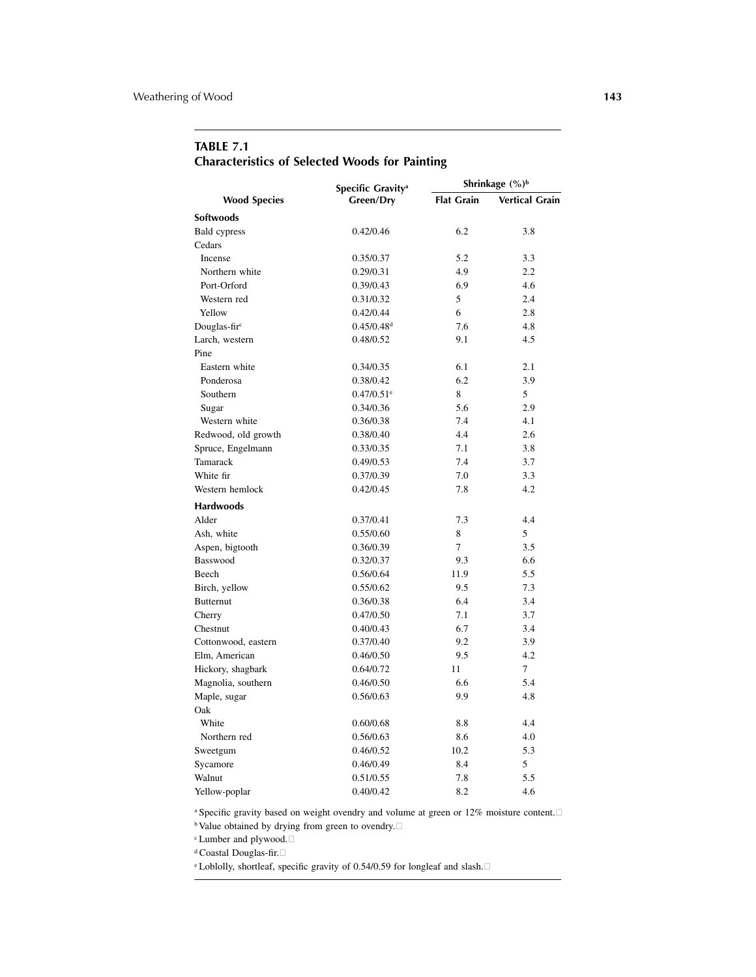## **TABLE 7.1 Characteristics of Selected Woods for Painting**

|                          | Specific Gravity <sup>a</sup> | Shrinkage (%) <sup>b</sup> |                       |  |  |
|--------------------------|-------------------------------|----------------------------|-----------------------|--|--|
| <b>Wood Species</b>      | Green/Dry                     | <b>Flat Grain</b>          | <b>Vertical Grain</b> |  |  |
| Softwoods                |                               |                            |                       |  |  |
| <b>Bald</b> cypress      | 0.42/0.46                     | 6.2                        | 3.8                   |  |  |
| Cedars                   |                               |                            |                       |  |  |
| Incense                  | 0.35/0.37                     | 5.2                        | 3.3                   |  |  |
| Northern white           | 0.29/0.31                     | 4.9                        | 2.2                   |  |  |
| Port-Orford              | 0.39/0.43                     | 6.9                        | 4.6                   |  |  |
| Western red              | 0.31/0.32                     | 5                          | 2.4                   |  |  |
| Yellow                   | 0.42/0.44                     | 6                          | 2.8                   |  |  |
| Douglas-fir <sup>c</sup> | $0.45/0.48$ <sup>d</sup>      | 7.6                        | 4.8                   |  |  |
| Larch, western           | 0.48/0.52                     | 9.1                        | 4.5                   |  |  |
| Pine                     |                               |                            |                       |  |  |
| Eastern white            | 0.34/0.35                     | 6.1                        | 2.1                   |  |  |
| Ponderosa                | 0.38/0.42                     | 6.2                        | 3.9                   |  |  |
| Southern                 | $0.47/0.51$ <sup>e</sup>      | 8                          | 5                     |  |  |
| Sugar                    | 0.34/0.36                     | 5.6                        | 2.9                   |  |  |
| Western white            | 0.36/0.38                     | 7.4                        | 4.1                   |  |  |
| Redwood, old growth      | 0.38/0.40                     | 4.4                        | 2.6                   |  |  |
| Spruce, Engelmann        | 0.33/0.35                     | 7.1                        | 3.8                   |  |  |
| Tamarack                 | 0.49/0.53                     | 7.4                        | 3.7                   |  |  |
| White fir                | 0.37/0.39                     | 7.0                        | 3.3                   |  |  |
| Western hemlock          | 0.42/0.45                     | 7.8                        | 4.2                   |  |  |
| <b>Hardwoods</b>         |                               |                            |                       |  |  |
| Alder                    | 0.37/0.41                     | 7.3                        | 4.4                   |  |  |
| Ash, white               | 0.55/0.60                     | 8                          | 5                     |  |  |
| Aspen, bigtooth          | 0.36/0.39                     | 7                          | 3.5                   |  |  |
| Basswood                 | 0.32/0.37                     | 9.3                        | 6.6                   |  |  |
| <b>Beech</b>             | 0.56/0.64                     | 11.9                       | 5.5                   |  |  |
| Birch, yellow            | 0.55/0.62                     | 9.5                        | 7.3                   |  |  |
| <b>Butternut</b>         | 0.36/0.38                     | 6.4                        | 3.4                   |  |  |
| Cherry                   | 0.47/0.50                     | 7.1                        | 3.7                   |  |  |
| Chestnut                 | 0.40/0.43                     | 6.7                        | 3.4                   |  |  |
| Cottonwood, eastern      | 0.37/0.40                     | 9.2                        | 3.9                   |  |  |
| Elm, American            | 0.46/0.50                     | 9.5                        | 4.2                   |  |  |
| Hickory, shagbark        | 0.64/0.72                     | 11                         | $\overline{7}$        |  |  |
| Magnolia, southern       | 0.46/0.50                     | 6.6                        | 5.4                   |  |  |
| Maple, sugar             | 0.56/0.63                     | 9.9                        | 4.8                   |  |  |
| Oak                      |                               |                            |                       |  |  |
| White                    | 0.60/0.68                     | 8.8                        | 4.4                   |  |  |
| Northern red             | 0.56/0.63                     | 8.6                        | 4.0                   |  |  |
| Sweetgum                 | 0.46/0.52                     | 10.2                       | 5.3                   |  |  |
| Sycamore                 | 0.46/0.49                     | 8.4                        | 5                     |  |  |
| Walnut                   | 0.51/0.55                     | 7.8                        | 5.5                   |  |  |
| Yellow-poplar            | 0.40/0.42                     | 8.2                        | 4.6                   |  |  |

a Specific gravity based on weight ovendry and volume at green or 12% moisture content.<sup> $□$ </sup>

**b** Value obtained by drying from green to ovendry. $\Box$ 

 $c$  Lumber and plywood.  $\Box$ 

 $^{\text{d}}$  Coastal Douglas-fir.  $\Box$ 

<sup>e</sup> Loblolly, shortleaf, specific gravity of 0.54/0.59 for longleaf and slash.□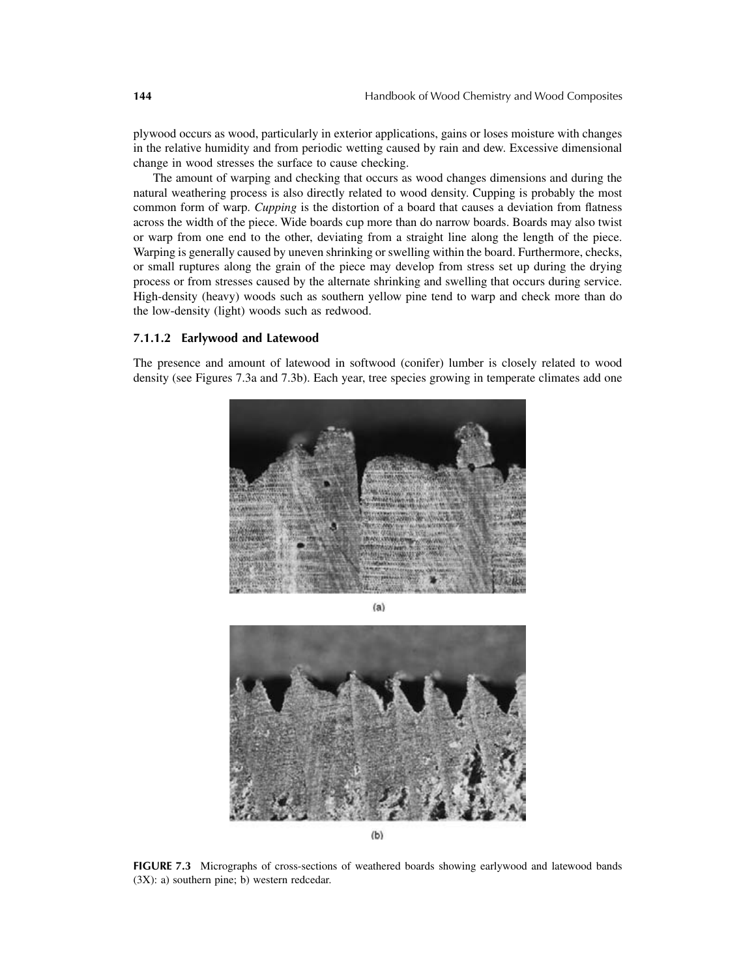plywood occurs as wood, particularly in exterior applications, gains or loses moisture with changes in the relative humidity and from periodic wetting caused by rain and dew. Excessive dimensional change in wood stresses the surface to cause checking.

The amount of warping and checking that occurs as wood changes dimensions and during the natural weathering process is also directly related to wood density. Cupping is probably the most common form of warp. *Cupping* is the distortion of a board that causes a deviation from flatness across the width of the piece. Wide boards cup more than do narrow boards. Boards may also twist or warp from one end to the other, deviating from a straight line along the length of the piece. Warping is generally caused by uneven shrinking or swelling within the board. Furthermore, checks, or small ruptures along the grain of the piece may develop from stress set up during the drying process or from stresses caused by the alternate shrinking and swelling that occurs during service. High-density (heavy) woods such as southern yellow pine tend to warp and check more than do the low-density (light) woods such as redwood.

#### **7.1.1.2 Earlywood and Latewood**

The presence and amount of latewood in softwood (conifer) lumber is closely related to wood density (see Figures 7.3a and 7.3b). Each year, tree species growing in temperate climates add one



 $(a)$ 



**FIGURE 7.3** Micrographs of cross-sections of weathered boards showing earlywood and latewood bands (3X): a) southern pine; b) western redcedar.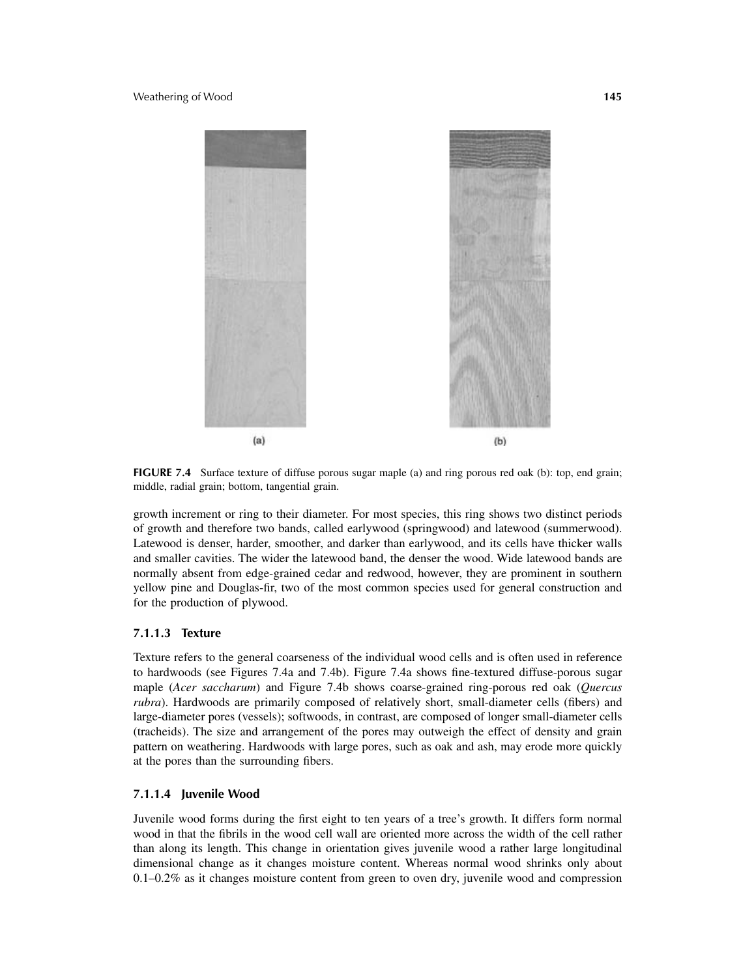Weathering of Wood **145** 



**FIGURE 7.4** Surface texture of diffuse porous sugar maple (a) and ring porous red oak (b): top, end grain; middle, radial grain; bottom, tangential grain.

growth increment or ring to their diameter. For most species, this ring shows two distinct periods of growth and therefore two bands, called earlywood (springwood) and latewood (summerwood). Latewood is denser, harder, smoother, and darker than earlywood, and its cells have thicker walls and smaller cavities. The wider the latewood band, the denser the wood. Wide latewood bands are normally absent from edge-grained cedar and redwood, however, they are prominent in southern yellow pine and Douglas-fir, two of the most common species used for general construction and for the production of plywood.

#### **7.1.1.3 Texture**

Texture refers to the general coarseness of the individual wood cells and is often used in reference to hardwoods (see Figures 7.4a and 7.4b). Figure 7.4a shows fine-textured diffuse-porous sugar maple (*Acer saccharum*) and Figure 7.4b shows coarse-grained ring-porous red oak (*Quercus rubra*). Hardwoods are primarily composed of relatively short, small-diameter cells (fibers) and large-diameter pores (vessels); softwoods, in contrast, are composed of longer small-diameter cells (tracheids). The size and arrangement of the pores may outweigh the effect of density and grain pattern on weathering. Hardwoods with large pores, such as oak and ash, may erode more quickly at the pores than the surrounding fibers.

## **7.1.1.4 Juvenile Wood**

Juvenile wood forms during the first eight to ten years of a tree's growth. It differs form normal wood in that the fibrils in the wood cell wall are oriented more across the width of the cell rather than along its length. This change in orientation gives juvenile wood a rather large longitudinal dimensional change as it changes moisture content. Whereas normal wood shrinks only about 0.1–0.2% as it changes moisture content from green to oven dry, juvenile wood and compression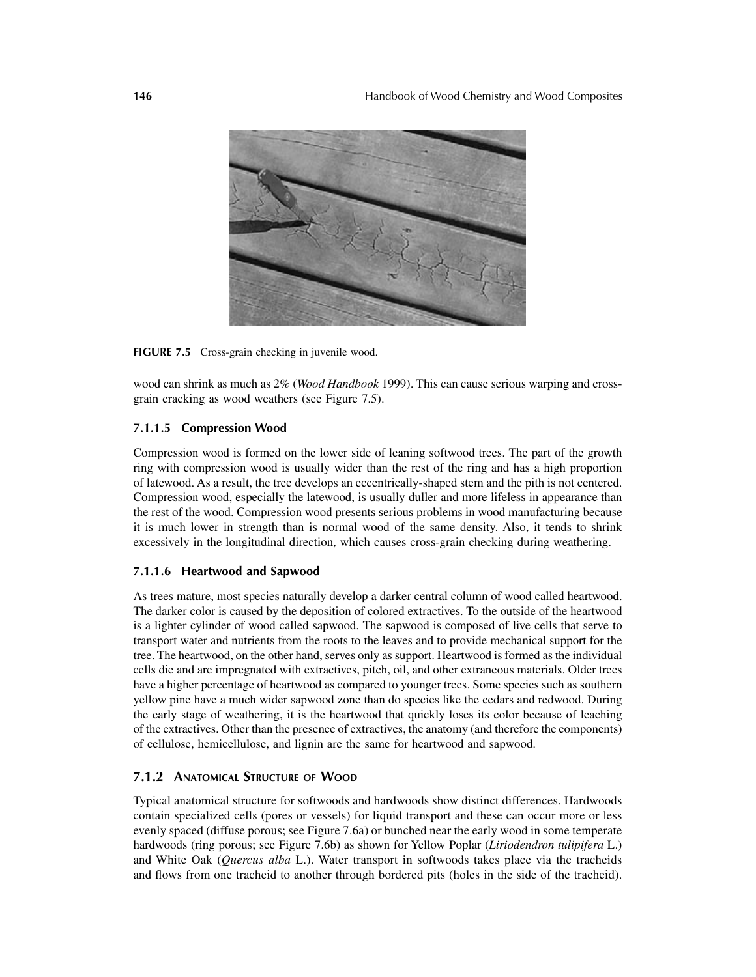**146** Handbook of Wood Chemistry and Wood Composites



**FIGURE 7.5** Cross-grain checking in juvenile wood.

wood can shrink as much as 2% (*Wood Handbook* 1999). This can cause serious warping and crossgrain cracking as wood weathers (see Figure 7.5).

## **7.1.1.5 Compression Wood**

Compression wood is formed on the lower side of leaning softwood trees. The part of the growth ring with compression wood is usually wider than the rest of the ring and has a high proportion of latewood. As a result, the tree develops an eccentrically-shaped stem and the pith is not centered. Compression wood, especially the latewood, is usually duller and more lifeless in appearance than the rest of the wood. Compression wood presents serious problems in wood manufacturing because it is much lower in strength than is normal wood of the same density. Also, it tends to shrink excessively in the longitudinal direction, which causes cross-grain checking during weathering.

#### **7.1.1.6 Heartwood and Sapwood**

As trees mature, most species naturally develop a darker central column of wood called heartwood. The darker color is caused by the deposition of colored extractives. To the outside of the heartwood is a lighter cylinder of wood called sapwood. The sapwood is composed of live cells that serve to transport water and nutrients from the roots to the leaves and to provide mechanical support for the tree. The heartwood, on the other hand, serves only as support. Heartwood is formed as the individual cells die and are impregnated with extractives, pitch, oil, and other extraneous materials. Older trees have a higher percentage of heartwood as compared to younger trees. Some species such as southern yellow pine have a much wider sapwood zone than do species like the cedars and redwood. During the early stage of weathering, it is the heartwood that quickly loses its color because of leaching of the extractives. Other than the presence of extractives, the anatomy (and therefore the components) of cellulose, hemicellulose, and lignin are the same for heartwood and sapwood.

## **7.1.2 ANATOMICAL STRUCTURE OF WOOD**

Typical anatomical structure for softwoods and hardwoods show distinct differences. Hardwoods contain specialized cells (pores or vessels) for liquid transport and these can occur more or less evenly spaced (diffuse porous; see Figure 7.6a) or bunched near the early wood in some temperate hardwoods (ring porous; see Figure 7.6b) as shown for Yellow Poplar (*Liriodendron tulipifera* L.) and White Oak (*Quercus alba* L.). Water transport in softwoods takes place via the tracheids and flows from one tracheid to another through bordered pits (holes in the side of the tracheid).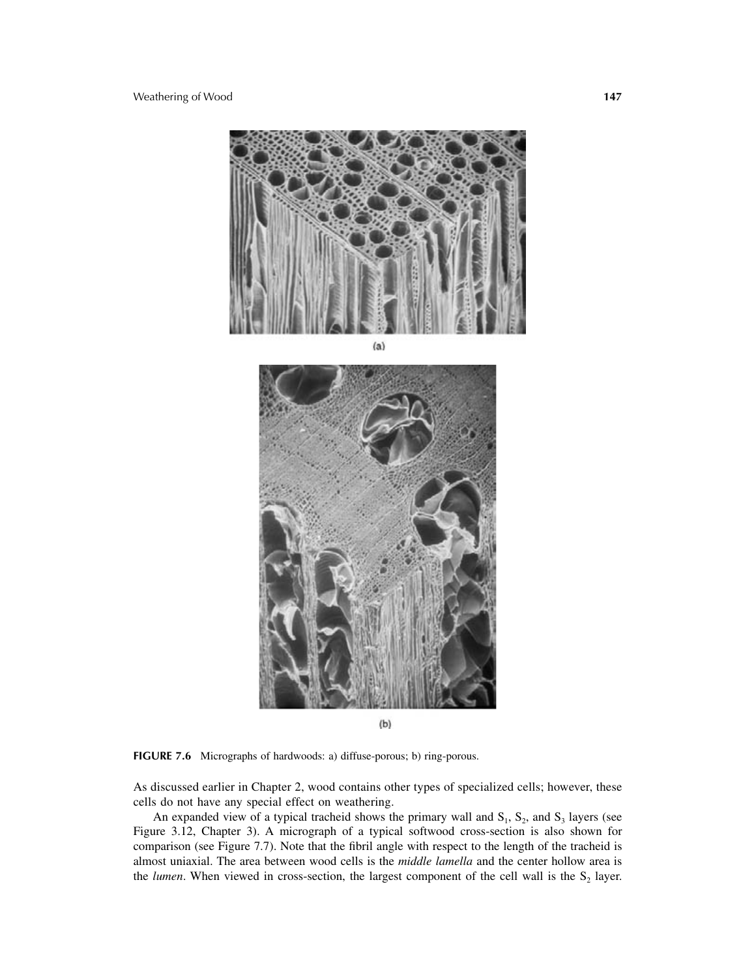

 $(b)$ 

**FIGURE 7.6** Micrographs of hardwoods: a) diffuse-porous; b) ring-porous.

As discussed earlier in Chapter 2, wood contains other types of specialized cells; however, these cells do not have any special effect on weathering.

An expanded view of a typical tracheid shows the primary wall and  $S_1$ ,  $S_2$ , and  $S_3$  layers (see Figure 3.12, Chapter 3). A micrograph of a typical softwood cross-section is also shown for comparison (see Figure 7.7). Note that the fibril angle with respect to the length of the tracheid is almost uniaxial. The area between wood cells is the *middle lamella* and the center hollow area is the *lumen*. When viewed in cross-section, the largest component of the cell wall is the  $S_2$  layer.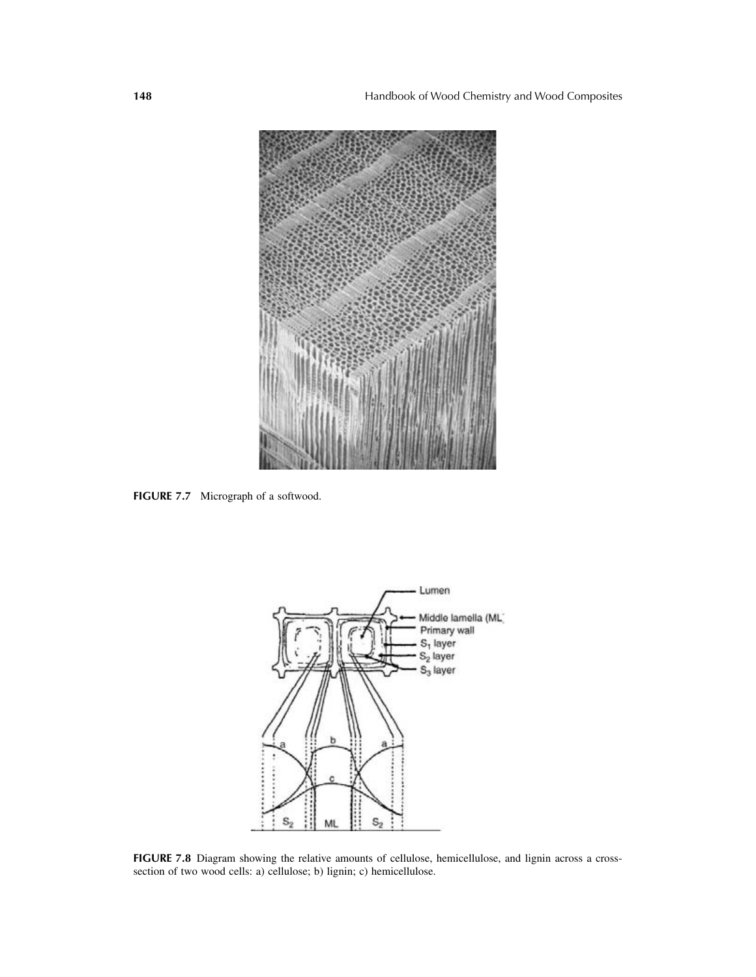

**FIGURE 7.7** Micrograph of a softwood.



**FIGURE 7.8** Diagram showing the relative amounts of cellulose, hemicellulose, and lignin across a crosssection of two wood cells: a) cellulose; b) lignin; c) hemicellulose.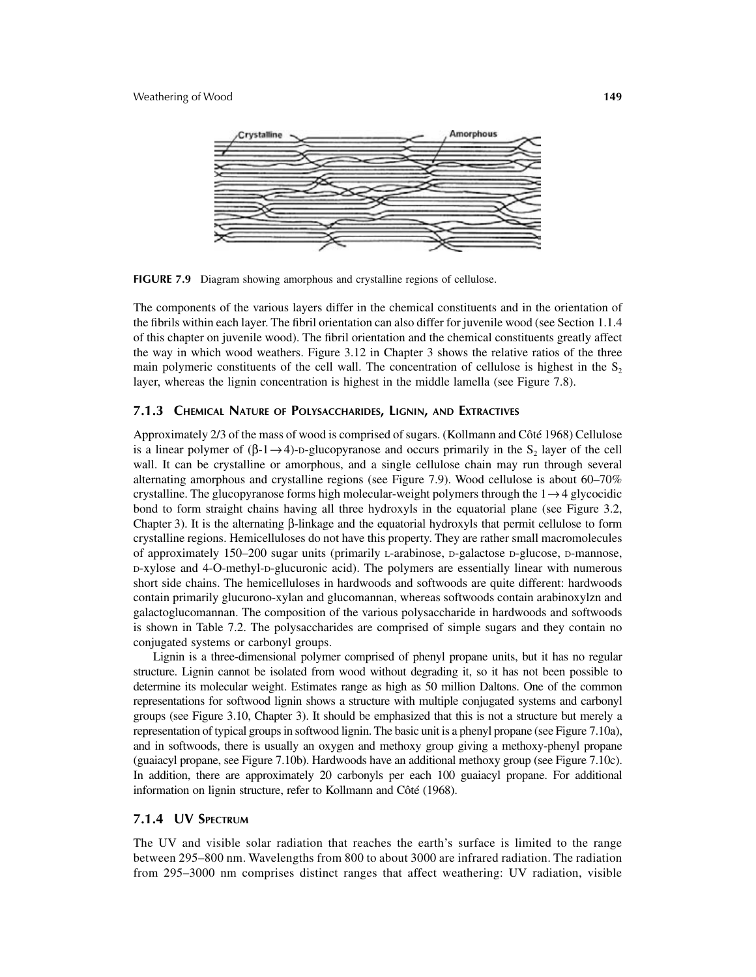

**FIGURE 7.9** Diagram showing amorphous and crystalline regions of cellulose.

The components of the various layers differ in the chemical constituents and in the orientation of the fibrils within each layer. The fibril orientation can also differ for juvenile wood (see Section 1.1.4 of this chapter on juvenile wood). The fibril orientation and the chemical constituents greatly affect the way in which wood weathers. Figure 3.12 in Chapter 3 shows the relative ratios of the three main polymeric constituents of the cell wall. The concentration of cellulose is highest in the  $S_2$ layer, whereas the lignin concentration is highest in the middle lamella (see Figure 7.8).

### **7.1.3 CHEMICAL NATURE OF POLYSACCHARIDES, LIGNIN, AND EXTRACTIVES**

Approximately 2/3 of the mass of wood is comprised of sugars. (Kollmann and Côté 1968) Cellulose is a linear polymer of  $(\beta-1 \rightarrow 4)$ -D-glucopyranose and occurs primarily in the S<sub>2</sub> layer of the cell wall. It can be crystalline or amorphous, and a single cellulose chain may run through several alternating amorphous and crystalline regions (see Figure 7.9). Wood cellulose is about 60–70% crystalline. The glucopyranose forms high molecular-weight polymers through the  $1\rightarrow 4$  glycocidic bond to form straight chains having all three hydroxyls in the equatorial plane (see Figure 3.2, Chapter 3). It is the alternating β-linkage and the equatorial hydroxyls that permit cellulose to form crystalline regions. Hemicelluloses do not have this property. They are rather small macromolecules of approximately 150–200 sugar units (primarily L-arabinose, D-galactose D-glucose, D-mannose, D-xylose and 4-O-methyl-D-glucuronic acid). The polymers are essentially linear with numerous short side chains. The hemicelluloses in hardwoods and softwoods are quite different: hardwoods contain primarily glucurono-xylan and glucomannan, whereas softwoods contain arabinoxylzn and galactoglucomannan. The composition of the various polysaccharide in hardwoods and softwoods is shown in Table 7.2. The polysaccharides are comprised of simple sugars and they contain no conjugated systems or carbonyl groups.

Lignin is a three-dimensional polymer comprised of phenyl propane units, but it has no regular structure. Lignin cannot be isolated from wood without degrading it, so it has not been possible to determine its molecular weight. Estimates range as high as 50 million Daltons. One of the common representations for softwood lignin shows a structure with multiple conjugated systems and carbonyl groups (see Figure 3.10, Chapter 3). It should be emphasized that this is not a structure but merely a representation of typical groups in softwood lignin. The basic unit is a phenyl propane (see Figure 7.10a), and in softwoods, there is usually an oxygen and methoxy group giving a methoxy-phenyl propane (guaiacyl propane, see Figure 7.10b). Hardwoods have an additional methoxy group (see Figure 7.10c). In addition, there are approximately 20 carbonyls per each 100 guaiacyl propane. For additional information on lignin structure, refer to Kollmann and Côté (1968).

## **7.1.4 UV SPECTRUM**

The UV and visible solar radiation that reaches the earth's surface is limited to the range between 295–800 nm. Wavelengths from 800 to about 3000 are infrared radiation. The radiation from 295–3000 nm comprises distinct ranges that affect weathering: UV radiation, visible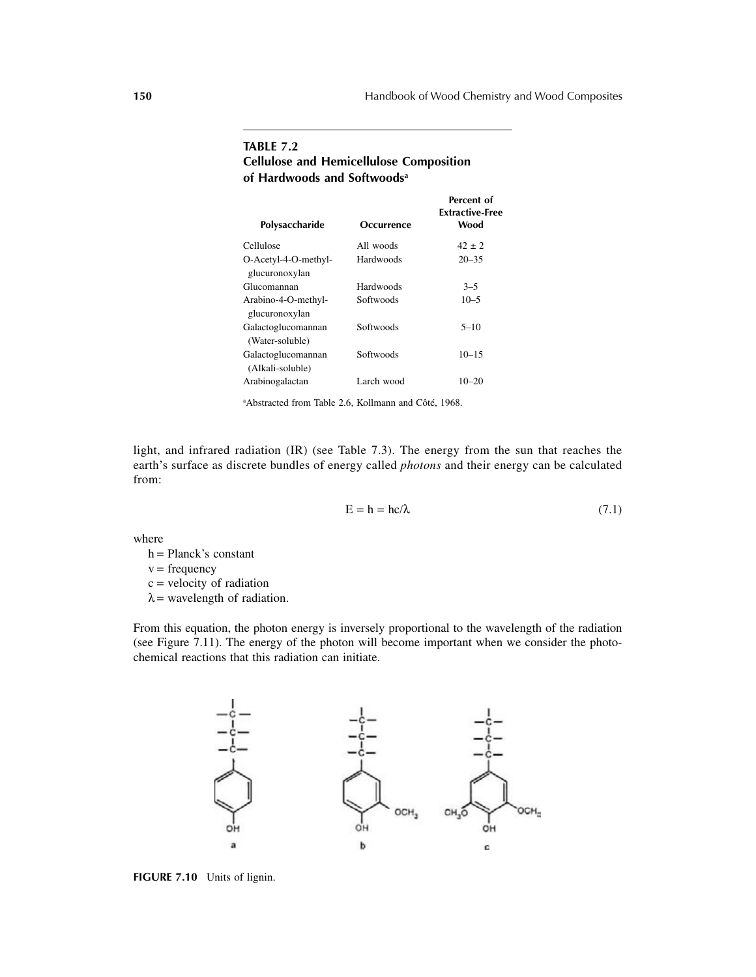## **TABLE 7.2 Cellulose and Hemicellulose Composition of Hardwoods and Softwoodsa**

| Polysaccharide                         | Occurrence | Percent of<br><b>Extractive-Free</b><br>Wood |
|----------------------------------------|------------|----------------------------------------------|
| Cellulose                              | All woods  | $42 \pm 2$                                   |
| O-Acetyl-4-O-methyl-<br>glucuronoxylan | Hardwoods  | $20 - 35$                                    |
| Glucomannan                            | Hardwoods  | $3 - 5$                                      |
| Arabino-4-O-methyl-<br>glucuronoxylan  | Softwoods  | $10 - 5$                                     |
| Galactoglucomannan<br>(Water-soluble)  | Softwoods  | $5 - 10$                                     |
| Galactoglucomannan<br>(Alkali-soluble) | Softwoods  | $10 - 15$                                    |
| Arabinogalactan                        | Larch wood | $10 - 20$                                    |

a Abstracted from Table 2.6, Kollmann and Côté, 1968.

light, and infrared radiation (IR) (see Table 7.3). The energy from the sun that reaches the earth's surface as discrete bundles of energy called *photons* and their energy can be calculated from:

$$
E = h = hc/\lambda \tag{7.1}
$$

where

 $h = Planck's constant$ 

 $v = frequency$ 

- c = velocity of radiation
- $\lambda$  = wavelength of radiation.

From this equation, the photon energy is inversely proportional to the wavelength of the radiation (see Figure 7.11). The energy of the photon will become important when we consider the photochemical reactions that this radiation can initiate.



**FIGURE 7.10** Units of lignin.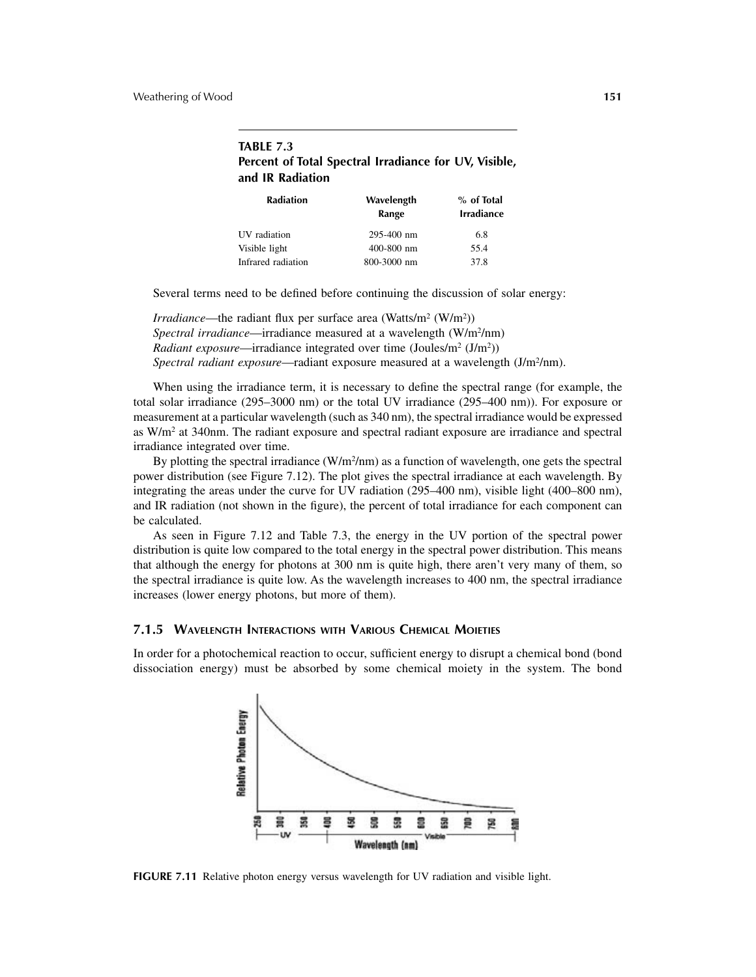| <b>TABLE 7.3</b>                                      |  |
|-------------------------------------------------------|--|
| Percent of Total Spectral Irradiance for UV, Visible, |  |
| and IR Radiation                                      |  |

| Wavelength<br>Range | % of Total<br><b>Irradiance</b> |  |  |
|---------------------|---------------------------------|--|--|
| 295-400 nm          | 6.8                             |  |  |
| 400-800 nm          | 55.4                            |  |  |
| 800-3000 nm         | 37.8                            |  |  |
|                     |                                 |  |  |

Several terms need to be defined before continuing the discussion of solar energy:

*Irradiance*—the radiant flux per surface area (Watts/m<sup>2</sup> (W/m<sup>2</sup>)) *Spectral irradiance*—irradiance measured at a wavelength (W/m<sup>2</sup>/nm) *Radiant exposure*—irradiance integrated over time (Joules/m<sup>2</sup> (J/m<sup>2</sup>)) *Spectral radiant exposure*—radiant exposure measured at a wavelength (J/m<sup>2</sup>/nm).

When using the irradiance term, it is necessary to define the spectral range (for example, the total solar irradiance (295–3000 nm) or the total UV irradiance (295–400 nm)). For exposure or measurement at a particular wavelength (such as 340 nm), the spectral irradiance would be expressed as W/m2 at 340nm. The radiant exposure and spectral radiant exposure are irradiance and spectral irradiance integrated over time.

By plotting the spectral irradiance  $(W/m^2/nm)$  as a function of wavelength, one gets the spectral power distribution (see Figure 7.12). The plot gives the spectral irradiance at each wavelength. By integrating the areas under the curve for UV radiation (295–400 nm), visible light (400–800 nm), and IR radiation (not shown in the figure), the percent of total irradiance for each component can be calculated.

As seen in Figure 7.12 and Table 7.3, the energy in the UV portion of the spectral power distribution is quite low compared to the total energy in the spectral power distribution. This means that although the energy for photons at 300 nm is quite high, there aren't very many of them, so the spectral irradiance is quite low. As the wavelength increases to 400 nm, the spectral irradiance increases (lower energy photons, but more of them).

## **7.1.5 WAVELENGTH INTERACTIONS WITH VARIOUS CHEMICAL MOIETIES**

In order for a photochemical reaction to occur, sufficient energy to disrupt a chemical bond (bond dissociation energy) must be absorbed by some chemical moiety in the system. The bond



**FIGURE 7.11** Relative photon energy versus wavelength for UV radiation and visible light.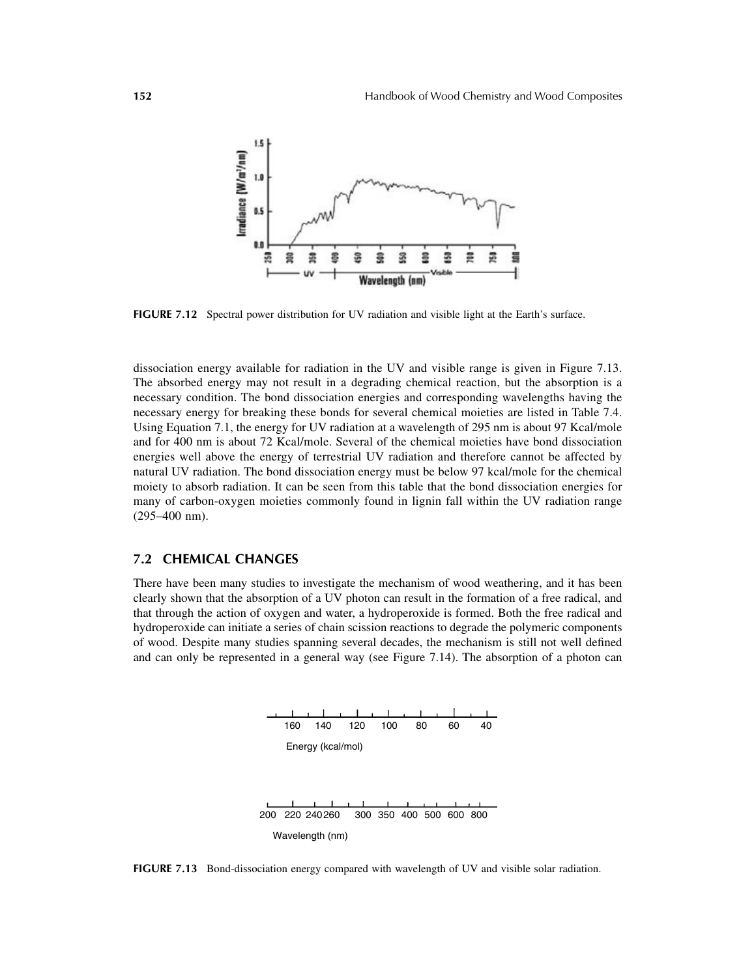

**FIGURE 7.12** Spectral power distribution for UV radiation and visible light at the Earth's surface.

dissociation energy available for radiation in the UV and visible range is given in Figure 7.13. The absorbed energy may not result in a degrading chemical reaction, but the absorption is a necessary condition. The bond dissociation energies and corresponding wavelengths having the necessary energy for breaking these bonds for several chemical moieties are listed in Table 7.4. Using Equation 7.1, the energy for UV radiation at a wavelength of 295 nm is about 97 Kcal/mole and for 400 nm is about 72 Kcal/mole. Several of the chemical moieties have bond dissociation energies well above the energy of terrestrial UV radiation and therefore cannot be affected by natural UV radiation. The bond dissociation energy must be below 97 kcal/mole for the chemical moiety to absorb radiation. It can be seen from this table that the bond dissociation energies for many of carbon-oxygen moieties commonly found in lignin fall within the UV radiation range (295–400 nm).

## **7.2 CHEMICAL CHANGES**

There have been many studies to investigate the mechanism of wood weathering, and it has been clearly shown that the absorption of a UV photon can result in the formation of a free radical, and that through the action of oxygen and water, a hydroperoxide is formed. Both the free radical and hydroperoxide can initiate a series of chain scission reactions to degrade the polymeric components of wood. Despite many studies spanning several decades, the mechanism is still not well defined and can only be represented in a general way (see Figure 7.14). The absorption of a photon can



**FIGURE 7.13** Bond-dissociation energy compared with wavelength of UV and visible solar radiation.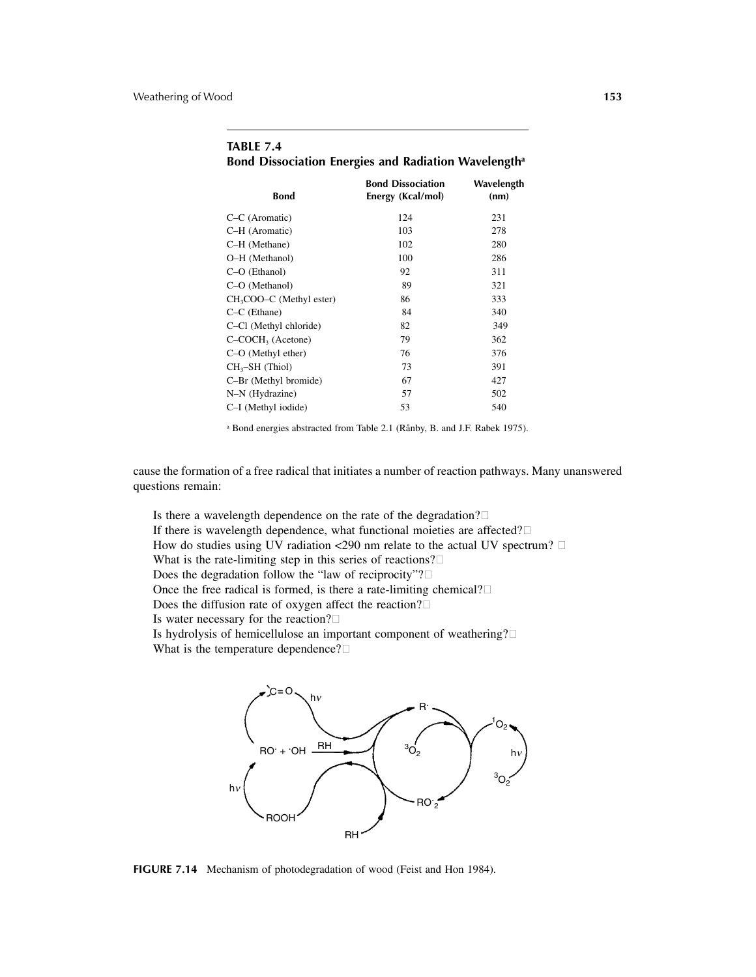| <b>Bond</b>                          | <b>Bond Dissociation</b><br>Energy (Kcal/mol) | Wavelength<br>(nm) |  |  |  |  |  |
|--------------------------------------|-----------------------------------------------|--------------------|--|--|--|--|--|
| C-C (Aromatic)                       | 124                                           | 231                |  |  |  |  |  |
| C-H (Aromatic)                       | 103                                           | 278                |  |  |  |  |  |
| C-H (Methane)                        | 102                                           | 280                |  |  |  |  |  |
| O-H (Methanol)                       | 100                                           | 286                |  |  |  |  |  |
| C-O (Ethanol)                        | 92                                            | 311                |  |  |  |  |  |
| C-O (Methanol)                       | 89                                            | 321                |  |  |  |  |  |
| CH <sub>3</sub> COO–C (Methyl ester) | 86                                            | 333                |  |  |  |  |  |
| C-C (Ethane)                         | 84                                            | 340                |  |  |  |  |  |
| C-Cl (Methyl chloride)               | 82                                            | 349                |  |  |  |  |  |
| C-COCH <sub>3</sub> (Acetone)        | 79                                            | 362                |  |  |  |  |  |
| C-O (Methyl ether)                   | 76                                            | 376                |  |  |  |  |  |
| CH <sub>3</sub> -SH (Thiol)          | 73                                            | 391                |  |  |  |  |  |
| C-Br (Methyl bromide)                | 67                                            | 427                |  |  |  |  |  |
| N-N (Hydrazine)                      | 57                                            | 502                |  |  |  |  |  |
| C-I (Methyl iodide)                  | 53                                            | 540                |  |  |  |  |  |
|                                      |                                               |                    |  |  |  |  |  |

**TABLE 7.4 Bond Dissociation Energies and Radiation Wavelengtha** 

a Bond energies abstracted from Table 2.1 (Rånby, B. and J.F. Rabek 1975).

cause the formation of a free radical that initiates a number of reaction pathways. Many unanswered questions remain:

Is there a wavelength dependence on the rate of the degradation? $\Box$ If there is wavelength dependence, what functional moieties are affected? $\Box$ How do studies using UV radiation <290 nm relate to the actual UV spectrum?  $\Box$ What is the rate-limiting step in this series of reactions? $\square$ Does the degradation follow the "law of reciprocity"? $\square$ Once the free radical is formed, is there a rate-limiting chemical? $\Box$ Does the diffusion rate of oxygen affect the reaction? $\square$ Is water necessary for the reaction?� Is hydrolysis of hemicellulose an important component of weathering?� What is the temperature dependence? $\Box$ 



**FIGURE 7.14** Mechanism of photodegradation of wood (Feist and Hon 1984).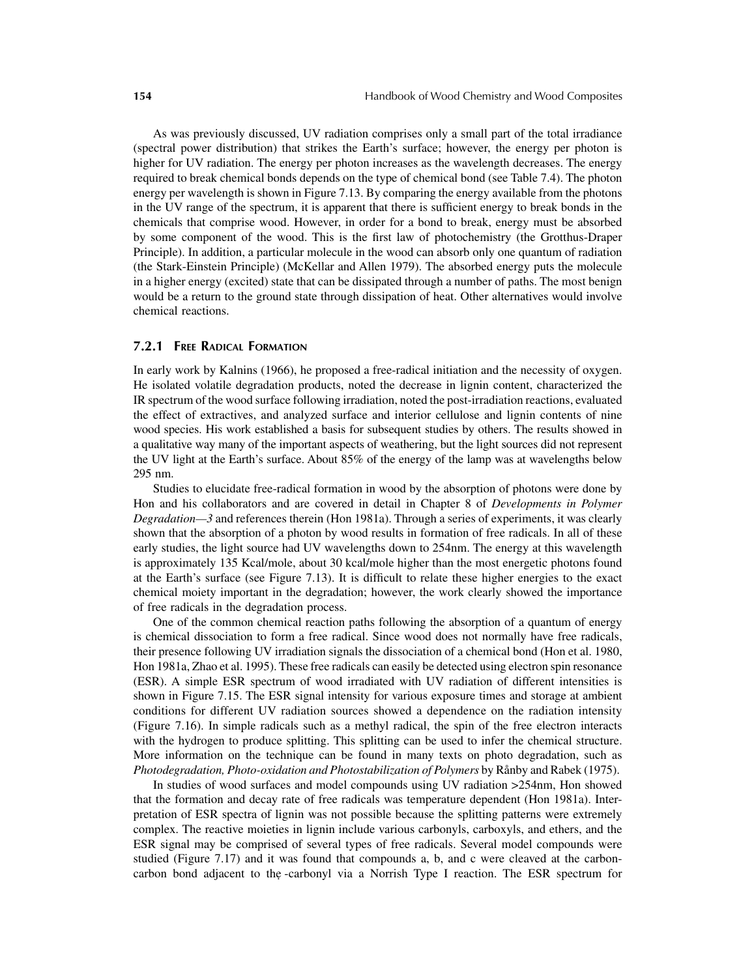As was previously discussed, UV radiation comprises only a small part of the total irradiance (spectral power distribution) that strikes the Earth's surface; however, the energy per photon is higher for UV radiation. The energy per photon increases as the wavelength decreases. The energy required to break chemical bonds depends on the type of chemical bond (see Table 7.4). The photon energy per wavelength is shown in Figure 7.13. By comparing the energy available from the photons in the UV range of the spectrum, it is apparent that there is sufficient energy to break bonds in the chemicals that comprise wood. However, in order for a bond to break, energy must be absorbed by some component of the wood. This is the first law of photochemistry (the Grotthus-Draper Principle). In addition, a particular molecule in the wood can absorb only one quantum of radiation (the Stark-Einstein Principle) (McKellar and Allen 1979). The absorbed energy puts the molecule in a higher energy (excited) state that can be dissipated through a number of paths. The most benign would be a return to the ground state through dissipation of heat. Other alternatives would involve chemical reactions.

#### **7.2.1 FREE RADICAL FORMATION**

In early work by Kalnins (1966), he proposed a free-radical initiation and the necessity of oxygen. He isolated volatile degradation products, noted the decrease in lignin content, characterized the IR spectrum of the wood surface following irradiation, noted the post-irradiation reactions, evaluated the effect of extractives, and analyzed surface and interior cellulose and lignin contents of nine wood species. His work established a basis for subsequent studies by others. The results showed in a qualitative way many of the important aspects of weathering, but the light sources did not represent the UV light at the Earth's surface. About 85% of the energy of the lamp was at wavelengths below 295 nm.

Studies to elucidate free-radical formation in wood by the absorption of photons were done by Hon and his collaborators and are covered in detail in Chapter 8 of *Developments in Polymer Degradation—3* and references therein (Hon 1981a). Through a series of experiments, it was clearly shown that the absorption of a photon by wood results in formation of free radicals. In all of these early studies, the light source had UV wavelengths down to 254nm. The energy at this wavelength is approximately 135 Kcal/mole, about 30 kcal/mole higher than the most energetic photons found at the Earth's surface (see Figure 7.13). It is difficult to relate these higher energies to the exact chemical moiety important in the degradation; however, the work clearly showed the importance of free radicals in the degradation process.

One of the common chemical reaction paths following the absorption of a quantum of energy is chemical dissociation to form a free radical. Since wood does not normally have free radicals, their presence following UV irradiation signals the dissociation of a chemical bond (Hon et al. 1980, Hon 1981a, Zhao et al. 1995). These free radicals can easily be detected using electron spin resonance (ESR). A simple ESR spectrum of wood irradiated with UV radiation of different intensities is shown in Figure 7.15. The ESR signal intensity for various exposure times and storage at ambient conditions for different UV radiation sources showed a dependence on the radiation intensity (Figure 7.16). In simple radicals such as a methyl radical, the spin of the free electron interacts with the hydrogen to produce splitting. This splitting can be used to infer the chemical structure. More information on the technique can be found in many texts on photo degradation, such as *Photodegradation, Photo-oxidation and Photostabilization of Polymers* by Rånby and Rabek (1975).

In studies of wood surfaces and model compounds using UV radiation >254nm, Hon showed that the formation and decay rate of free radicals was temperature dependent (Hon 1981a). Interpretation of ESR spectra of lignin was not possible because the splitting patterns were extremely complex. The reactive moieties in lignin include various carbonyls, carboxyls, and ethers, and the ESR signal may be comprised of several types of free radicals. Several model compounds were studied (Figure 7.17) and it was found that compounds a, b, and c were cleaved at the carboncarbon bond adjacent to the -carbonyl via a Norrish Type I reaction. The ESR spectrum for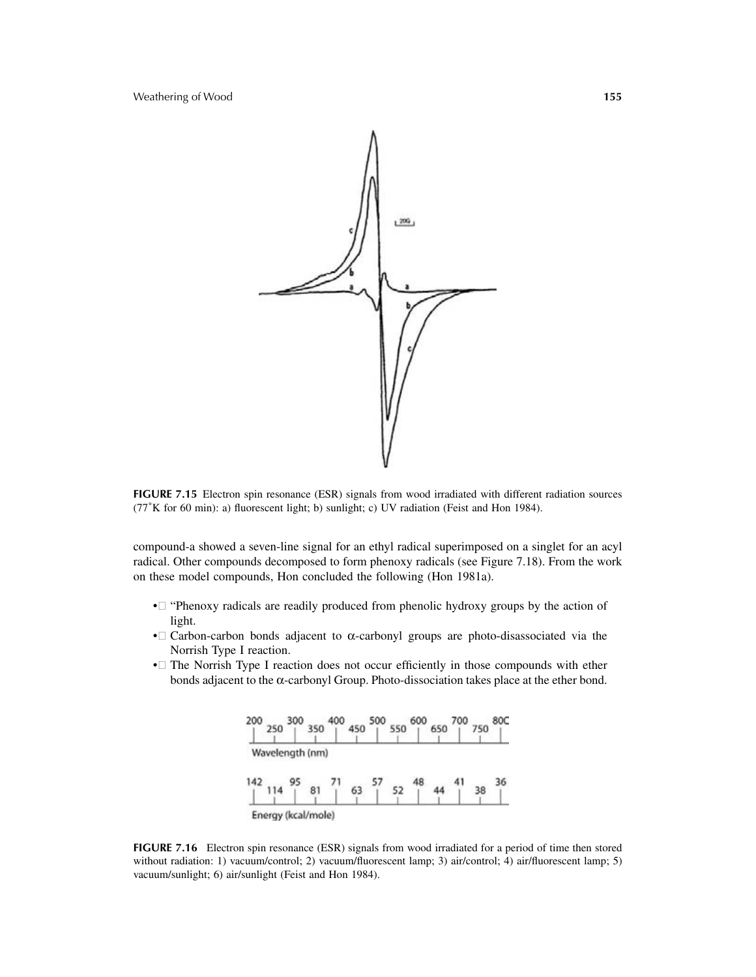Weathering of Wood **155** 



**FIGURE 7.15** Electron spin resonance (ESR) signals from wood irradiated with different radiation sources (77˚K for 60 min): a) fluorescent light; b) sunlight; c) UV radiation (Feist and Hon 1984).

compound-a showed a seven-line signal for an ethyl radical superimposed on a singlet for an acyl radical. Other compounds decomposed to form phenoxy radicals (see Figure 7.18). From the work on these model compounds, Hon concluded the following (Hon 1981a).

- • $\Box$  "Phenoxy radicals are readily produced from phenolic hydroxy groups by the action of light.
- • $\Box$  Carbon-carbon bonds adjacent to  $\alpha$ -carbonyl groups are photo-disassociated via the Norrish Type I reaction.
- • $\square$  The Norrish Type I reaction does not occur efficiently in those compounds with ether bonds adjacent to the  $\alpha$ -carbonyl Group. Photo-dissociation takes place at the ether bond.



**FIGURE 7.16** Electron spin resonance (ESR) signals from wood irradiated for a period of time then stored without radiation: 1) vacuum/control; 2) vacuum/fluorescent lamp; 3) air/control; 4) air/fluorescent lamp; 5) vacuum/sunlight; 6) air/sunlight (Feist and Hon 1984).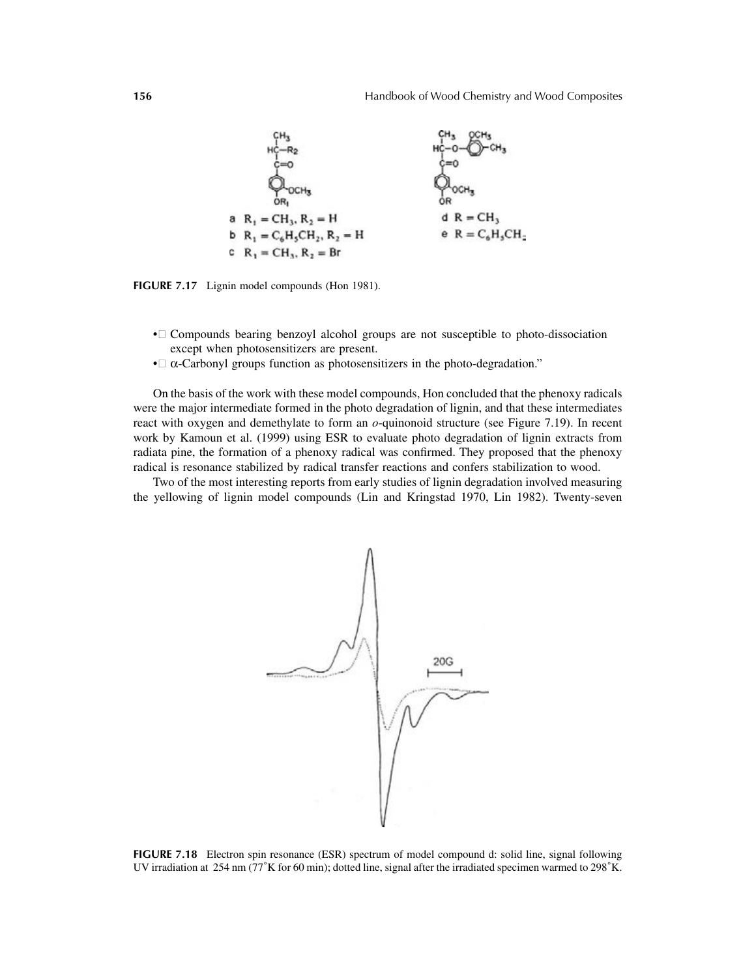

**FIGURE 7.17** Lignin model compounds (Hon 1981).

- $\bullet$   $\Box$  Compounds bearing benzoyl alcohol groups are not susceptible to photo-dissociation except when photosensitizers are present.
- • $\Box$   $\alpha$ -Carbonyl groups function as photosensitizers in the photo-degradation."

On the basis of the work with these model compounds, Hon concluded that the phenoxy radicals were the major intermediate formed in the photo degradation of lignin, and that these intermediates react with oxygen and demethylate to form an *o*-quinonoid structure (see Figure 7.19). In recent work by Kamoun et al. (1999) using ESR to evaluate photo degradation of lignin extracts from radiata pine, the formation of a phenoxy radical was confirmed. They proposed that the phenoxy radical is resonance stabilized by radical transfer reactions and confers stabilization to wood.

Two of the most interesting reports from early studies of lignin degradation involved measuring the yellowing of lignin model compounds (Lin and Kringstad 1970, Lin 1982). Twenty-seven



**FIGURE 7.18** Electron spin resonance (ESR) spectrum of model compound d: solid line, signal following UV irradiation at 254 nm (77˚K for 60 min); dotted line, signal after the irradiated specimen warmed to 298˚K.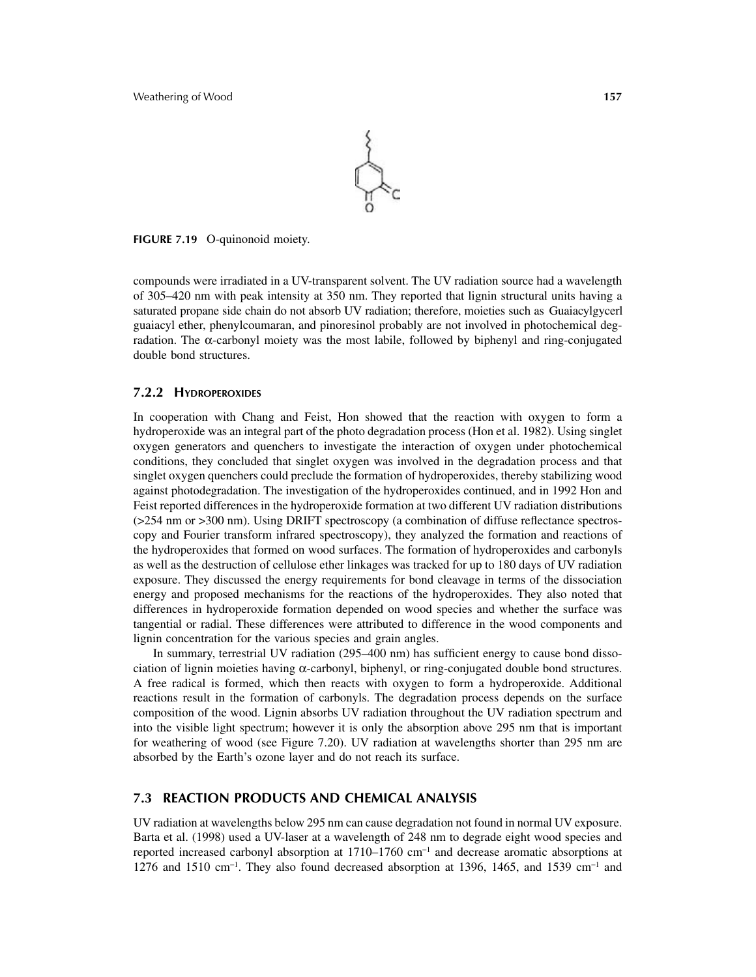

**FIGURE 7.19** O-quinonoid moiety.

compounds were irradiated in a UV-transparent solvent. The UV radiation source had a wavelength of 305–420 nm with peak intensity at 350 nm. They reported that lignin structural units having a saturated propane side chain do not absorb UV radiation; therefore, moieties such as Guaiacylgycerl guaiacyl ether, phenylcoumaran, and pinoresinol probably are not involved in photochemical degradation. The α-carbonyl moiety was the most labile, followed by biphenyl and ring-conjugated double bond structures.

## **7.2.2 HYDROPEROXIDES**

In cooperation with Chang and Feist, Hon showed that the reaction with oxygen to form a hydroperoxide was an integral part of the photo degradation process (Hon et al. 1982). Using singlet oxygen generators and quenchers to investigate the interaction of oxygen under photochemical conditions, they concluded that singlet oxygen was involved in the degradation process and that singlet oxygen quenchers could preclude the formation of hydroperoxides, thereby stabilizing wood against photodegradation. The investigation of the hydroperoxides continued, and in 1992 Hon and Feist reported differences in the hydroperoxide formation at two different UV radiation distributions (>254 nm or >300 nm). Using DRIFT spectroscopy (a combination of diffuse reflectance spectroscopy and Fourier transform infrared spectroscopy), they analyzed the formation and reactions of the hydroperoxides that formed on wood surfaces. The formation of hydroperoxides and carbonyls as well as the destruction of cellulose ether linkages was tracked for up to 180 days of UV radiation exposure. They discussed the energy requirements for bond cleavage in terms of the dissociation energy and proposed mechanisms for the reactions of the hydroperoxides. They also noted that differences in hydroperoxide formation depended on wood species and whether the surface was tangential or radial. These differences were attributed to difference in the wood components and lignin concentration for the various species and grain angles.

In summary, terrestrial UV radiation (295–400 nm) has sufficient energy to cause bond dissociation of lignin moieties having  $\alpha$ -carbonyl, biphenyl, or ring-conjugated double bond structures. A free radical is formed, which then reacts with oxygen to form a hydroperoxide. Additional reactions result in the formation of carbonyls. The degradation process depends on the surface composition of the wood. Lignin absorbs UV radiation throughout the UV radiation spectrum and into the visible light spectrum; however it is only the absorption above 295 nm that is important for weathering of wood (see Figure 7.20). UV radiation at wavelengths shorter than 295 nm are absorbed by the Earth's ozone layer and do not reach its surface.

## **7.3 REACTION PRODUCTS AND CHEMICAL ANALYSIS**

UV radiation at wavelengths below 295 nm can cause degradation not found in normal UV exposure. Barta et al. (1998) used a UV-laser at a wavelength of 248 nm to degrade eight wood species and reported increased carbonyl absorption at 1710–1760 cm<sup>−</sup>1 and decrease aromatic absorptions at 1276 and 1510 cm−1. They also found decreased absorption at 1396, 1465, and 1539 cm−1 and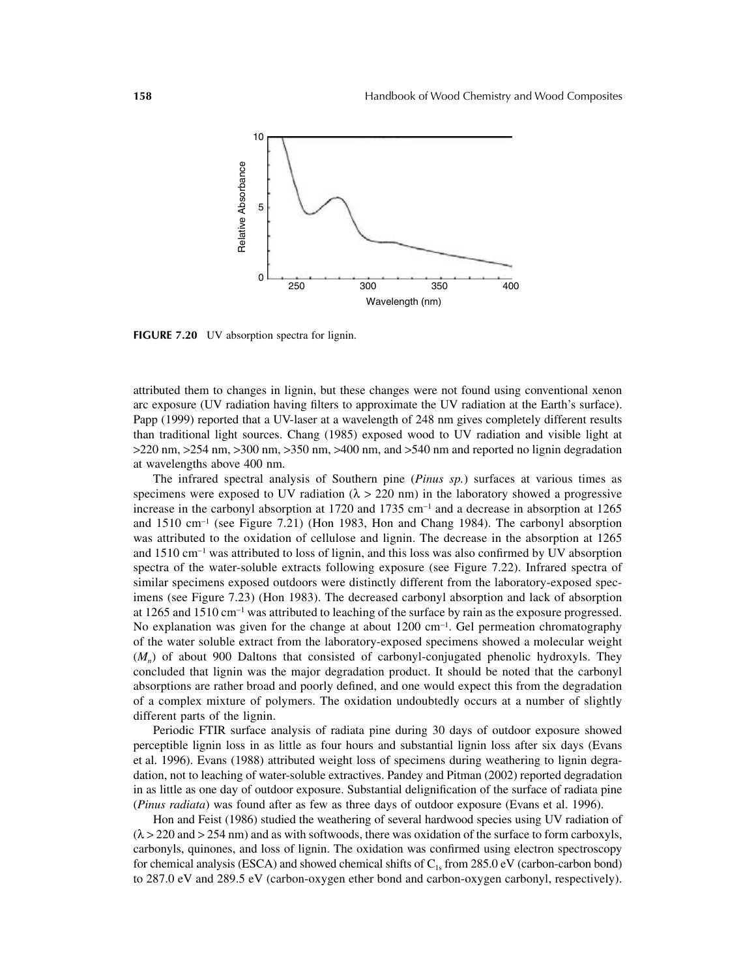

**FIGURE 7.20** UV absorption spectra for lignin.

attributed them to changes in lignin, but these changes were not found using conventional xenon arc exposure (UV radiation having filters to approximate the UV radiation at the Earth's surface). Papp (1999) reported that a UV-laser at a wavelength of 248 nm gives completely different results than traditional light sources. Chang (1985) exposed wood to UV radiation and visible light at  $>220$  nm,  $>254$  nm,  $>300$  nm,  $>350$  nm,  $>400$  nm, and  $>540$  nm and reported no lignin degradation at wavelengths above 400 nm.

The infrared spectral analysis of Southern pine (*Pinus sp.*) surfaces at various times as specimens were exposed to UV radiation  $(\lambda > 220 \text{ nm})$  in the laboratory showed a progressive increase in the carbonyl absorption at 1720 and 1735 cm<sup>−</sup>1 and a decrease in absorption at 1265 and 1510 cm<sup>−</sup>1 (see Figure 7.21) (Hon 1983, Hon and Chang 1984). The carbonyl absorption was attributed to the oxidation of cellulose and lignin. The decrease in the absorption at 1265 and 1510 cm<sup>−</sup>1 was attributed to loss of lignin, and this loss was also confirmed by UV absorption spectra of the water-soluble extracts following exposure (see Figure 7.22). Infrared spectra of similar specimens exposed outdoors were distinctly different from the laboratory-exposed specimens (see Figure 7.23) (Hon 1983). The decreased carbonyl absorption and lack of absorption at 1265 and 1510 cm<sup>−</sup>1 was attributed to leaching of the surface by rain as the exposure progressed. No explanation was given for the change at about 1200 cm<sup>-1</sup>. Gel permeation chromatography of the water soluble extract from the laboratory-exposed specimens showed a molecular weight (*Mn*) of about 900 Daltons that consisted of carbonyl-conjugated phenolic hydroxyls. They concluded that lignin was the major degradation product. It should be noted that the carbonyl absorptions are rather broad and poorly defined, and one would expect this from the degradation of a complex mixture of polymers. The oxidation undoubtedly occurs at a number of slightly different parts of the lignin.

Periodic FTIR surface analysis of radiata pine during 30 days of outdoor exposure showed perceptible lignin loss in as little as four hours and substantial lignin loss after six days (Evans et al. 1996). Evans (1988) attributed weight loss of specimens during weathering to lignin degradation, not to leaching of water-soluble extractives. Pandey and Pitman (2002) reported degradation in as little as one day of outdoor exposure. Substantial delignification of the surface of radiata pine (*Pinus radiata*) was found after as few as three days of outdoor exposure (Evans et al. 1996).

Hon and Feist (1986) studied the weathering of several hardwood species using UV radiation of  $(\lambda > 220$  and  $> 254$  nm) and as with softwoods, there was oxidation of the surface to form carboxyls, carbonyls, quinones, and loss of lignin. The oxidation was confirmed using electron spectroscopy for chemical analysis (ESCA) and showed chemical shifts of  $C_{1s}$  from 285.0 eV (carbon-carbon bond) to 287.0 eV and 289.5 eV (carbon-oxygen ether bond and carbon-oxygen carbonyl, respectively).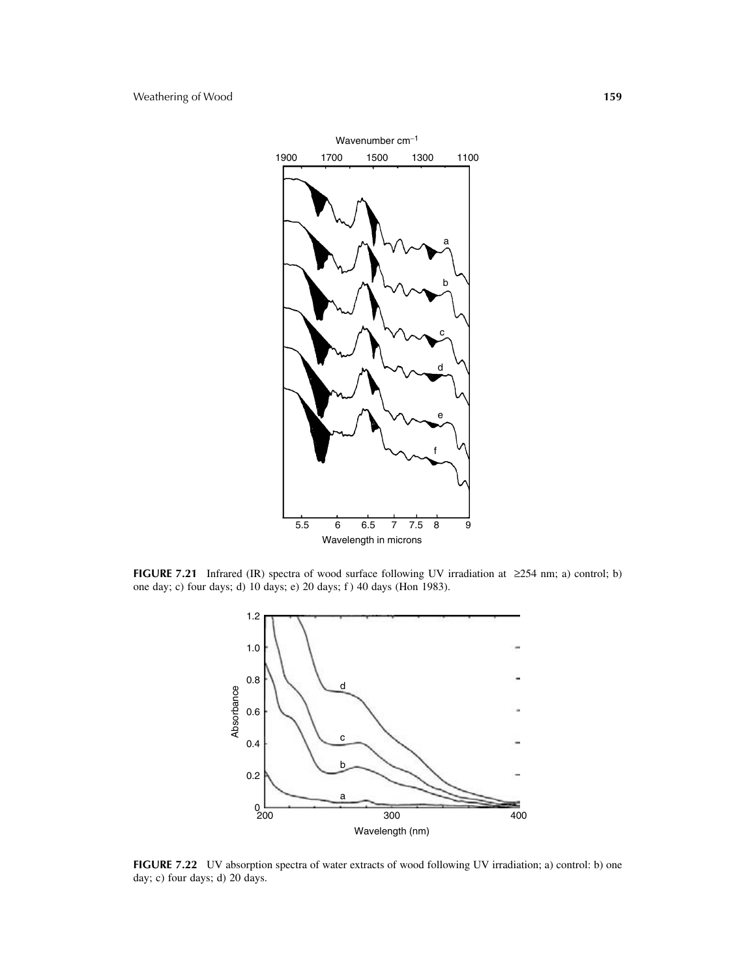

**FIGURE 7.21** Infrared (IR) spectra of wood surface following UV irradiation at ≥254 nm; a) control; b) one day; c) four days; d) 10 days; e) 20 days; f ) 40 days (Hon 1983).



**FIGURE 7.22** UV absorption spectra of water extracts of wood following UV irradiation; a) control: b) one day; c) four days; d) 20 days.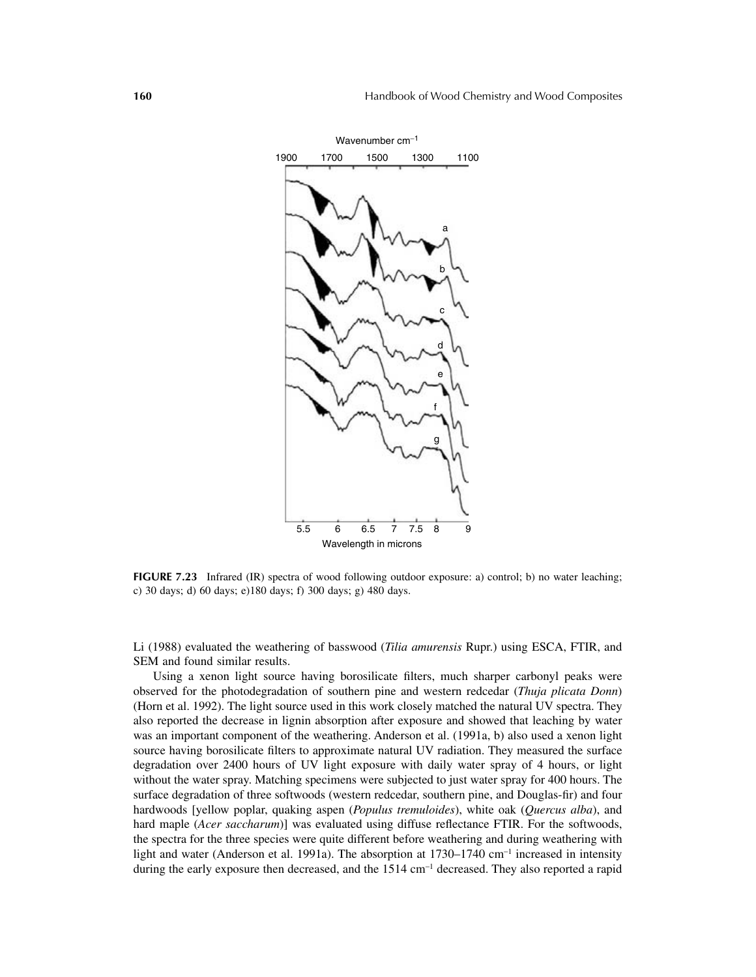

**FIGURE 7.23** Infrared (IR) spectra of wood following outdoor exposure: a) control; b) no water leaching; c) 30 days; d) 60 days; e)180 days; f) 300 days; g) 480 days.

Li (1988) evaluated the weathering of basswood (*Tilia amurensis* Rupr.) using ESCA, FTIR, and SEM and found similar results.

Using a xenon light source having borosilicate filters, much sharper carbonyl peaks were observed for the photodegradation of southern pine and western redcedar (*Thuja plicata Donn*) (Horn et al. 1992). The light source used in this work closely matched the natural UV spectra. They also reported the decrease in lignin absorption after exposure and showed that leaching by water was an important component of the weathering. Anderson et al. (1991a, b) also used a xenon light source having borosilicate filters to approximate natural UV radiation. They measured the surface degradation over 2400 hours of UV light exposure with daily water spray of 4 hours, or light without the water spray. Matching specimens were subjected to just water spray for 400 hours. The surface degradation of three softwoods (western redcedar, southern pine, and Douglas-fir) and four hardwoods [yellow poplar, quaking aspen (*Populus tremuloides*), white oak (*Quercus alba*), and hard maple (*Acer saccharum*)] was evaluated using diffuse reflectance FTIR. For the softwoods, the spectra for the three species were quite different before weathering and during weathering with light and water (Anderson et al. 1991a). The absorption at 1730–1740 cm<sup>−</sup>1 increased in intensity during the early exposure then decreased, and the 1514 cm−1 decreased. They also reported a rapid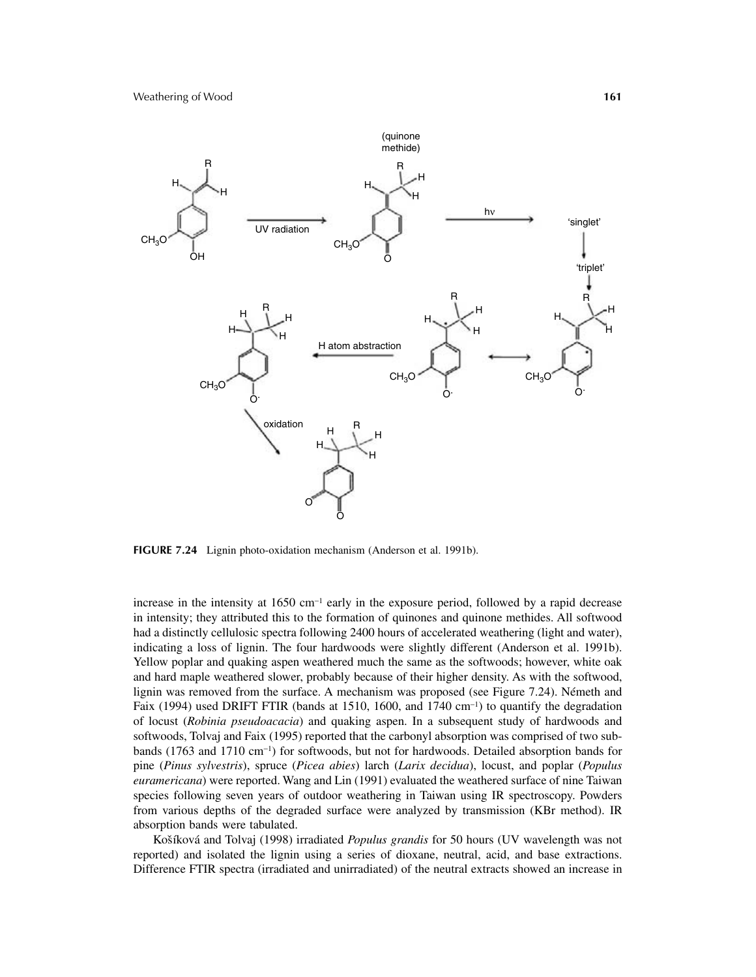

**FIGURE 7.24** Lignin photo-oxidation mechanism (Anderson et al. 1991b).

increase in the intensity at 1650 cm<sup>−</sup>1 early in the exposure period, followed by a rapid decrease in intensity; they attributed this to the formation of quinones and quinone methides. All softwood had a distinctly cellulosic spectra following 2400 hours of accelerated weathering (light and water), indicating a loss of lignin. The four hardwoods were slightly different (Anderson et al. 1991b). Yellow poplar and quaking aspen weathered much the same as the softwoods; however, white oak and hard maple weathered slower, probably because of their higher density. As with the softwood, lignin was removed from the surface. A mechanism was proposed (see Figure 7.24). Németh and Faix (1994) used DRIFT FTIR (bands at 1510, 1600, and 1740 cm<sup>-1</sup>) to quantify the degradation of locust (*Robinia pseudoacacia*) and quaking aspen. In a subsequent study of hardwoods and softwoods, Tolvaj and Faix (1995) reported that the carbonyl absorption was comprised of two subbands (1763 and 1710 cm<sup>−</sup>1) for softwoods, but not for hardwoods. Detailed absorption bands for pine (*Pinus sylvestris*), spruce (*Picea abies*) larch (*Larix decidua*), locust, and poplar (*Populus euramericana*) were reported. Wang and Lin (1991) evaluated the weathered surface of nine Taiwan species following seven years of outdoor weathering in Taiwan using IR spectroscopy. Powders from various depths of the degraded surface were analyzed by transmission (KBr method). IR absorption bands were tabulated.

Koˇís ková and Tolvaj (1998) irradiated *Populus grandis* for 50 hours (UV wavelength was not reported) and isolated the lignin using a series of dioxane, neutral, acid, and base extractions. Difference FTIR spectra (irradiated and unirradiated) of the neutral extracts showed an increase in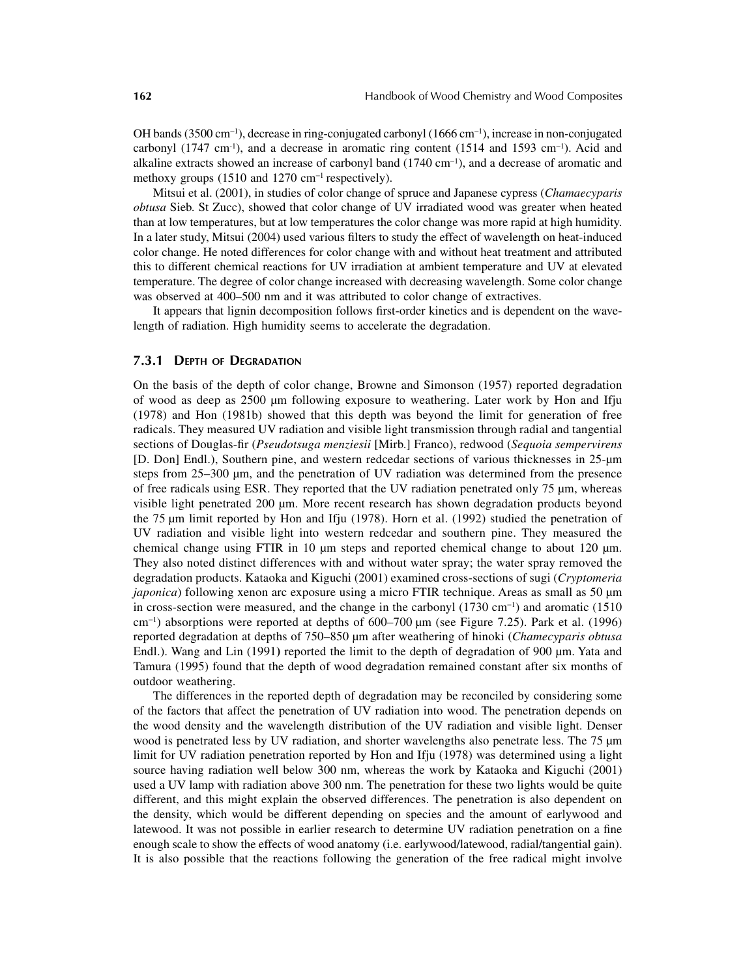OH bands (3500 cm<sup>−</sup>1), decrease in ring-conjugated carbonyl (1666 cm<sup>−</sup>1), increase in non-conjugated carbonyl (1747 cm-1), and a decrease in aromatic ring content (1514 and 1593 cm<sup>−</sup>1). Acid and alkaline extracts showed an increase of carbonyl band (1740 cm<sup>−</sup>1), and a decrease of aromatic and methoxy groups (1510 and 1270 cm<sup>-1</sup> respectively).

Mitsui et al. (2001), in studies of color change of spruce and Japanese cypress (*Chamaecyparis obtusa* Sieb. St Zucc), showed that color change of UV irradiated wood was greater when heated than at low temperatures, but at low temperatures the color change was more rapid at high humidity. In a later study, Mitsui (2004) used various filters to study the effect of wavelength on heat-induced color change. He noted differences for color change with and without heat treatment and attributed this to different chemical reactions for UV irradiation at ambient temperature and UV at elevated temperature. The degree of color change increased with decreasing wavelength. Some color change was observed at 400–500 nm and it was attributed to color change of extractives.

It appears that lignin decomposition follows first-order kinetics and is dependent on the wavelength of radiation. High humidity seems to accelerate the degradation.

#### **7.3.1 DEPTH OF DEGRADATION**

On the basis of the depth of color change, Browne and Simonson (1957) reported degradation of wood as deep as 2500 µm following exposure to weathering. Later work by Hon and Ifju (1978) and Hon (1981b) showed that this depth was beyond the limit for generation of free radicals. They measured UV radiation and visible light transmission through radial and tangential sections of Douglas-fir (*Pseudotsuga menziesii* [Mirb.] Franco), redwood (*Sequoia sempervirens*  [D. Don] Endl.), Southern pine, and western redcedar sections of various thicknesses in 25-µm steps from 25–300 µm, and the penetration of UV radiation was determined from the presence of free radicals using ESR. They reported that the UV radiation penetrated only 75 µm, whereas visible light penetrated 200 µm. More recent research has shown degradation products beyond the 75 µm limit reported by Hon and Ifju (1978). Horn et al. (1992) studied the penetration of UV radiation and visible light into western redcedar and southern pine. They measured the chemical change using FTIR in 10 µm steps and reported chemical change to about 120 µm. They also noted distinct differences with and without water spray; the water spray removed the degradation products. Kataoka and Kiguchi (2001) examined cross-sections of sugi (*Cryptomeria japonica*) following xenon arc exposure using a micro FTIR technique. Areas as small as 50  $\mu$ m in cross-section were measured, and the change in the carbonyl (1730 cm<sup>−</sup>1) and aromatic (1510 cm<sup>−</sup>1) absorptions were reported at depths of 600–700 µm (see Figure 7.25). Park et al. (1996) reported degradation at depths of 750–850 µm after weathering of hinoki (*Chamecyparis obtusa*  Endl.). Wang and Lin (1991**)** reported the limit to the depth of degradation of 900 µm. Yata and Tamura (1995) found that the depth of wood degradation remained constant after six months of outdoor weathering.

The differences in the reported depth of degradation may be reconciled by considering some of the factors that affect the penetration of UV radiation into wood. The penetration depends on the wood density and the wavelength distribution of the UV radiation and visible light. Denser wood is penetrated less by UV radiation, and shorter wavelengths also penetrate less. The 75 µm limit for UV radiation penetration reported by Hon and Ifju (1978) was determined using a light source having radiation well below 300 nm, whereas the work by Kataoka and Kiguchi (2001) used a UV lamp with radiation above 300 nm. The penetration for these two lights would be quite different, and this might explain the observed differences. The penetration is also dependent on the density, which would be different depending on species and the amount of earlywood and latewood. It was not possible in earlier research to determine UV radiation penetration on a fine enough scale to show the effects of wood anatomy (i.e. earlywood/latewood, radial/tangential gain). It is also possible that the reactions following the generation of the free radical might involve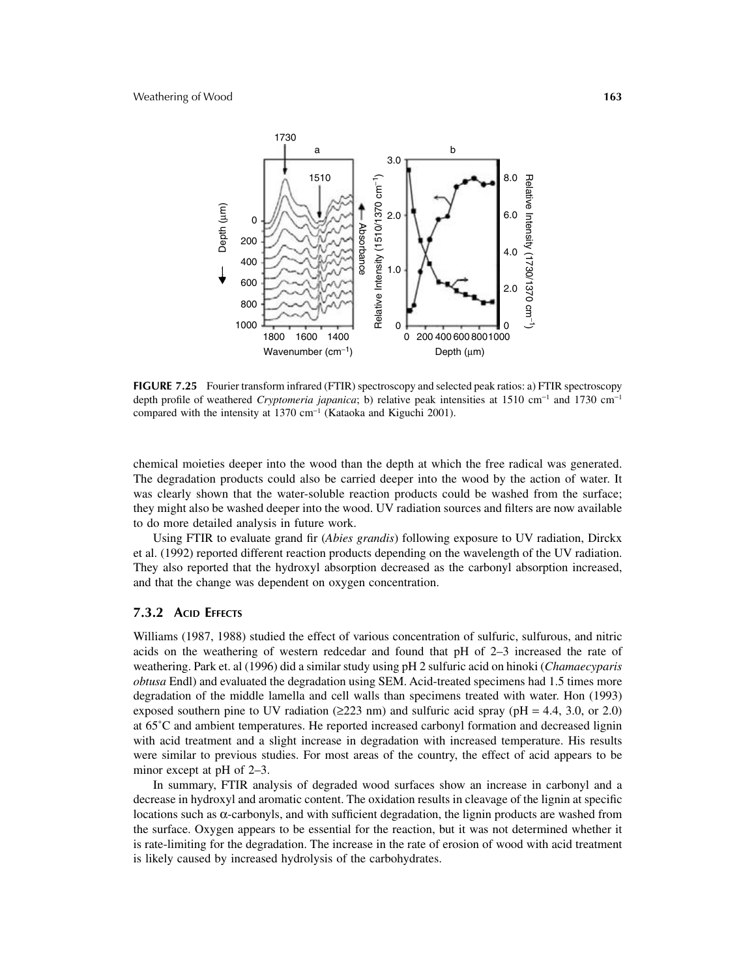

**FIGURE 7.25** Fourier transform infrared (FTIR) spectroscopy and selected peak ratios: a) FTIR spectroscopy depth profile of weathered *Cryptomeria japanica*; b) relative peak intensities at 1510 cm<sup>−</sup>1 and 1730 cm<sup>−</sup><sup>1</sup> compared with the intensity at 1370 cm<sup>−</sup>1 (Kataoka and Kiguchi 2001).

chemical moieties deeper into the wood than the depth at which the free radical was generated. The degradation products could also be carried deeper into the wood by the action of water. It was clearly shown that the water-soluble reaction products could be washed from the surface; they might also be washed deeper into the wood. UV radiation sources and filters are now available to do more detailed analysis in future work.

Using FTIR to evaluate grand fir (*Abies grandis*) following exposure to UV radiation, Dirckx et al. (1992) reported different reaction products depending on the wavelength of the UV radiation. They also reported that the hydroxyl absorption decreased as the carbonyl absorption increased, and that the change was dependent on oxygen concentration.

## **7.3.2 ACID EFFECTS**

Williams (1987, 1988) studied the effect of various concentration of sulfuric, sulfurous, and nitric acids on the weathering of western redcedar and found that pH of 2–3 increased the rate of weathering. Park et. al (1996) did a similar study using pH 2 sulfuric acid on hinoki (*Chamaecyparis obtusa* Endl) and evaluated the degradation using SEM. Acid-treated specimens had 1.5 times more degradation of the middle lamella and cell walls than specimens treated with water. Hon (1993) exposed southern pine to UV radiation ( $\geq$ 223 nm) and sulfuric acid spray ( $pH = 4.4, 3.0,$  or 2.0) at 65˚C and ambient temperatures. He reported increased carbonyl formation and decreased lignin with acid treatment and a slight increase in degradation with increased temperature. His results were similar to previous studies. For most areas of the country, the effect of acid appears to be minor except at pH of 2–3.

In summary, FTIR analysis of degraded wood surfaces show an increase in carbonyl and a decrease in hydroxyl and aromatic content. The oxidation results in cleavage of the lignin at specific locations such as α-carbonyls, and with sufficient degradation, the lignin products are washed from the surface. Oxygen appears to be essential for the reaction, but it was not determined whether it is rate-limiting for the degradation. The increase in the rate of erosion of wood with acid treatment is likely caused by increased hydrolysis of the carbohydrates.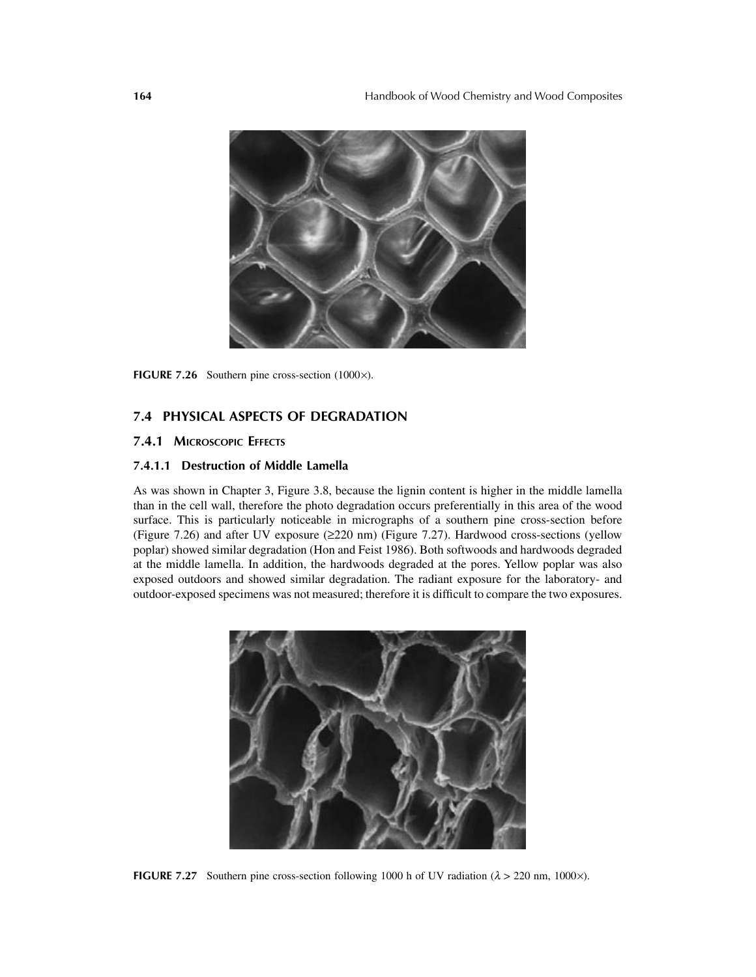

**FIGURE 7.26** Southern pine cross-section (1000×).

## **7.4 PHYSICAL ASPECTS OF DEGRADATION**

## **7.4.1 MICROSCOPIC EFFECTS**

## **7.4.1.1 Destruction of Middle Lamella**

As was shown in Chapter 3, Figure 3.8, because the lignin content is higher in the middle lamella than in the cell wall, therefore the photo degradation occurs preferentially in this area of the wood surface. This is particularly noticeable in micrographs of a southern pine cross-section before (Figure 7.26) and after UV exposure (≥220 nm) (Figure 7.27). Hardwood cross-sections (yellow poplar) showed similar degradation (Hon and Feist 1986). Both softwoods and hardwoods degraded at the middle lamella. In addition, the hardwoods degraded at the pores. Yellow poplar was also exposed outdoors and showed similar degradation. The radiant exposure for the laboratory- and outdoor-exposed specimens was not measured; therefore it is difficult to compare the two exposures.



**FIGURE 7.27** Southern pine cross-section following 1000 h of UV radiation ( $\lambda$  > 220 nm, 1000 $\times$ ).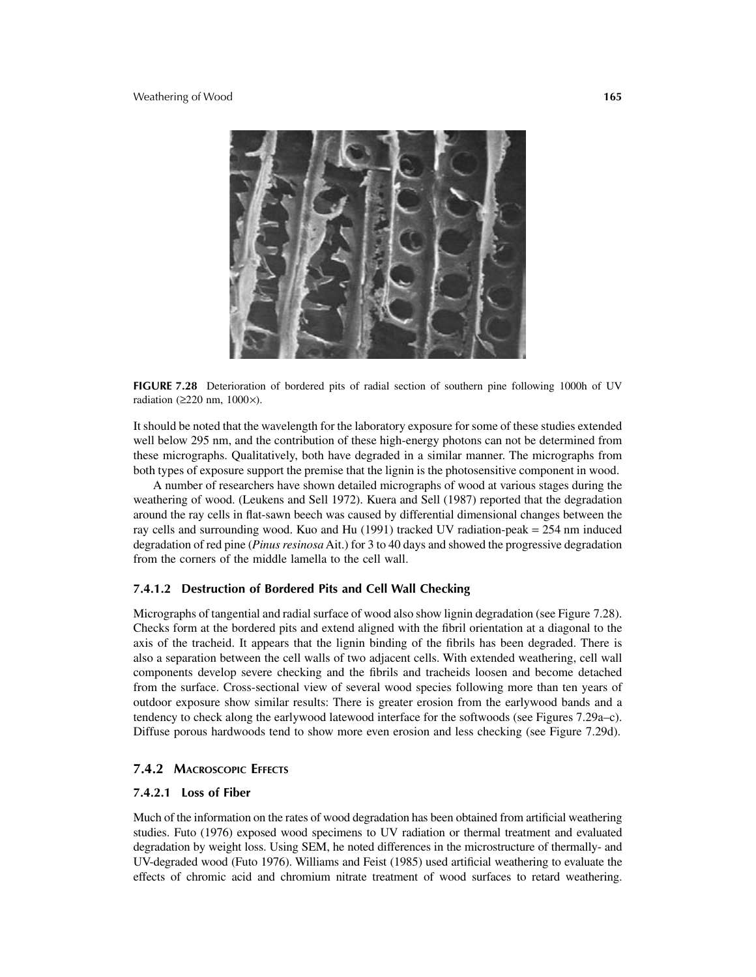

**FIGURE 7.28** Deterioration of bordered pits of radial section of southern pine following 1000h of UV radiation ( $\geq$ 220 nm, 1000 $\times$ ).

It should be noted that the wavelength for the laboratory exposure for some of these studies extended well below 295 nm, and the contribution of these high-energy photons can not be determined from these micrographs. Qualitatively, both have degraded in a similar manner. The micrographs from both types of exposure support the premise that the lignin is the photosensitive component in wood.

A number of researchers have shown detailed micrographs of wood at various stages during the weathering of wood. (Leukens and Sell 1972). Kuera and Sell (1987) reported that the degradation around the ray cells in flat-sawn beech was caused by differential dimensional changes between the ray cells and surrounding wood. Kuo and Hu (1991) tracked UV radiation-peak = 254 nm induced degradation of red pine (*Pinus resinosa* Ait.) for 3 to 40 days and showed the progressive degradation from the corners of the middle lamella to the cell wall.

#### **7.4.1.2 Destruction of Bordered Pits and Cell Wall Checking**

Micrographs of tangential and radial surface of wood also show lignin degradation (see Figure 7.28). Checks form at the bordered pits and extend aligned with the fibril orientation at a diagonal to the axis of the tracheid. It appears that the lignin binding of the fibrils has been degraded. There is also a separation between the cell walls of two adjacent cells. With extended weathering, cell wall components develop severe checking and the fibrils and tracheids loosen and become detached from the surface. Cross-sectional view of several wood species following more than ten years of outdoor exposure show similar results: There is greater erosion from the earlywood bands and a tendency to check along the earlywood latewood interface for the softwoods (see Figures 7.29a–c). Diffuse porous hardwoods tend to show more even erosion and less checking (see Figure 7.29d).

## **7.4.2 MACROSCOPIC EFFECTS**

## **7.4.2.1 Loss of Fiber**

Much of the information on the rates of wood degradation has been obtained from artificial weathering studies. Futo (1976) exposed wood specimens to UV radiation or thermal treatment and evaluated degradation by weight loss. Using SEM, he noted differences in the microstructure of thermally- and UV-degraded wood (Futo 1976). Williams and Feist (1985) used artificial weathering to evaluate the effects of chromic acid and chromium nitrate treatment of wood surfaces to retard weathering.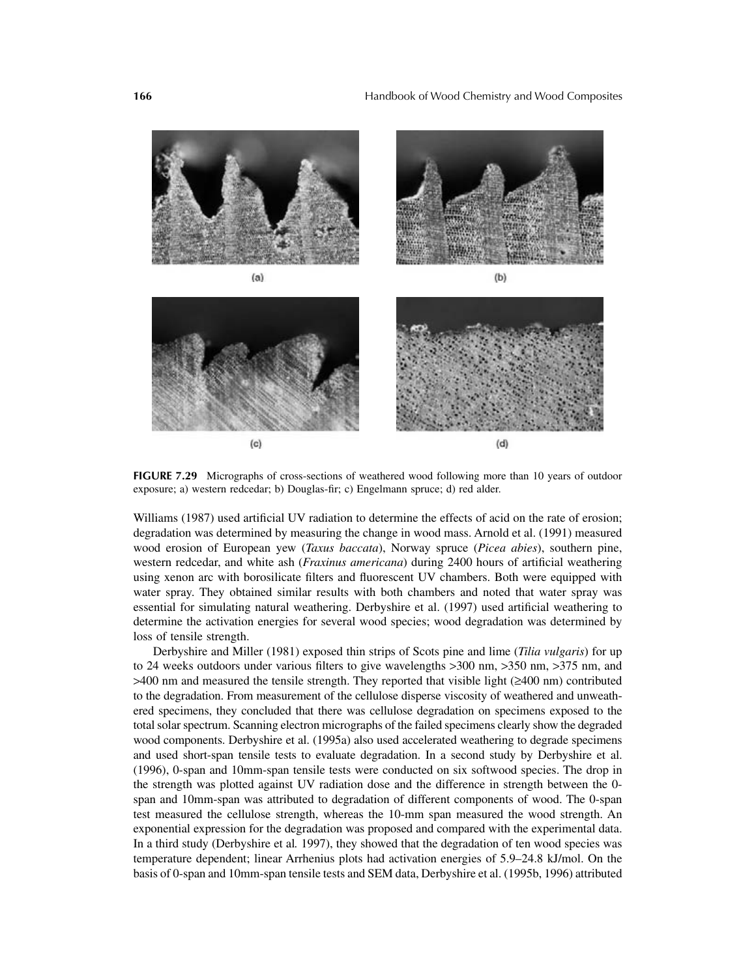

**FIGURE 7.29** Micrographs of cross-sections of weathered wood following more than 10 years of outdoor exposure; a) western redcedar; b) Douglas-fir; c) Engelmann spruce; d) red alder.

Williams (1987) used artificial UV radiation to determine the effects of acid on the rate of erosion; degradation was determined by measuring the change in wood mass. Arnold et al. (1991) measured wood erosion of European yew (*Taxus baccata*), Norway spruce (*Picea abies*), southern pine, western redcedar, and white ash (*Fraxinus americana*) during 2400 hours of artificial weathering using xenon arc with borosilicate filters and fluorescent UV chambers. Both were equipped with water spray. They obtained similar results with both chambers and noted that water spray was essential for simulating natural weathering. Derbyshire et al. (1997) used artificial weathering to determine the activation energies for several wood species; wood degradation was determined by loss of tensile strength.

Derbyshire and Miller (1981) exposed thin strips of Scots pine and lime (*Tilia vulgaris*) for up to 24 weeks outdoors under various filters to give wavelengths >300 nm, >350 nm, >375 nm, and >400 nm and measured the tensile strength. They reported that visible light (≥400 nm) contributed to the degradation. From measurement of the cellulose disperse viscosity of weathered and unweathered specimens, they concluded that there was cellulose degradation on specimens exposed to the total solar spectrum. Scanning electron micrographs of the failed specimens clearly show the degraded wood components. Derbyshire et al. (1995a) also used accelerated weathering to degrade specimens and used short-span tensile tests to evaluate degradation. In a second study by Derbyshire et al. (1996), 0-span and 10mm-span tensile tests were conducted on six softwood species. The drop in the strength was plotted against UV radiation dose and the difference in strength between the 0 span and 10mm-span was attributed to degradation of different components of wood. The 0-span test measured the cellulose strength, whereas the 10-mm span measured the wood strength. An exponential expression for the degradation was proposed and compared with the experimental data. In a third study (Derbyshire et al*.* 1997), they showed that the degradation of ten wood species was temperature dependent; linear Arrhenius plots had activation energies of 5.9–24.8 kJ/mol. On the basis of 0-span and 10mm-span tensile tests and SEM data, Derbyshire et al. (1995b, 1996) attributed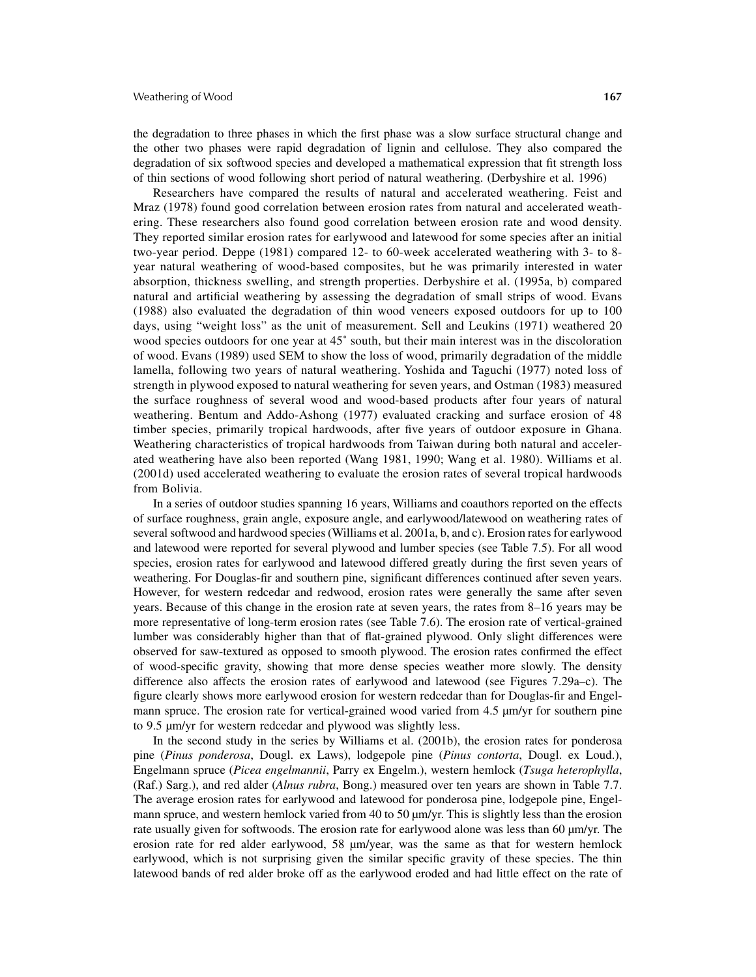the degradation to three phases in which the first phase was a slow surface structural change and the other two phases were rapid degradation of lignin and cellulose. They also compared the degradation of six softwood species and developed a mathematical expression that fit strength loss of thin sections of wood following short period of natural weathering. (Derbyshire et al. 1996)

Researchers have compared the results of natural and accelerated weathering. Feist and Mraz (1978) found good correlation between erosion rates from natural and accelerated weathering. These researchers also found good correlation between erosion rate and wood density. They reported similar erosion rates for earlywood and latewood for some species after an initial two-year period. Deppe (1981) compared 12- to 60-week accelerated weathering with 3- to 8 year natural weathering of wood-based composites, but he was primarily interested in water absorption, thickness swelling, and strength properties. Derbyshire et al. (1995a, b) compared natural and artificial weathering by assessing the degradation of small strips of wood. Evans (1988) also evaluated the degradation of thin wood veneers exposed outdoors for up to 100 days, using "weight loss" as the unit of measurement. Sell and Leukins (1971) weathered 20 wood species outdoors for one year at 45˚ south, but their main interest was in the discoloration of wood. Evans (1989) used SEM to show the loss of wood, primarily degradation of the middle lamella, following two years of natural weathering. Yoshida and Taguchi (1977) noted loss of strength in plywood exposed to natural weathering for seven years, and Ostman (1983) measured the surface roughness of several wood and wood-based products after four years of natural weathering. Bentum and Addo-Ashong (1977) evaluated cracking and surface erosion of 48 timber species, primarily tropical hardwoods, after five years of outdoor exposure in Ghana. Weathering characteristics of tropical hardwoods from Taiwan during both natural and accelerated weathering have also been reported (Wang 1981, 1990; Wang et al. 1980). Williams et al. (2001d) used accelerated weathering to evaluate the erosion rates of several tropical hardwoods from Bolivia.

In a series of outdoor studies spanning 16 years, Williams and coauthors reported on the effects of surface roughness, grain angle, exposure angle, and earlywood/latewood on weathering rates of several softwood and hardwood species (Williams et al. 2001a, b, and c). Erosion rates for earlywood and latewood were reported for several plywood and lumber species (see Table 7.5). For all wood species, erosion rates for earlywood and latewood differed greatly during the first seven years of weathering. For Douglas-fir and southern pine, significant differences continued after seven years. However, for western redcedar and redwood, erosion rates were generally the same after seven years. Because of this change in the erosion rate at seven years, the rates from 8–16 years may be more representative of long-term erosion rates (see Table 7.6). The erosion rate of vertical-grained lumber was considerably higher than that of flat-grained plywood. Only slight differences were observed for saw-textured as opposed to smooth plywood. The erosion rates confirmed the effect of wood-specific gravity, showing that more dense species weather more slowly. The density difference also affects the erosion rates of earlywood and latewood (see Figures 7.29a–c). The figure clearly shows more earlywood erosion for western redcedar than for Douglas-fir and Engelmann spruce. The erosion rate for vertical-grained wood varied from 4.5 µm/yr for southern pine to 9.5 µm/yr for western redcedar and plywood was slightly less.

In the second study in the series by Williams et al. (2001b), the erosion rates for ponderosa pine (*Pinus ponderosa*, Dougl. ex Laws), lodgepole pine (*Pinus contorta*, Dougl. ex Loud.), Engelmann spruce (*Picea engelmannii*, Parry ex Engelm.), western hemlock (*Tsuga heterophylla*, (Raf.) Sarg.), and red alder (*Alnus rubra*, Bong.) measured over ten years are shown in Table 7.7. The average erosion rates for earlywood and latewood for ponderosa pine, lodgepole pine, Engelmann spruce, and western hemlock varied from 40 to 50  $\mu$ m/yr. This is slightly less than the erosion rate usually given for softwoods. The erosion rate for earlywood alone was less than 60  $\mu$ m/yr. The erosion rate for red alder earlywood, 58 µm/year, was the same as that for western hemlock earlywood, which is not surprising given the similar specific gravity of these species. The thin latewood bands of red alder broke off as the earlywood eroded and had little effect on the rate of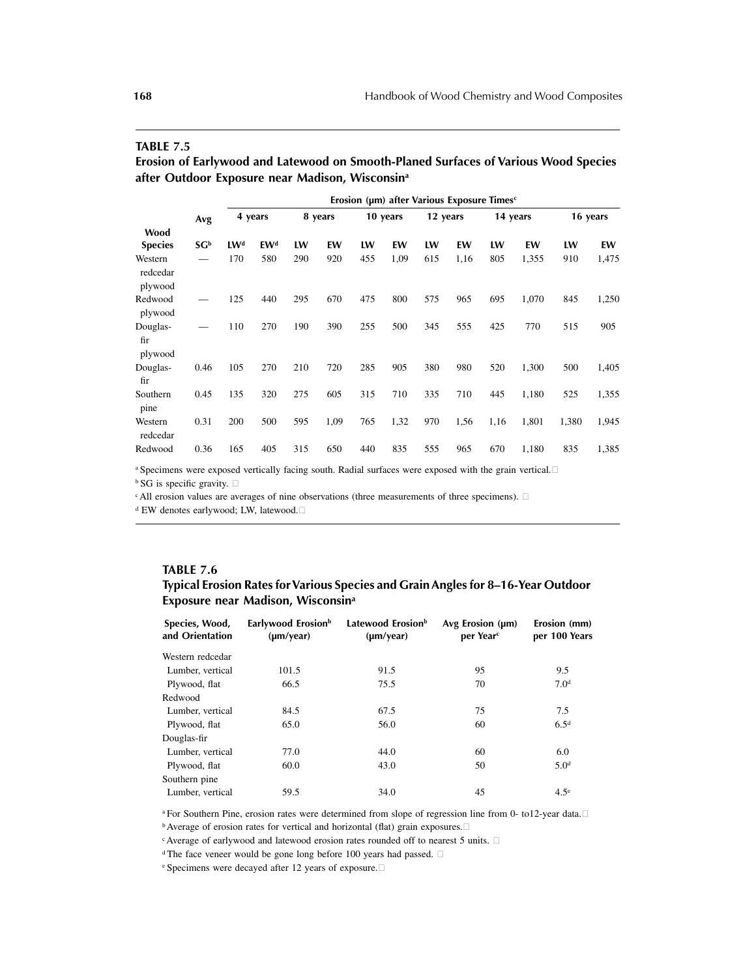#### **TABLE 7.5**

**Erosion of Earlywood and Latewood on Smooth-Planed Surfaces of Various Wood Species after Outdoor Exposure near Madison, Wisconsina** 

|                                |                 |                 |            |     |         |     |          |          | Erosion (µm) after Various Exposure Times <sup>c</sup> |      |          |       |          |
|--------------------------------|-----------------|-----------------|------------|-----|---------|-----|----------|----------|--------------------------------------------------------|------|----------|-------|----------|
| Wood<br><b>Species</b>         | Avg             |                 | 4 years    |     | 8 years |     | 10 years | 12 years |                                                        |      | 14 years |       | 16 years |
|                                | SG <sub>b</sub> | LW <sup>d</sup> | <b>EWd</b> | LW  | EW      | LW  | EW       | LW       | EW                                                     | LW   | EW       | LW    | EW       |
| Western<br>redcedar<br>plywood |                 | 170             | 580        | 290 | 920     | 455 | 1,09     | 615      | 1,16                                                   | 805  | 1,355    | 910   | 1,475    |
| Redwood<br>plywood             |                 | 125             | 440        | 295 | 670     | 475 | 800      | 575      | 965                                                    | 695  | 1,070    | 845   | 1,250    |
| Douglas-<br>fir<br>plywood     |                 | 110             | 270        | 190 | 390     | 255 | 500      | 345      | 555                                                    | 425  | 770      | 515   | 905      |
| Douglas-<br>fir                | 0.46            | 105             | 270        | 210 | 720     | 285 | 905      | 380      | 980                                                    | 520  | 1,300    | 500   | 1,405    |
| Southern<br>pine               | 0.45            | 135             | 320        | 275 | 605     | 315 | 710      | 335      | 710                                                    | 445  | 1,180    | 525   | 1,355    |
| Western<br>redcedar            | 0.31            | 200             | 500        | 595 | 1,09    | 765 | 1,32     | 970      | 1,56                                                   | 1,16 | 1,801    | 1,380 | 1,945    |
| Redwood                        | 0.36            | 165             | 405        | 315 | 650     | 440 | 835      | 555      | 965                                                    | 670  | 1,180    | 835   | 1,385    |

<sup>a</sup> Specimens were exposed vertically facing south. Radial surfaces were exposed with the grain vertical.<sup> $\Box$ </sup>

 $\rm ^{b}$  SG is specific gravity.  $\Box$ 

<sup>c</sup> All erosion values are averages of nine observations (three measurements of three specimens).  $\Box$ 

<sup>d</sup> EW denotes earlywood; LW, latewood.<sup>□</sup>

## **TABLE 7.6 Typical Erosion Rates for Various Species and Grain Angles for 8–16-Year Outdoor Exposure near Madison, Wisconsina**

| Species, Wood,<br>and Orientation | Earlywood Erosion <sup>b</sup><br>$(\mu m/year)$ | Latewood Erosion <sup>b</sup><br>$(\mu m/year)$ | Avg Erosion (µm)<br>per Year <sup>c</sup> | Erosion (mm)<br>per 100 Years |
|-----------------------------------|--------------------------------------------------|-------------------------------------------------|-------------------------------------------|-------------------------------|
| Western redcedar                  |                                                  |                                                 |                                           |                               |
| Lumber, vertical                  | 101.5                                            | 91.5                                            | 95                                        | 9.5                           |
| Plywood, flat                     | 66.5                                             | 75.5                                            | 70                                        | 7.0 <sup>d</sup>              |
| Redwood                           |                                                  |                                                 |                                           |                               |
| Lumber, vertical                  | 84.5                                             | 67.5                                            | 75                                        | 7.5                           |
| Plywood, flat                     | 65.0                                             | 56.0                                            | 60                                        | 6.5 <sup>d</sup>              |
| Douglas-fir                       |                                                  |                                                 |                                           |                               |
| Lumber, vertical                  | 77.0                                             | 44.0                                            | 60                                        | 6.0                           |
| Plywood, flat                     | 60.0                                             | 43.0                                            | 50                                        | 5.0 <sup>d</sup>              |
| Southern pine                     |                                                  |                                                 |                                           |                               |
| Lumber, vertical                  | 59.5                                             | 34.0                                            | 45                                        | 4.5 <sup>e</sup>              |

<sup>a</sup> For Southern Pine, erosion rates were determined from slope of regression line from 0- to12-year data.<sup> $\Box$ </sup>

**b** Average of erosion rates for vertical and horizontal (flat) grain exposures.

c Average of earlywood and latewood erosion rates rounded off to nearest 5 units. �

d The face veneer would be gone long before 100 years had passed.  $\Box$ 

<sup>e</sup> Specimens were decayed after 12 years of exposure.<sup>□</sup>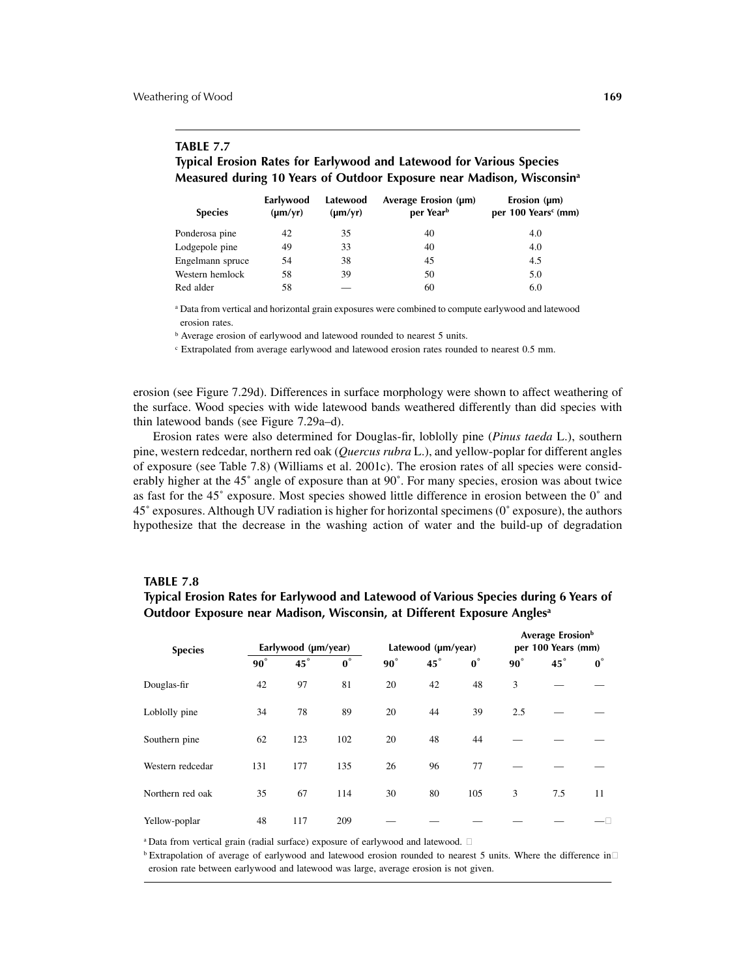## **TABLE 7.7 Typical Erosion Rates for Earlywood and Latewood for Various Species Measured during 10 Years of Outdoor Exposure near Madison, Wisconsina**

| <b>Species</b>   | Earlywood<br>$(\mu m/yr)$ | Latewood<br>$(\mu m/vr)$ | Average Erosion (µm)<br>per Year <sup>b</sup> | Erosion $(\mu m)$<br>per 100 Years <sup>c</sup> (mm) |  |  |
|------------------|---------------------------|--------------------------|-----------------------------------------------|------------------------------------------------------|--|--|
| Ponderosa pine   | 42                        | 35                       | 40                                            | 4.0                                                  |  |  |
| Lodgepole pine   | 49                        | 33                       | 40                                            | 4.0                                                  |  |  |
| Engelmann spruce | 54                        | 38                       | 45                                            | 4.5                                                  |  |  |
| Western hemlock  | 58                        | 39                       | 50                                            | 5.0                                                  |  |  |
| Red alder        | 58                        |                          | 60                                            | 6.0                                                  |  |  |

a Data from vertical and horizontal grain exposures were combined to compute earlywood and latewood erosion rates.

b Average erosion of earlywood and latewood rounded to nearest 5 units.

c Extrapolated from average earlywood and latewood erosion rates rounded to nearest 0.5 mm.

erosion (see Figure 7.29d). Differences in surface morphology were shown to affect weathering of the surface. Wood species with wide latewood bands weathered differently than did species with thin latewood bands (see Figure 7.29a–d).

Erosion rates were also determined for Douglas-fir, loblolly pine (*Pinus taeda* L.), southern pine, western redcedar, northern red oak (*Quercus rubra* L.), and yellow-poplar for different angles of exposure (see Table 7.8) (Williams et al. 2001c). The erosion rates of all species were considerably higher at the 45˚ angle of exposure than at 90˚. For many species, erosion was about twice as fast for the 45˚ exposure. Most species showed little difference in erosion between the 0˚ and 45˚ exposures. Although UV radiation is higher for horizontal specimens (0˚ exposure), the authors hypothesize that the decrease in the washing action of water and the build-up of degradation

#### **TABLE 7.8**

## **Typical Erosion Rates for Earlywood and Latewood of Various Species during 6 Years of Outdoor Exposure near Madison, Wisconsin, at Different Exposure Anglesa**

| <b>Species</b>   | Earlywood (µm/year) |              |                                 | Latewood (µm/year) |              |                      | Average Erosion <sup>b</sup><br>per 100 Years (mm) |              |                      |
|------------------|---------------------|--------------|---------------------------------|--------------------|--------------|----------------------|----------------------------------------------------|--------------|----------------------|
|                  | $90^\circ$          | $45^{\circ}$ | $\overline{\mathbf{0}}^{\circ}$ | $90^\circ$         | $45^{\circ}$ | $\mathbf{0}^{\circ}$ | $90^\circ$                                         | $45^{\circ}$ | $\mathbf{0}^{\circ}$ |
| Douglas-fir      | 42                  | 97           | 81                              | 20                 | 42           | 48                   | 3                                                  |              |                      |
| Loblolly pine    | 34                  | 78           | 89                              | 20                 | 44           | 39                   | 2.5                                                |              |                      |
| Southern pine    | 62                  | 123          | 102                             | 20                 | 48           | 44                   |                                                    |              |                      |
| Western redcedar | 131                 | 177          | 135                             | 26                 | 96           | 77                   |                                                    |              |                      |
| Northern red oak | 35                  | 67           | 114                             | 30                 | 80           | 105                  | 3                                                  | 7.5          | 11                   |
| Yellow-poplar    | 48                  | 117          | 209                             |                    |              |                      |                                                    |              |                      |

<sup>a</sup> Data from vertical grain (radial surface) exposure of earlywood and latewood.  $\Box$ 

 $b$  Extrapolation of average of earlywood and latewood erosion rounded to nearest 5 units. Where the difference in $\Box$ erosion rate between earlywood and latewood was large, average erosion is not given.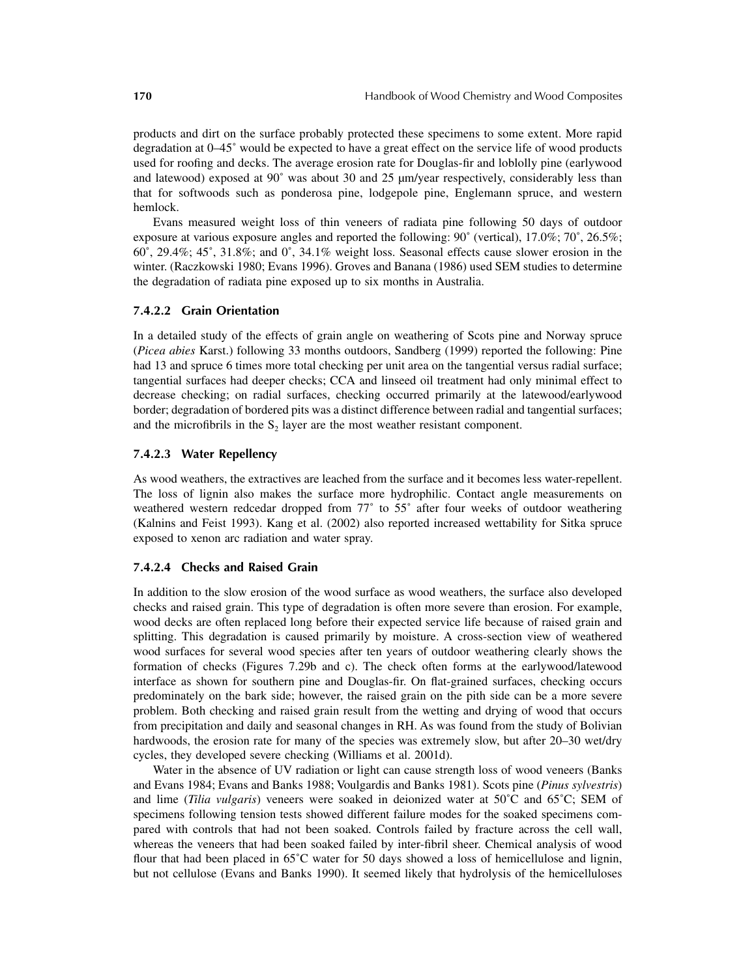products and dirt on the surface probably protected these specimens to some extent. More rapid degradation at 0–45˚ would be expected to have a great effect on the service life of wood products used for roofing and decks. The average erosion rate for Douglas-fir and loblolly pine (earlywood and latewood) exposed at 90° was about 30 and 25 µm/year respectively, considerably less than that for softwoods such as ponderosa pine, lodgepole pine, Englemann spruce, and western hemlock.

Evans measured weight loss of thin veneers of radiata pine following 50 days of outdoor exposure at various exposure angles and reported the following: 90˚ (vertical), 17.0%; 70˚, 26.5%; 60˚, 29.4%; 45˚, 31.8%; and 0˚, 34.1% weight loss. Seasonal effects cause slower erosion in the winter. (Raczkowski 1980; Evans 1996). Groves and Banana (1986) used SEM studies to determine the degradation of radiata pine exposed up to six months in Australia.

#### **7.4.2.2 Grain Orientation**

In a detailed study of the effects of grain angle on weathering of Scots pine and Norway spruce (*Picea abies* Karst.) following 33 months outdoors, Sandberg (1999) reported the following: Pine had 13 and spruce 6 times more total checking per unit area on the tangential versus radial surface; tangential surfaces had deeper checks; CCA and linseed oil treatment had only minimal effect to decrease checking; on radial surfaces, checking occurred primarily at the latewood/earlywood border; degradation of bordered pits was a distinct difference between radial and tangential surfaces; and the microfibrils in the  $S<sub>2</sub>$  layer are the most weather resistant component.

## **7.4.2.3 Water Repellency**

As wood weathers, the extractives are leached from the surface and it becomes less water-repellent. The loss of lignin also makes the surface more hydrophilic. Contact angle measurements on weathered western redcedar dropped from 77˚ to 55˚ after four weeks of outdoor weathering (Kalnins and Feist 1993). Kang et al. (2002) also reported increased wettability for Sitka spruce exposed to xenon arc radiation and water spray.

#### **7.4.2.4 Checks and Raised Grain**

In addition to the slow erosion of the wood surface as wood weathers, the surface also developed checks and raised grain. This type of degradation is often more severe than erosion. For example, wood decks are often replaced long before their expected service life because of raised grain and splitting. This degradation is caused primarily by moisture. A cross-section view of weathered wood surfaces for several wood species after ten years of outdoor weathering clearly shows the formation of checks (Figures 7.29b and c). The check often forms at the earlywood/latewood interface as shown for southern pine and Douglas-fir. On flat-grained surfaces, checking occurs predominately on the bark side; however, the raised grain on the pith side can be a more severe problem. Both checking and raised grain result from the wetting and drying of wood that occurs from precipitation and daily and seasonal changes in RH. As was found from the study of Bolivian hardwoods, the erosion rate for many of the species was extremely slow, but after 20–30 wet/dry cycles, they developed severe checking (Williams et al. 2001d).

Water in the absence of UV radiation or light can cause strength loss of wood veneers (Banks and Evans 1984; Evans and Banks 1988; Voulgardis and Banks 1981). Scots pine (*Pinus sylvestris*) and lime (*Tilia vulgaris*) veneers were soaked in deionized water at 50˚C and 65˚C; SEM of specimens following tension tests showed different failure modes for the soaked specimens compared with controls that had not been soaked. Controls failed by fracture across the cell wall, whereas the veneers that had been soaked failed by inter-fibril sheer. Chemical analysis of wood flour that had been placed in  $65^{\circ}$ C water for 50 days showed a loss of hemicellulose and lignin, but not cellulose (Evans and Banks 1990). It seemed likely that hydrolysis of the hemicelluloses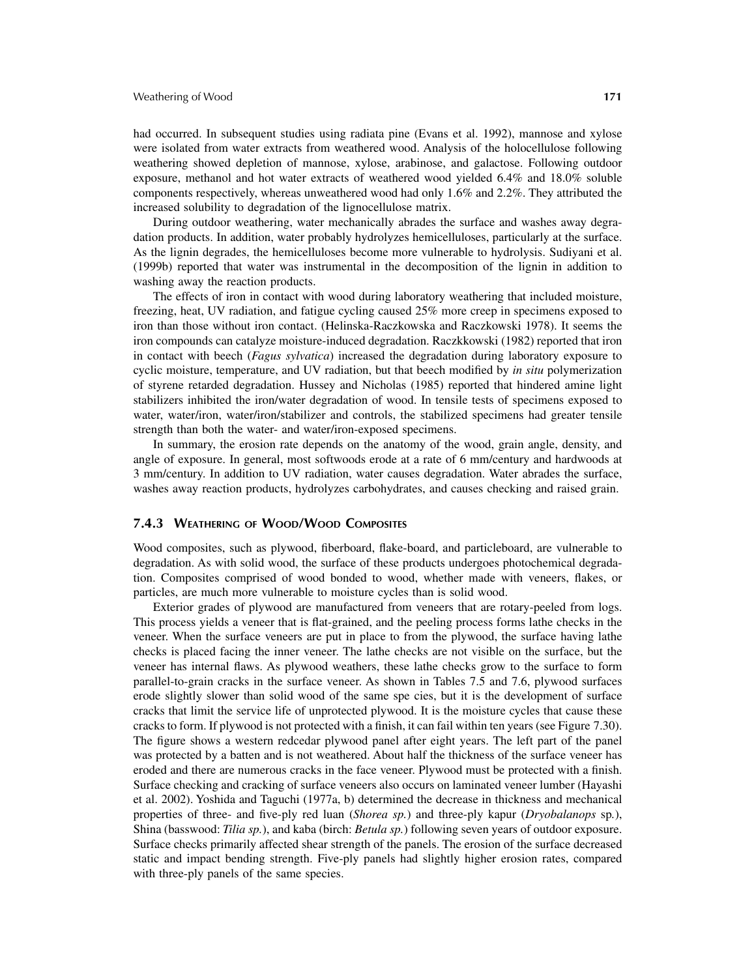had occurred. In subsequent studies using radiata pine (Evans et al. 1992), mannose and xylose were isolated from water extracts from weathered wood. Analysis of the holocellulose following weathering showed depletion of mannose, xylose, arabinose, and galactose. Following outdoor exposure, methanol and hot water extracts of weathered wood yielded 6.4% and 18.0% soluble components respectively, whereas unweathered wood had only 1.6% and 2.2%. They attributed the increased solubility to degradation of the lignocellulose matrix.

During outdoor weathering, water mechanically abrades the surface and washes away degradation products. In addition, water probably hydrolyzes hemicelluloses, particularly at the surface. As the lignin degrades, the hemicelluloses become more vulnerable to hydrolysis. Sudiyani et al. (1999b) reported that water was instrumental in the decomposition of the lignin in addition to washing away the reaction products.

The effects of iron in contact with wood during laboratory weathering that included moisture, freezing, heat, UV radiation, and fatigue cycling caused 25% more creep in specimens exposed to iron than those without iron contact. (Helinska-Raczkowska and Raczkowski 1978). It seems the iron compounds can catalyze moisture-induced degradation. Raczkkowski (1982) reported that iron in contact with beech (*Fagus sylvatica*) increased the degradation during laboratory exposure to cyclic moisture, temperature, and UV radiation, but that beech modified by *in situ* polymerization of styrene retarded degradation. Hussey and Nicholas (1985) reported that hindered amine light stabilizers inhibited the iron/water degradation of wood. In tensile tests of specimens exposed to water, water/iron, water/iron/stabilizer and controls, the stabilized specimens had greater tensile strength than both the water- and water/iron-exposed specimens.

In summary, the erosion rate depends on the anatomy of the wood, grain angle, density, and angle of exposure. In general, most softwoods erode at a rate of 6 mm/century and hardwoods at 3 mm/century. In addition to UV radiation, water causes degradation. Water abrades the surface, washes away reaction products, hydrolyzes carbohydrates, and causes checking and raised grain.

#### **7.4.3 WEATHERING OF WOOD/WOOD COMPOSITES**

Wood composites, such as plywood, fiberboard, flake-board, and particleboard, are vulnerable to degradation. As with solid wood, the surface of these products undergoes photochemical degradation. Composites comprised of wood bonded to wood, whether made with veneers, flakes, or particles, are much more vulnerable to moisture cycles than is solid wood.

Exterior grades of plywood are manufactured from veneers that are rotary-peeled from logs. This process yields a veneer that is flat-grained, and the peeling process forms lathe checks in the veneer. When the surface veneers are put in place to from the plywood, the surface having lathe checks is placed facing the inner veneer. The lathe checks are not visible on the surface, but the veneer has internal flaws. As plywood weathers, these lathe checks grow to the surface to form parallel-to-grain cracks in the surface veneer. As shown in Tables 7.5 and 7.6, plywood surfaces erode slightly slower than solid wood of the same spe cies, but it is the development of surface cracks that limit the service life of unprotected plywood. It is the moisture cycles that cause these cracks to form. If plywood is not protected with a finish, it can fail within ten years (see Figure 7.30). The figure shows a western redcedar plywood panel after eight years. The left part of the panel was protected by a batten and is not weathered. About half the thickness of the surface veneer has eroded and there are numerous cracks in the face veneer. Plywood must be protected with a finish. Surface checking and cracking of surface veneers also occurs on laminated veneer lumber (Hayashi et al. 2002). Yoshida and Taguchi (1977a, b) determined the decrease in thickness and mechanical properties of three- and five-ply red luan (*Shorea sp.*) and three-ply kapur (*Dryobalanops* sp*.*), Shina (basswood: *Tilia sp.*), and kaba (birch: *Betula sp.*) following seven years of outdoor exposure. Surface checks primarily affected shear strength of the panels. The erosion of the surface decreased static and impact bending strength. Five-ply panels had slightly higher erosion rates, compared with three-ply panels of the same species.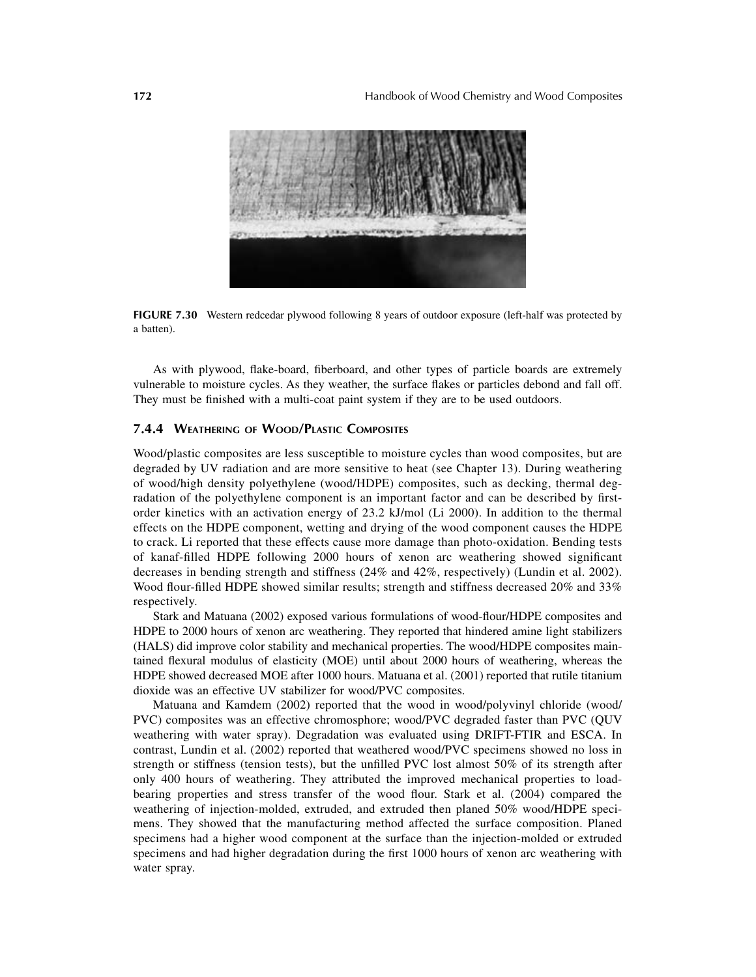

**FIGURE 7.30** Western redcedar plywood following 8 years of outdoor exposure (left-half was protected by a batten).

As with plywood, flake-board, fiberboard, and other types of particle boards are extremely vulnerable to moisture cycles. As they weather, the surface flakes or particles debond and fall off. They must be finished with a multi-coat paint system if they are to be used outdoors.

#### **7.4.4 WEATHERING OF WOOD/PLASTIC COMPOSITES**

Wood/plastic composites are less susceptible to moisture cycles than wood composites, but are degraded by UV radiation and are more sensitive to heat (see Chapter 13). During weathering of wood/high density polyethylene (wood/HDPE) composites, such as decking, thermal degradation of the polyethylene component is an important factor and can be described by firstorder kinetics with an activation energy of 23.2 kJ/mol (Li 2000). In addition to the thermal effects on the HDPE component, wetting and drying of the wood component causes the HDPE to crack. Li reported that these effects cause more damage than photo-oxidation. Bending tests of kanaf-filled HDPE following 2000 hours of xenon arc weathering showed significant decreases in bending strength and stiffness (24% and 42%, respectively) (Lundin et al. 2002). Wood flour-filled HDPE showed similar results; strength and stiffness decreased 20% and 33% respectively.

Stark and Matuana (2002) exposed various formulations of wood-flour/HDPE composites and HDPE to 2000 hours of xenon arc weathering. They reported that hindered amine light stabilizers (HALS) did improve color stability and mechanical properties. The wood/HDPE composites maintained flexural modulus of elasticity (MOE) until about 2000 hours of weathering, whereas the HDPE showed decreased MOE after 1000 hours. Matuana et al. (2001) reported that rutile titanium dioxide was an effective UV stabilizer for wood/PVC composites.

Matuana and Kamdem (2002) reported that the wood in wood/polyvinyl chloride (wood/ PVC) composites was an effective chromosphore; wood/PVC degraded faster than PVC (QUV weathering with water spray). Degradation was evaluated using DRIFT-FTIR and ESCA. In contrast, Lundin et al. (2002) reported that weathered wood/PVC specimens showed no loss in strength or stiffness (tension tests), but the unfilled PVC lost almost 50% of its strength after only 400 hours of weathering. They attributed the improved mechanical properties to loadbearing properties and stress transfer of the wood flour. Stark et al. (2004) compared the weathering of injection-molded, extruded, and extruded then planed 50% wood/HDPE specimens. They showed that the manufacturing method affected the surface composition. Planed specimens had a higher wood component at the surface than the injection-molded or extruded specimens and had higher degradation during the first 1000 hours of xenon arc weathering with water spray.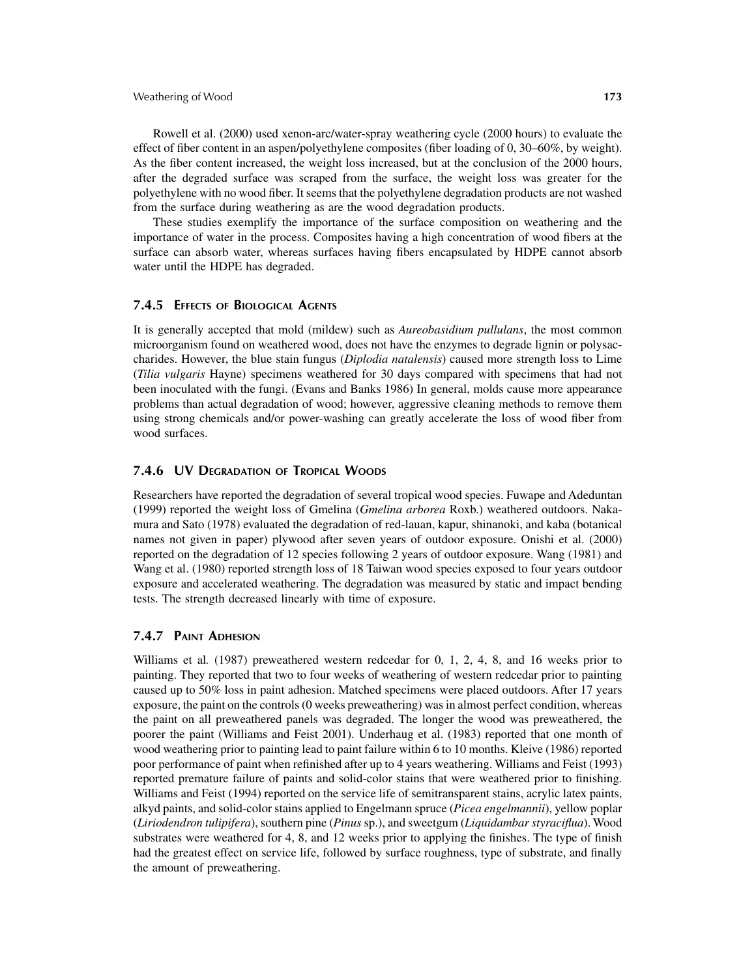Rowell et al. (2000) used xenon-arc/water-spray weathering cycle (2000 hours) to evaluate the effect of fiber content in an aspen/polyethylene composites (fiber loading of 0, 30–60%, by weight). As the fiber content increased, the weight loss increased, but at the conclusion of the 2000 hours, after the degraded surface was scraped from the surface, the weight loss was greater for the polyethylene with no wood fiber. It seems that the polyethylene degradation products are not washed from the surface during weathering as are the wood degradation products.

These studies exemplify the importance of the surface composition on weathering and the importance of water in the process. Composites having a high concentration of wood fibers at the surface can absorb water, whereas surfaces having fibers encapsulated by HDPE cannot absorb water until the HDPE has degraded.

#### **7.4.5 EFFECTS OF BIOLOGICAL AGENTS**

It is generally accepted that mold (mildew) such as *Aureobasidium pullulans*, the most common microorganism found on weathered wood, does not have the enzymes to degrade lignin or polysaccharides. However, the blue stain fungus (*Diplodia natalensis*) caused more strength loss to Lime (*Tilia vulgaris* Hayne) specimens weathered for 30 days compared with specimens that had not been inoculated with the fungi. (Evans and Banks 1986) In general, molds cause more appearance problems than actual degradation of wood; however, aggressive cleaning methods to remove them using strong chemicals and/or power-washing can greatly accelerate the loss of wood fiber from wood surfaces.

## **7.4.6 UV DEGRADATION OF TROPICAL WOODS**

Researchers have reported the degradation of several tropical wood species. Fuwape and Adeduntan (1999) reported the weight loss of Gmelina (*Gmelina arborea* Roxb.) weathered outdoors. Nakamura and Sato (1978) evaluated the degradation of red-lauan, kapur, shinanoki, and kaba (botanical names not given in paper) plywood after seven years of outdoor exposure. Onishi et al. (2000) reported on the degradation of 12 species following 2 years of outdoor exposure. Wang (1981) and Wang et al. (1980) reported strength loss of 18 Taiwan wood species exposed to four years outdoor exposure and accelerated weathering. The degradation was measured by static and impact bending tests. The strength decreased linearly with time of exposure.

#### **7.4.7 PAINT ADHESION**

Williams et al*.* (1987) preweathered western redcedar for 0, 1, 2, 4, 8, and 16 weeks prior to painting. They reported that two to four weeks of weathering of western redcedar prior to painting caused up to 50% loss in paint adhesion. Matched specimens were placed outdoors. After 17 years exposure, the paint on the controls (0 weeks preweathering) was in almost perfect condition, whereas the paint on all preweathered panels was degraded. The longer the wood was preweathered, the poorer the paint (Williams and Feist 2001). Underhaug et al. (1983) reported that one month of wood weathering prior to painting lead to paint failure within 6 to 10 months. Kleive (1986) reported poor performance of paint when refinished after up to 4 years weathering. Williams and Feist (1993) reported premature failure of paints and solid-color stains that were weathered prior to finishing. Williams and Feist (1994) reported on the service life of semitransparent stains, acrylic latex paints, alkyd paints, and solid-color stains applied to Engelmann spruce (*Picea engelmannii*), yellow poplar (*Liriodendron tulipifera*), southern pine (*Pinus* sp.), and sweetgum (*Liquidambar styraciflua*). Wood substrates were weathered for 4, 8, and 12 weeks prior to applying the finishes. The type of finish had the greatest effect on service life, followed by surface roughness, type of substrate, and finally the amount of preweathering.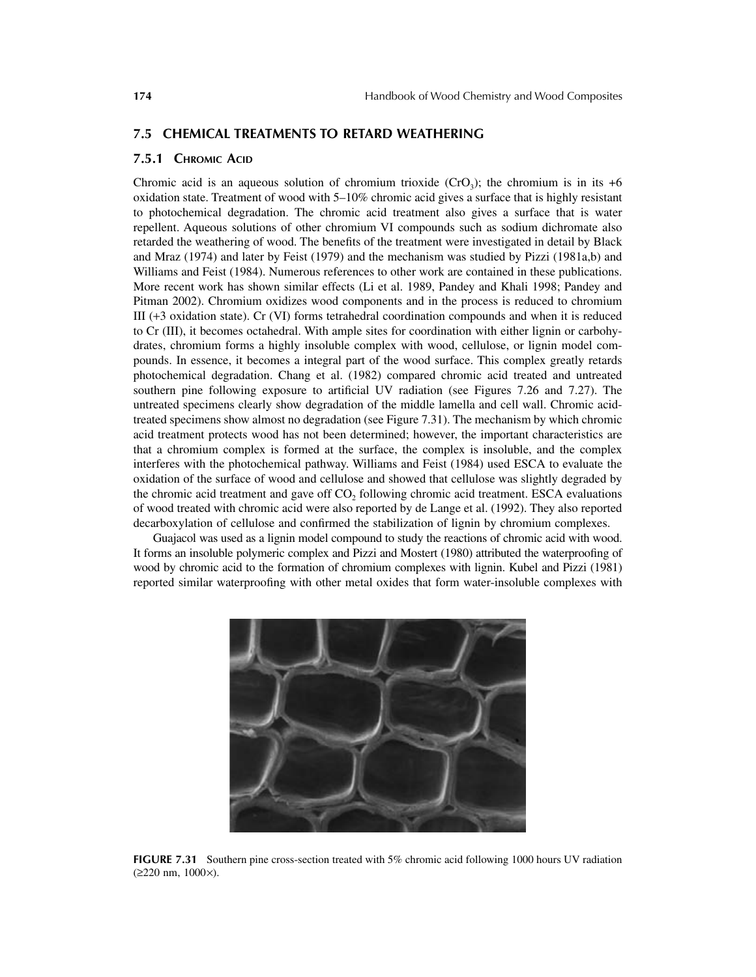## **7.5 CHEMICAL TREATMENTS TO RETARD WEATHERING**

#### **7.5.1 CHROMIC ACID**

Chromic acid is an aqueous solution of chromium trioxide (CrO<sub>3</sub>); the chromium is in its +6 oxidation state. Treatment of wood with 5–10% chromic acid gives a surface that is highly resistant to photochemical degradation. The chromic acid treatment also gives a surface that is water repellent. Aqueous solutions of other chromium VI compounds such as sodium dichromate also retarded the weathering of wood. The benefits of the treatment were investigated in detail by Black and Mraz (1974) and later by Feist (1979) and the mechanism was studied by Pizzi (1981a,b) and Williams and Feist (1984). Numerous references to other work are contained in these publications. More recent work has shown similar effects (Li et al. 1989, Pandey and Khali 1998; Pandey and Pitman 2002). Chromium oxidizes wood components and in the process is reduced to chromium III (+3 oxidation state). Cr (VI) forms tetrahedral coordination compounds and when it is reduced to Cr (III), it becomes octahedral. With ample sites for coordination with either lignin or carbohydrates, chromium forms a highly insoluble complex with wood, cellulose, or lignin model compounds. In essence, it becomes a integral part of the wood surface. This complex greatly retards photochemical degradation. Chang et al. (1982) compared chromic acid treated and untreated southern pine following exposure to artificial UV radiation (see Figures 7.26 and 7.27). The untreated specimens clearly show degradation of the middle lamella and cell wall. Chromic acidtreated specimens show almost no degradation (see Figure 7.31). The mechanism by which chromic acid treatment protects wood has not been determined; however, the important characteristics are that a chromium complex is formed at the surface, the complex is insoluble, and the complex interferes with the photochemical pathway. Williams and Feist (1984) used ESCA to evaluate the oxidation of the surface of wood and cellulose and showed that cellulose was slightly degraded by the chromic acid treatment and gave off CO<sub>2</sub> following chromic acid treatment. ESCA evaluations of wood treated with chromic acid were also reported by de Lange et al. (1992). They also reported decarboxylation of cellulose and confirmed the stabilization of lignin by chromium complexes.

Guajacol was used as a lignin model compound to study the reactions of chromic acid with wood. It forms an insoluble polymeric complex and Pizzi and Mostert (1980) attributed the waterproofing of wood by chromic acid to the formation of chromium complexes with lignin. Kubel and Pizzi (1981) reported similar waterproofing with other metal oxides that form water-insoluble complexes with



**FIGURE 7.31** Southern pine cross-section treated with 5% chromic acid following 1000 hours UV radiation (≥220 nm, 1000×).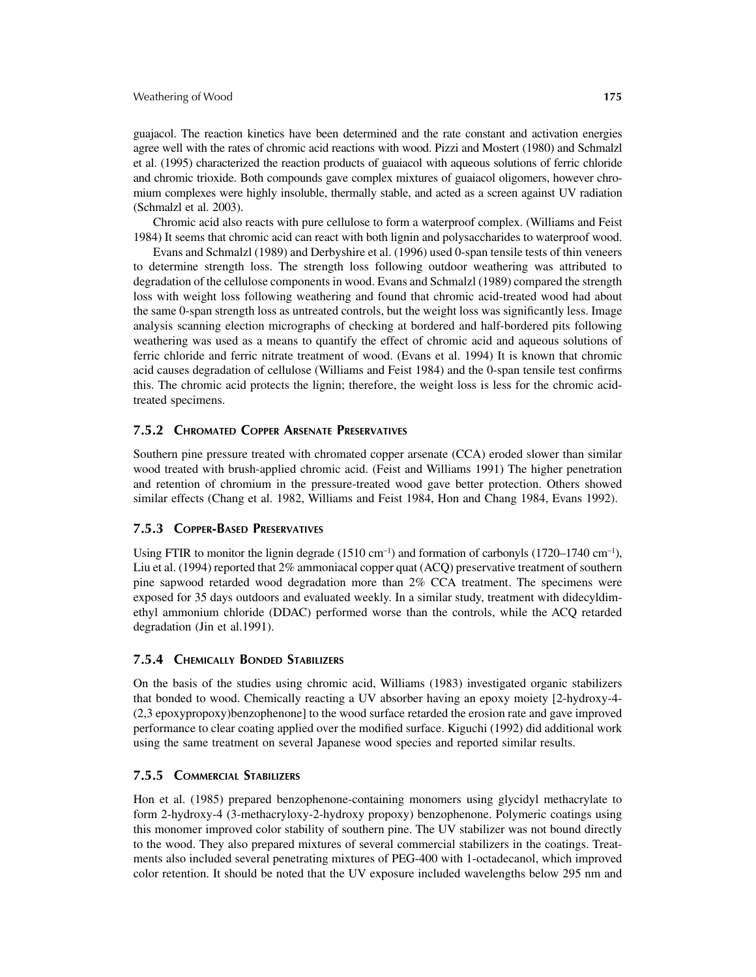guajacol. The reaction kinetics have been determined and the rate constant and activation energies agree well with the rates of chromic acid reactions with wood. Pizzi and Mostert (1980) and Schmalzl et al. (1995) characterized the reaction products of guaiacol with aqueous solutions of ferric chloride and chromic trioxide. Both compounds gave complex mixtures of guaiacol oligomers, however chromium complexes were highly insoluble, thermally stable, and acted as a screen against UV radiation (Schmalzl et al. 2003).

Chromic acid also reacts with pure cellulose to form a waterproof complex. (Williams and Feist 1984) It seems that chromic acid can react with both lignin and polysaccharides to waterproof wood.

Evans and Schmalzl (1989) and Derbyshire et al. (1996) used 0-span tensile tests of thin veneers to determine strength loss. The strength loss following outdoor weathering was attributed to degradation of the cellulose components in wood. Evans and Schmalzl (1989) compared the strength loss with weight loss following weathering and found that chromic acid-treated wood had about the same 0-span strength loss as untreated controls, but the weight loss was significantly less. Image analysis scanning election micrographs of checking at bordered and half-bordered pits following weathering was used as a means to quantify the effect of chromic acid and aqueous solutions of ferric chloride and ferric nitrate treatment of wood. (Evans et al. 1994) It is known that chromic acid causes degradation of cellulose (Williams and Feist 1984) and the 0-span tensile test confirms this. The chromic acid protects the lignin; therefore, the weight loss is less for the chromic acidtreated specimens.

## **7.5.2 CHROMATED COPPER ARSENATE PRESERVATIVES**

Southern pine pressure treated with chromated copper arsenate (CCA) eroded slower than similar wood treated with brush-applied chromic acid. (Feist and Williams 1991) The higher penetration and retention of chromium in the pressure-treated wood gave better protection. Others showed similar effects (Chang et al. 1982, Williams and Feist 1984, Hon and Chang 1984, Evans 1992).

## **7.5.3 COPPER-BASED PRESERVATIVES**

Using FTIR to monitor the lignin degrade (1510 cm<sup>-1</sup>) and formation of carbonyls (1720–1740 cm<sup>-1</sup>), Liu et al. (1994) reported that 2% ammoniacal copper quat (ACQ) preservative treatment of southern pine sapwood retarded wood degradation more than 2% CCA treatment. The specimens were exposed for 35 days outdoors and evaluated weekly. In a similar study, treatment with didecyldimethyl ammonium chloride (DDAC) performed worse than the controls, while the ACQ retarded degradation (Jin et al.1991).

#### **7.5.4 CHEMICALLY BONDED STABILIZERS**

On the basis of the studies using chromic acid, Williams (1983) investigated organic stabilizers that bonded to wood. Chemically reacting a UV absorber having an epoxy moiety [2-hydroxy-4- (2,3 epoxypropoxy)benzophenone] to the wood surface retarded the erosion rate and gave improved performance to clear coating applied over the modified surface. Kiguchi (1992) did additional work using the same treatment on several Japanese wood species and reported similar results.

### **7.5.5 COMMERCIAL STABILIZERS**

Hon et al. (1985) prepared benzophenone-containing monomers using glycidyl methacrylate to form 2-hydroxy-4 (3-methacryloxy-2-hydroxy propoxy) benzophenone. Polymeric coatings using this monomer improved color stability of southern pine. The UV stabilizer was not bound directly to the wood. They also prepared mixtures of several commercial stabilizers in the coatings. Treatments also included several penetrating mixtures of PEG-400 with 1-octadecanol, which improved color retention. It should be noted that the UV exposure included wavelengths below 295 nm and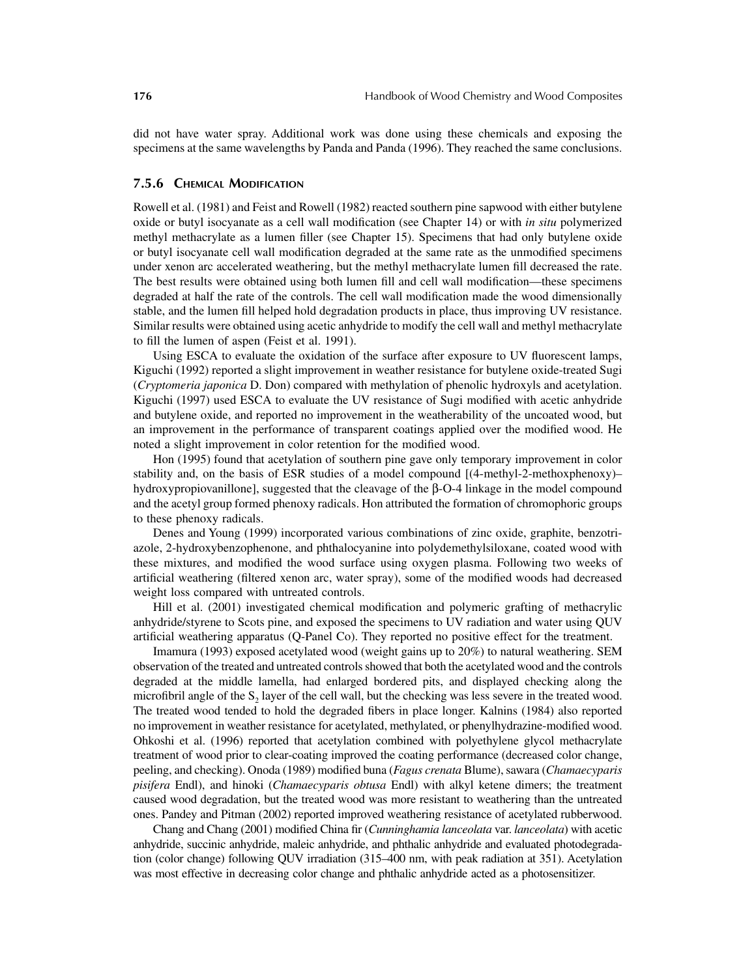did not have water spray. Additional work was done using these chemicals and exposing the specimens at the same wavelengths by Panda and Panda (1996). They reached the same conclusions.

#### **7.5.6 CHEMICAL MODIFICATION**

Rowell et al. (1981) and Feist and Rowell (1982) reacted southern pine sapwood with either butylene oxide or butyl isocyanate as a cell wall modification (see Chapter 14) or with *in situ* polymerized methyl methacrylate as a lumen filler (see Chapter 15). Specimens that had only butylene oxide or butyl isocyanate cell wall modification degraded at the same rate as the unmodified specimens under xenon arc accelerated weathering, but the methyl methacrylate lumen fill decreased the rate. The best results were obtained using both lumen fill and cell wall modification—these specimens degraded at half the rate of the controls. The cell wall modification made the wood dimensionally stable, and the lumen fill helped hold degradation products in place, thus improving UV resistance. Similar results were obtained using acetic anhydride to modify the cell wall and methyl methacrylate to fill the lumen of aspen (Feist et al. 1991).

Using ESCA to evaluate the oxidation of the surface after exposure to UV fluorescent lamps, Kiguchi (1992) reported a slight improvement in weather resistance for butylene oxide-treated Sugi (*Cryptomeria japonica* D. Don) compared with methylation of phenolic hydroxyls and acetylation. Kiguchi (1997) used ESCA to evaluate the UV resistance of Sugi modified with acetic anhydride and butylene oxide, and reported no improvement in the weatherability of the uncoated wood, but an improvement in the performance of transparent coatings applied over the modified wood. He noted a slight improvement in color retention for the modified wood.

Hon (1995) found that acetylation of southern pine gave only temporary improvement in color stability and, on the basis of ESR studies of a model compound [(4-methyl-2-methoxphenoxy)– hydroxypropiovanillone], suggested that the cleavage of the β-O-4 linkage in the model compound and the acetyl group formed phenoxy radicals. Hon attributed the formation of chromophoric groups to these phenoxy radicals.

Denes and Young (1999) incorporated various combinations of zinc oxide, graphite, benzotriazole, 2-hydroxybenzophenone, and phthalocyanine into polydemethylsiloxane, coated wood with these mixtures, and modified the wood surface using oxygen plasma. Following two weeks of artificial weathering (filtered xenon arc, water spray), some of the modified woods had decreased weight loss compared with untreated controls.

Hill et al. (2001) investigated chemical modification and polymeric grafting of methacrylic anhydride/styrene to Scots pine, and exposed the specimens to UV radiation and water using QUV artificial weathering apparatus (Q-Panel Co). They reported no positive effect for the treatment.

Imamura (1993) exposed acetylated wood (weight gains up to 20%) to natural weathering. SEM observation of the treated and untreated controls showed that both the acetylated wood and the controls degraded at the middle lamella, had enlarged bordered pits, and displayed checking along the microfibril angle of the  $S_2$  layer of the cell wall, but the checking was less severe in the treated wood. The treated wood tended to hold the degraded fibers in place longer. Kalnins (1984) also reported no improvement in weather resistance for acetylated, methylated, or phenylhydrazine-modified wood. Ohkoshi et al. (1996) reported that acetylation combined with polyethylene glycol methacrylate treatment of wood prior to clear-coating improved the coating performance (decreased color change, peeling, and checking). Onoda (1989) modified buna (*Fagus crenata* Blume), sawara (*Chamaecyparis pisifera* Endl), and hinoki (*Chamaecyparis obtusa* Endl) with alkyl ketene dimers; the treatment caused wood degradation, but the treated wood was more resistant to weathering than the untreated ones. Pandey and Pitman (2002) reported improved weathering resistance of acetylated rubberwood.

Chang and Chang (2001) modified China fir (*Cunninghamia lanceolata* var. *lanceolata*) with acetic anhydride, succinic anhydride, maleic anhydride, and phthalic anhydride and evaluated photodegradation (color change) following QUV irradiation (315–400 nm, with peak radiation at 351). Acetylation was most effective in decreasing color change and phthalic anhydride acted as a photosensitizer.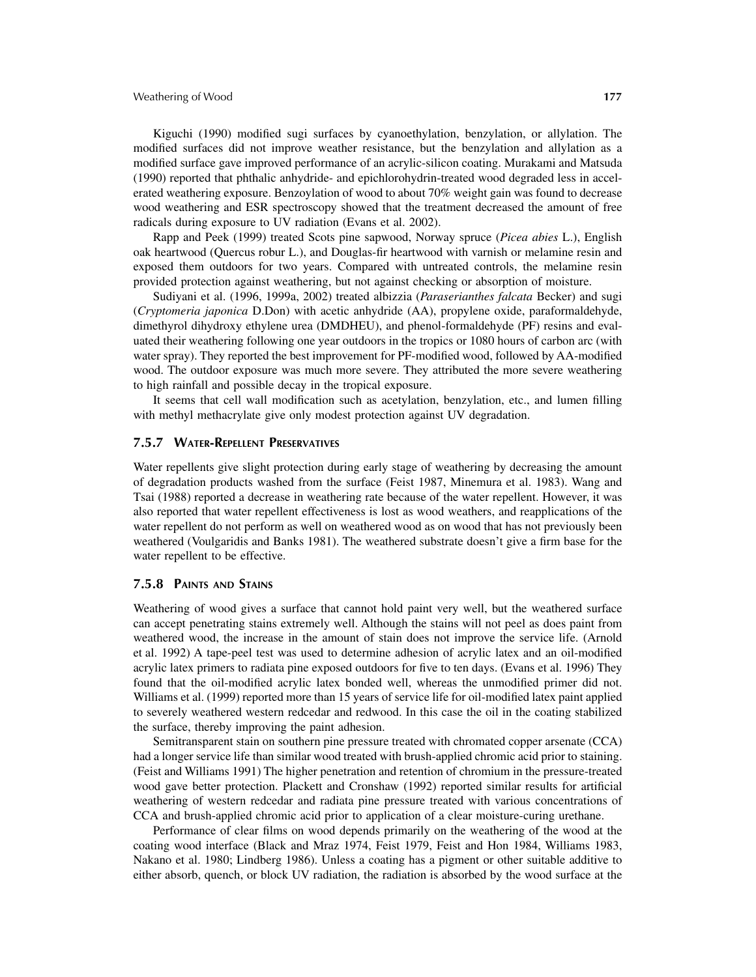Kiguchi (1990) modified sugi surfaces by cyanoethylation, benzylation, or allylation. The modified surfaces did not improve weather resistance, but the benzylation and allylation as a modified surface gave improved performance of an acrylic-silicon coating. Murakami and Matsuda (1990) reported that phthalic anhydride- and epichlorohydrin-treated wood degraded less in accelerated weathering exposure. Benzoylation of wood to about 70% weight gain was found to decrease wood weathering and ESR spectroscopy showed that the treatment decreased the amount of free radicals during exposure to UV radiation (Evans et al. 2002).

Rapp and Peek (1999) treated Scots pine sapwood, Norway spruce (*Picea abies* L.), English oak heartwood (Quercus robur L.), and Douglas-fir heartwood with varnish or melamine resin and exposed them outdoors for two years. Compared with untreated controls, the melamine resin provided protection against weathering, but not against checking or absorption of moisture.

Sudiyani et al. (1996, 1999a, 2002) treated albizzia (*Paraserianthes falcata* Becker) and sugi (*Cryptomeria japonica* D.Don) with acetic anhydride (AA), propylene oxide, paraformaldehyde, dimethyrol dihydroxy ethylene urea (DMDHEU), and phenol-formaldehyde (PF) resins and evaluated their weathering following one year outdoors in the tropics or 1080 hours of carbon arc (with water spray). They reported the best improvement for PF-modified wood, followed by AA-modified wood. The outdoor exposure was much more severe. They attributed the more severe weathering to high rainfall and possible decay in the tropical exposure.

It seems that cell wall modification such as acetylation, benzylation, etc., and lumen filling with methyl methacrylate give only modest protection against UV degradation.

## **7.5.7 WATER-REPELLENT PRESERVATIVES**

Water repellents give slight protection during early stage of weathering by decreasing the amount of degradation products washed from the surface (Feist 1987, Minemura et al. 1983). Wang and Tsai (1988) reported a decrease in weathering rate because of the water repellent. However, it was also reported that water repellent effectiveness is lost as wood weathers, and reapplications of the water repellent do not perform as well on weathered wood as on wood that has not previously been weathered (Voulgaridis and Banks 1981). The weathered substrate doesn't give a firm base for the water repellent to be effective.

#### **7.5.8 PAINTS AND STAINS**

Weathering of wood gives a surface that cannot hold paint very well, but the weathered surface can accept penetrating stains extremely well. Although the stains will not peel as does paint from weathered wood, the increase in the amount of stain does not improve the service life. (Arnold et al. 1992) A tape-peel test was used to determine adhesion of acrylic latex and an oil-modified acrylic latex primers to radiata pine exposed outdoors for five to ten days. (Evans et al. 1996) They found that the oil-modified acrylic latex bonded well, whereas the unmodified primer did not. Williams et al. (1999) reported more than 15 years of service life for oil-modified latex paint applied to severely weathered western redcedar and redwood. In this case the oil in the coating stabilized the surface, thereby improving the paint adhesion.

Semitransparent stain on southern pine pressure treated with chromated copper arsenate (CCA) had a longer service life than similar wood treated with brush-applied chromic acid prior to staining. (Feist and Williams 1991) The higher penetration and retention of chromium in the pressure-treated wood gave better protection. Plackett and Cronshaw (1992) reported similar results for artificial weathering of western redcedar and radiata pine pressure treated with various concentrations of CCA and brush-applied chromic acid prior to application of a clear moisture-curing urethane.

Performance of clear films on wood depends primarily on the weathering of the wood at the coating wood interface (Black and Mraz 1974, Feist 1979, Feist and Hon 1984, Williams 1983, Nakano et al. 1980; Lindberg 1986). Unless a coating has a pigment or other suitable additive to either absorb, quench, or block UV radiation, the radiation is absorbed by the wood surface at the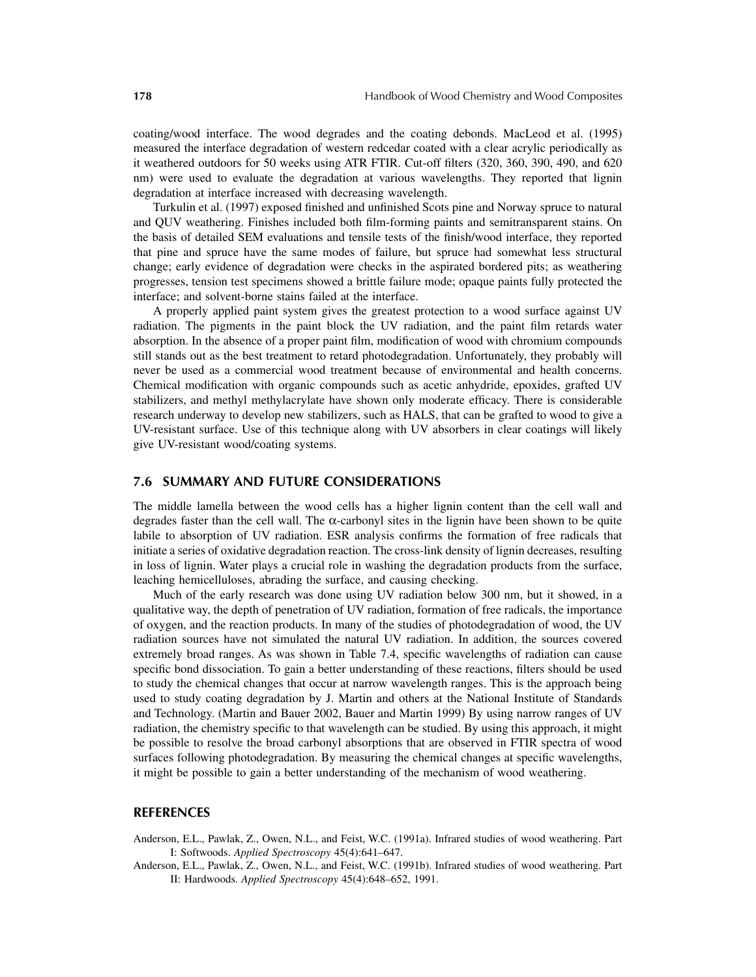coating/wood interface. The wood degrades and the coating debonds. MacLeod et al. (1995) measured the interface degradation of western redcedar coated with a clear acrylic periodically as it weathered outdoors for 50 weeks using ATR FTIR. Cut-off filters (320, 360, 390, 490, and 620 nm) were used to evaluate the degradation at various wavelengths. They reported that lignin degradation at interface increased with decreasing wavelength.

Turkulin et al. (1997) exposed finished and unfinished Scots pine and Norway spruce to natural and QUV weathering. Finishes included both film-forming paints and semitransparent stains. On the basis of detailed SEM evaluations and tensile tests of the finish/wood interface, they reported that pine and spruce have the same modes of failure, but spruce had somewhat less structural change; early evidence of degradation were checks in the aspirated bordered pits; as weathering progresses, tension test specimens showed a brittle failure mode; opaque paints fully protected the interface; and solvent-borne stains failed at the interface.

A properly applied paint system gives the greatest protection to a wood surface against UV radiation. The pigments in the paint block the UV radiation, and the paint film retards water absorption. In the absence of a proper paint film, modification of wood with chromium compounds still stands out as the best treatment to retard photodegradation. Unfortunately, they probably will never be used as a commercial wood treatment because of environmental and health concerns. Chemical modification with organic compounds such as acetic anhydride, epoxides, grafted UV stabilizers, and methyl methylacrylate have shown only moderate efficacy. There is considerable research underway to develop new stabilizers, such as HALS, that can be grafted to wood to give a UV-resistant surface. Use of this technique along with UV absorbers in clear coatings will likely give UV-resistant wood/coating systems.

## **7.6 SUMMARY AND FUTURE CONSIDERATIONS**

The middle lamella between the wood cells has a higher lignin content than the cell wall and degrades faster than the cell wall. The α-carbonyl sites in the lignin have been shown to be quite labile to absorption of UV radiation. ESR analysis confirms the formation of free radicals that initiate a series of oxidative degradation reaction. The cross-link density of lignin decreases, resulting in loss of lignin. Water plays a crucial role in washing the degradation products from the surface, leaching hemicelluloses, abrading the surface, and causing checking.

Much of the early research was done using UV radiation below 300 nm, but it showed, in a qualitative way, the depth of penetration of UV radiation, formation of free radicals, the importance of oxygen, and the reaction products. In many of the studies of photodegradation of wood, the UV radiation sources have not simulated the natural UV radiation. In addition, the sources covered extremely broad ranges. As was shown in Table 7.4, specific wavelengths of radiation can cause specific bond dissociation. To gain a better understanding of these reactions, filters should be used to study the chemical changes that occur at narrow wavelength ranges. This is the approach being used to study coating degradation by J. Martin and others at the National Institute of Standards and Technology. (Martin and Bauer 2002, Bauer and Martin 1999) By using narrow ranges of UV radiation, the chemistry specific to that wavelength can be studied. By using this approach, it might be possible to resolve the broad carbonyl absorptions that are observed in FTIR spectra of wood surfaces following photodegradation. By measuring the chemical changes at specific wavelengths, it might be possible to gain a better understanding of the mechanism of wood weathering.

#### **REFERENCES**

- Anderson, E.L., Pawlak, Z., Owen, N.L., and Feist, W.C. (1991a). Infrared studies of wood weathering. Part I: Softwoods. *Applied Spectroscopy* 45(4):641–647.
- Anderson, E.L., Pawlak, Z., Owen, N.L., and Feist, W.C. (1991b). Infrared studies of wood weathering. Part II: Hardwoods. *Applied Spectroscopy* 45(4):648–652, 1991.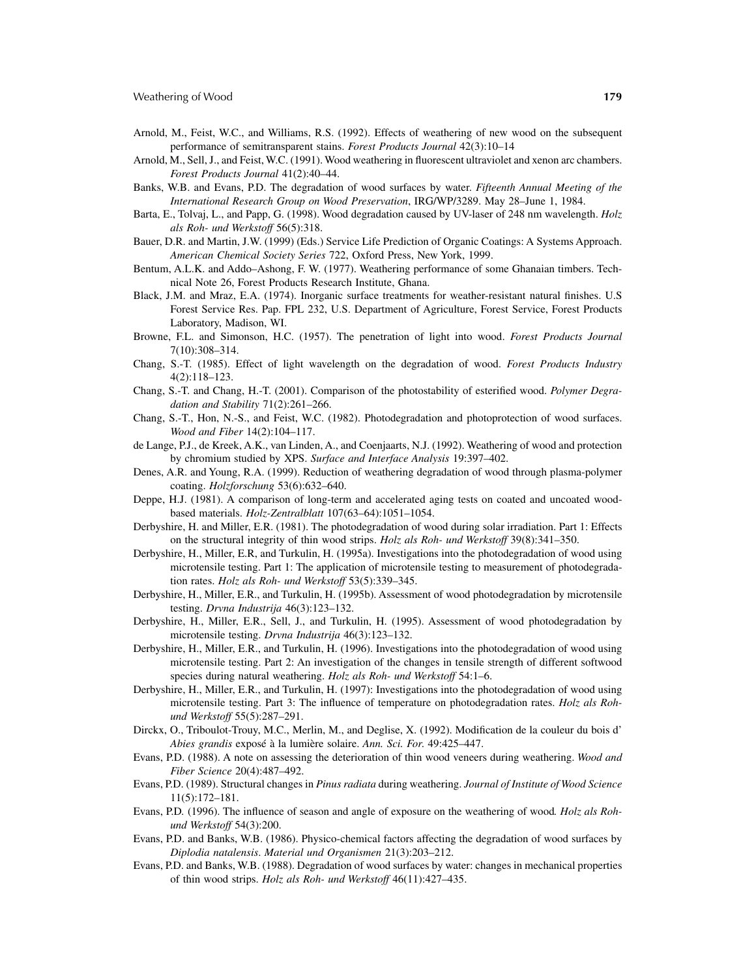- Arnold, M., Feist, W.C., and Williams, R.S. (1992). Effects of weathering of new wood on the subsequent performance of semitransparent stains. *Forest Products Journal* 42(3):10–14
- Arnold, M., Sell, J., and Feist, W.C. (1991). Wood weathering in fluorescent ultraviolet and xenon arc chambers. *Forest Products Journal* 41(2):40–44.
- Banks, W.B. and Evans, P.D. The degradation of wood surfaces by water. *Fifteenth Annual Meeting of the International Research Group on Wood Preservation*, IRG/WP/3289. May 28–June 1, 1984.
- Barta, E., Tolvaj, L., and Papp, G. (1998). Wood degradation caused by UV-laser of 248 nm wavelength. *Holz als Roh- und Werkstoff* 56(5):318.
- Bauer, D.R. and Martin, J.W. (1999) (Eds.) Service Life Prediction of Organic Coatings: A Systems Approach. *American Chemical Society Series* 722, Oxford Press, New York, 1999.
- Bentum, A.L.K. and Addo–Ashong, F. W. (1977). Weathering performance of some Ghanaian timbers. Technical Note 26, Forest Products Research Institute, Ghana.
- Black, J.M. and Mraz, E.A. (1974). Inorganic surface treatments for weather-resistant natural finishes. U.S Forest Service Res. Pap. FPL 232, U.S. Department of Agriculture, Forest Service, Forest Products Laboratory, Madison, WI.
- Browne, F.L. and Simonson, H.C. (1957). The penetration of light into wood. *Forest Products Journal*  7(10):308–314.
- Chang, S.-T. (1985). Effect of light wavelength on the degradation of wood. *Forest Products Industry*  4(2):118–123.
- Chang, S.-T. and Chang, H.-T. (2001). Comparison of the photostability of esterified wood. *Polymer Degradation and Stability* 71(2):261–266.
- Chang, S.-T., Hon, N.-S., and Feist, W.C. (1982). Photodegradation and photoprotection of wood surfaces. *Wood and Fiber* 14(2):104–117.
- de Lange, P.J., de Kreek, A.K., van Linden, A., and Coenjaarts, N.J. (1992). Weathering of wood and protection by chromium studied by XPS. *Surface and Interface Analysis* 19:397–402.
- Denes, A.R. and Young, R.A. (1999). Reduction of weathering degradation of wood through plasma-polymer coating. *Holzforschung* 53(6):632–640.
- Deppe, H.J. (1981). A comparison of long-term and accelerated aging tests on coated and uncoated woodbased materials. *Holz-Zentralblatt* 107(63–64):1051–1054.
- Derbyshire, H. and Miller, E.R. (1981). The photodegradation of wood during solar irradiation. Part 1: Effects on the structural integrity of thin wood strips. *Holz als Roh- und Werkstoff* 39(8):341–350.
- Derbyshire, H., Miller, E.R, and Turkulin, H. (1995a). Investigations into the photodegradation of wood using microtensile testing. Part 1: The application of microtensile testing to measurement of photodegradation rates. *Holz als Roh- und Werkstoff* 53(5):339–345.
- Derbyshire, H., Miller, E.R., and Turkulin, H. (1995b). Assessment of wood photodegradation by microtensile testing. *Drvna Industrija* 46(3):123–132.
- Derbyshire, H., Miller, E.R., Sell, J., and Turkulin, H. (1995). Assessment of wood photodegradation by microtensile testing. *Drvna Industrija* 46(3):123–132.
- Derbyshire, H., Miller, E.R., and Turkulin, H. (1996). Investigations into the photodegradation of wood using microtensile testing. Part 2: An investigation of the changes in tensile strength of different softwood species during natural weathering. *Holz als Roh- und Werkstoff* 54:1–6.
- Derbyshire, H., Miller, E.R., and Turkulin, H. (1997): Investigations into the photodegradation of wood using microtensile testing. Part 3: The influence of temperature on photodegradation rates. *Holz als Rohund Werkstoff* 55(5):287–291.
- Dirckx, O., Triboulot-Trouy, M.C., Merlin, M., and Deglise, X. (1992). Modification de la couleur du bois d' *Abies grandis* exposé à la lumière solaire. *Ann. Sci. For*. 49:425–447.
- Evans, P.D. (1988). A note on assessing the deterioration of thin wood veneers during weathering. *Wood and Fiber Science* 20(4):487–492.
- Evans, P.D. (1989). Structural changes in *Pinus radiata* during weathering. *Journal of Institute of Wood Science*  11(5):172–181.
- Evans, P.D*.* (1996). The influence of season and angle of exposure on the weathering of wood*. Holz als Rohund Werkstoff* 54(3):200.
- Evans, P.D. and Banks, W.B. (1986). Physico-chemical factors affecting the degradation of wood surfaces by *Diplodia natalensis*. *Material und Organismen* 21(3):203–212.
- Evans, P.D. and Banks, W.B. (1988). Degradation of wood surfaces by water: changes in mechanical properties of thin wood strips. *Holz als Roh- und Werkstoff* 46(11):427–435.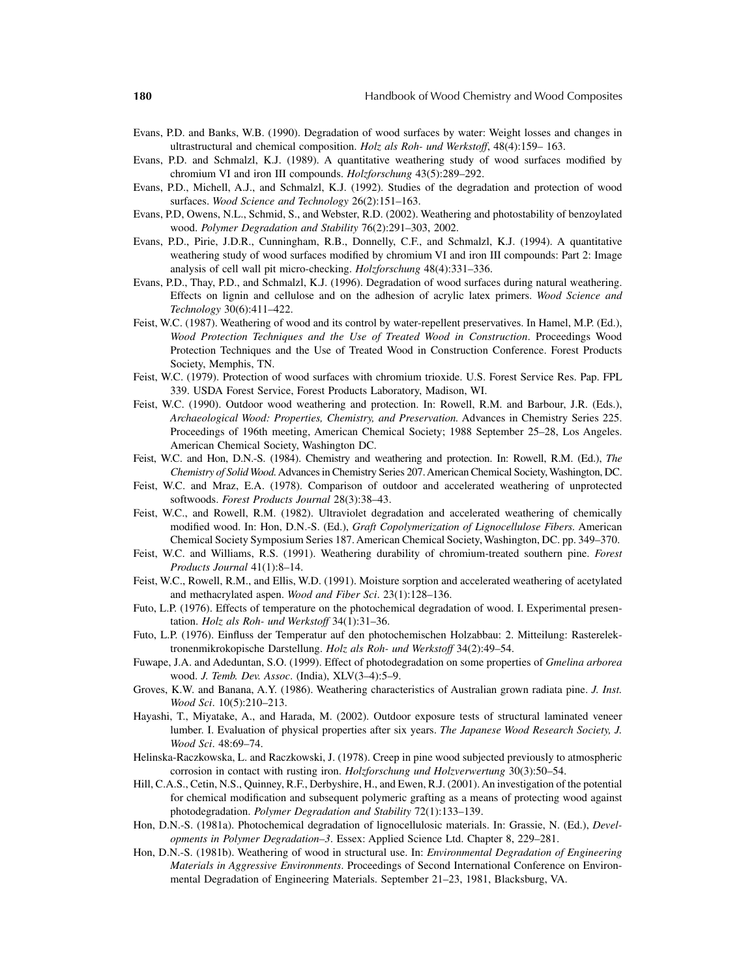- Evans, P.D. and Banks, W.B. (1990). Degradation of wood surfaces by water: Weight losses and changes in ultrastructural and chemical composition. *Holz als Roh- und Werkstoff*, 48(4):159– 163.
- Evans, P.D. and Schmalzl, K.J. (1989). A quantitative weathering study of wood surfaces modified by chromium VI and iron III compounds. *Holzforschung* 43(5):289–292.
- Evans, P.D., Michell, A.J., and Schmalzl, K.J. (1992). Studies of the degradation and protection of wood surfaces. *Wood Science and Technology* 26(2):151–163.
- Evans, P.D, Owens, N.L., Schmid, S., and Webster, R.D. (2002). Weathering and photostability of benzoylated wood. *Polymer Degradation and Stability* 76(2):291–303, 2002.
- Evans, P.D., Pirie, J.D.R., Cunningham, R.B., Donnelly, C.F., and Schmalzl, K.J. (1994). A quantitative weathering study of wood surfaces modified by chromium VI and iron III compounds: Part 2: Image analysis of cell wall pit micro-checking. *Holzforschung* 48(4):331–336.
- Evans, P.D., Thay, P.D., and Schmalzl, K.J. (1996). Degradation of wood surfaces during natural weathering. Effects on lignin and cellulose and on the adhesion of acrylic latex primers. *Wood Science and Technology* 30(6):411–422.
- Feist, W.C. (1987). Weathering of wood and its control by water-repellent preservatives. In Hamel, M.P. (Ed.), *Wood Protection Techniques and the Use of Treated Wood in Construction*. Proceedings Wood Protection Techniques and the Use of Treated Wood in Construction Conference. Forest Products Society, Memphis, TN.
- Feist, W.C. (1979). Protection of wood surfaces with chromium trioxide. U.S. Forest Service Res. Pap. FPL 339. USDA Forest Service, Forest Products Laboratory, Madison, WI.
- Feist, W.C. (1990). Outdoor wood weathering and protection. In: Rowell, R.M. and Barbour, J.R. (Eds.), *Archaeological Wood: Properties, Chemistry, and Preservation.* Advances in Chemistry Series 225. Proceedings of 196th meeting, American Chemical Society; 1988 September 25–28, Los Angeles. American Chemical Society, Washington DC.
- Feist, W.C. and Hon, D.N.-S. (1984). Chemistry and weathering and protection. In: Rowell, R.M. (Ed.), *The Chemistry of Solid Wood.* Advances in Chemistry Series 207. American Chemical Society, Washington, DC.
- Feist, W.C. and Mraz, E.A. (1978). Comparison of outdoor and accelerated weathering of unprotected softwoods. *Forest Products Journal* 28(3):38–43.
- Feist, W.C., and Rowell, R.M. (1982). Ultraviolet degradation and accelerated weathering of chemically modified wood. In: Hon, D.N.-S. (Ed.), *Graft Copolymerization of Lignocellulose Fibers.* American Chemical Society Symposium Series 187. American Chemical Society, Washington, DC. pp. 349–370.
- Feist, W.C. and Williams, R.S. (1991). Weathering durability of chromium-treated southern pine. *Forest Products Journal* 41(1):8–14.
- Feist, W.C., Rowell, R.M., and Ellis, W.D. (1991). Moisture sorption and accelerated weathering of acetylated and methacrylated aspen. *Wood and Fiber Sci*. 23(1):128–136.
- Futo, L.P. (1976). Effects of temperature on the photochemical degradation of wood. I. Experimental presentation. *Holz als Roh- und Werkstoff* 34(1):31–36.
- Futo, L.P. (1976). Einfluss der Temperatur auf den photochemischen Holzabbau: 2. Mitteilung: Rasterelektronenmikrokopische Darstellung. *Holz als Roh- und Werkstoff* 34(2):49–54.
- Fuwape, J.A. and Adeduntan, S.O. (1999). Effect of photodegradation on some properties of *Gmelina arborea*  wood. *J. Temb. Dev. Assoc*. (India), XLV(3–4):5–9.
- Groves, K.W. and Banana, A.Y. (1986). Weathering characteristics of Australian grown radiata pine. *J. Inst. Wood Sci*. 10(5):210–213.
- Hayashi, T., Miyatake, A., and Harada, M. (2002). Outdoor exposure tests of structural laminated veneer lumber. I. Evaluation of physical properties after six years. *The Japanese Wood Research Society, J. Wood Sci*. 48:69–74.
- Helinska-Raczkowska, L. and Raczkowski, J. (1978). Creep in pine wood subjected previously to atmospheric corrosion in contact with rusting iron. *Holzforschung und Holzverwertung* 30(3):50–54.
- Hill, C.A.S., Cetin, N.S., Quinney, R.F., Derbyshire, H., and Ewen, R.J. (2001). An investigation of the potential for chemical modification and subsequent polymeric grafting as a means of protecting wood against photodegradation. *Polymer Degradation and Stability* 72(1):133–139.
- Hon, D.N.-S. (1981a). Photochemical degradation of lignocellulosic materials. In: Grassie, N. (Ed.), *Developments in Polymer Degradation–3*. Essex: Applied Science Ltd. Chapter 8, 229–281.
- Hon, D.N.-S. (1981b). Weathering of wood in structural use. In: *Environmental Degradation of Engineering Materials in Aggressive Environments*. Proceedings of Second International Conference on Environmental Degradation of Engineering Materials. September 21–23, 1981, Blacksburg, VA.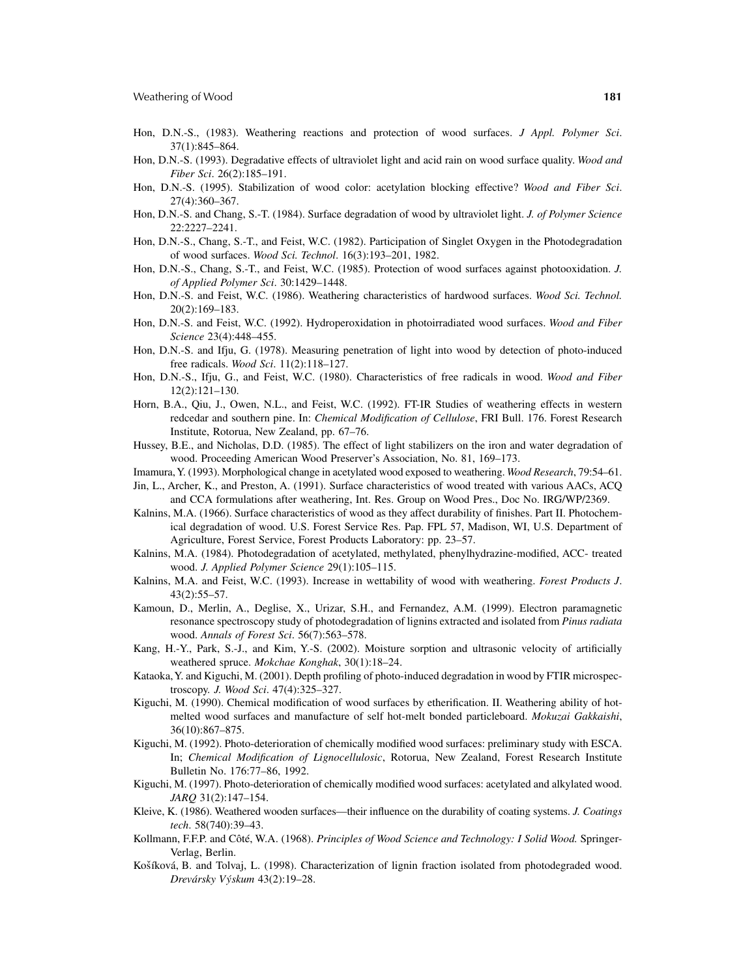Weathering of Wood **181** 

- Hon, D.N.-S., (1983). Weathering reactions and protection of wood surfaces. *J Appl. Polymer Sci*. 37(1):845–864.
- Hon, D.N.-S. (1993). Degradative effects of ultraviolet light and acid rain on wood surface quality. *Wood and Fiber Sci*. 26(2):185–191.
- Hon, D.N.-S. (1995). Stabilization of wood color: acetylation blocking effective? *Wood and Fiber Sci*. 27(4):360–367.
- Hon, D.N.-S. and Chang, S.-T. (1984). Surface degradation of wood by ultraviolet light. *J. of Polymer Science*  22:2227–2241.
- Hon, D.N.-S., Chang, S.-T., and Feist, W.C. (1982). Participation of Singlet Oxygen in the Photodegradation of wood surfaces. *Wood Sci. Technol*. 16(3):193–201, 1982.
- Hon, D.N.-S., Chang, S.-T., and Feist, W.C. (1985). Protection of wood surfaces against photooxidation. *J. of Applied Polymer Sci*. 30:1429–1448.
- Hon, D.N.-S. and Feist, W.C. (1986). Weathering characteristics of hardwood surfaces. *Wood Sci. Technol.*  20(2):169–183.
- Hon, D.N.-S. and Feist, W.C. (1992). Hydroperoxidation in photoirradiated wood surfaces. *Wood and Fiber Science* 23(4):448–455.
- Hon, D.N.-S. and Ifju, G. (1978). Measuring penetration of light into wood by detection of photo-induced free radicals. *Wood Sci*. 11(2):118–127.
- Hon, D.N.-S., Ifju, G., and Feist, W.C. (1980). Characteristics of free radicals in wood. *Wood and Fiber*  12(2):121–130.
- Horn, B.A., Qiu, J., Owen, N.L., and Feist, W.C. (1992). FT-IR Studies of weathering effects in western redcedar and southern pine. In: *Chemical Modification of Cellulose*, FRI Bull. 176. Forest Research Institute, Rotorua, New Zealand, pp. 67–76.
- Hussey, B.E., and Nicholas, D.D. (1985). The effect of light stabilizers on the iron and water degradation of wood. Proceeding American Wood Preserver's Association, No. 81, 169–173.
- Imamura, Y. (1993). Morphological change in acetylated wood exposed to weathering. *Wood Research*, 79:54–61.
- Jin, L., Archer, K., and Preston, A. (1991). Surface characteristics of wood treated with various AACs, ACQ and CCA formulations after weathering, Int. Res. Group on Wood Pres., Doc No. IRG/WP/2369.
- Kalnins, M.A. (1966). Surface characteristics of wood as they affect durability of finishes. Part II. Photochemical degradation of wood. U.S. Forest Service Res. Pap. FPL 57, Madison, WI, U.S. Department of Agriculture, Forest Service, Forest Products Laboratory: pp. 23–57.
- Kalnins, M.A. (1984). Photodegradation of acetylated, methylated, phenylhydrazine-modified, ACC- treated wood. *J. Applied Polymer Science* 29(1):105–115.
- Kalnins, M.A. and Feist, W.C. (1993). Increase in wettability of wood with weathering. *Forest Products J*. 43(2):55–57.
- Kamoun, D., Merlin, A., Deglise, X., Urizar, S.H., and Fernandez, A.M. (1999). Electron paramagnetic resonance spectroscopy study of photodegradation of lignins extracted and isolated from *Pinus radiata*  wood. *Annals of Forest Sci*. 56(7):563–578.
- Kang, H.-Y., Park, S.-J., and Kim, Y.-S. (2002). Moisture sorption and ultrasonic velocity of artificially weathered spruce. *Mokchae Konghak*, 30(1):18–24.
- Kataoka, Y. and Kiguchi, M. (2001). Depth profiling of photo-induced degradation in wood by FTIR microspectroscopy*. J. Wood Sci*. 47(4):325–327.
- Kiguchi, M. (1990). Chemical modification of wood surfaces by etherification. II. Weathering ability of hotmelted wood surfaces and manufacture of self hot-melt bonded particleboard. *Mokuzai Gakkaishi*, 36(10):867–875.
- Kiguchi, M. (1992). Photo-deterioration of chemically modified wood surfaces: preliminary study with ESCA. In; *Chemical Modification of Lignocellulosic*, Rotorua, New Zealand, Forest Research Institute Bulletin No. 176:77–86, 1992.
- Kiguchi, M. (1997). Photo-deterioration of chemically modified wood surfaces: acetylated and alkylated wood. *JARQ* 31(2):147–154.
- Kleive, K. (1986). Weathered wooden surfaces—their influence on the durability of coating systems. *J. Coatings tech*. 58(740):39–43.
- Kollmann, F.F.P. and Côté, W.A. (1968). *Principles of Wood Science and Technology: I Solid Wood.* Springer-Verlag, Berlin.
- Košíková, B. and Tolvaj, L. (1998). Characterization of lignin fraction isolated from photodegraded wood. *Drevársky V skum y´* 43(2):19–28.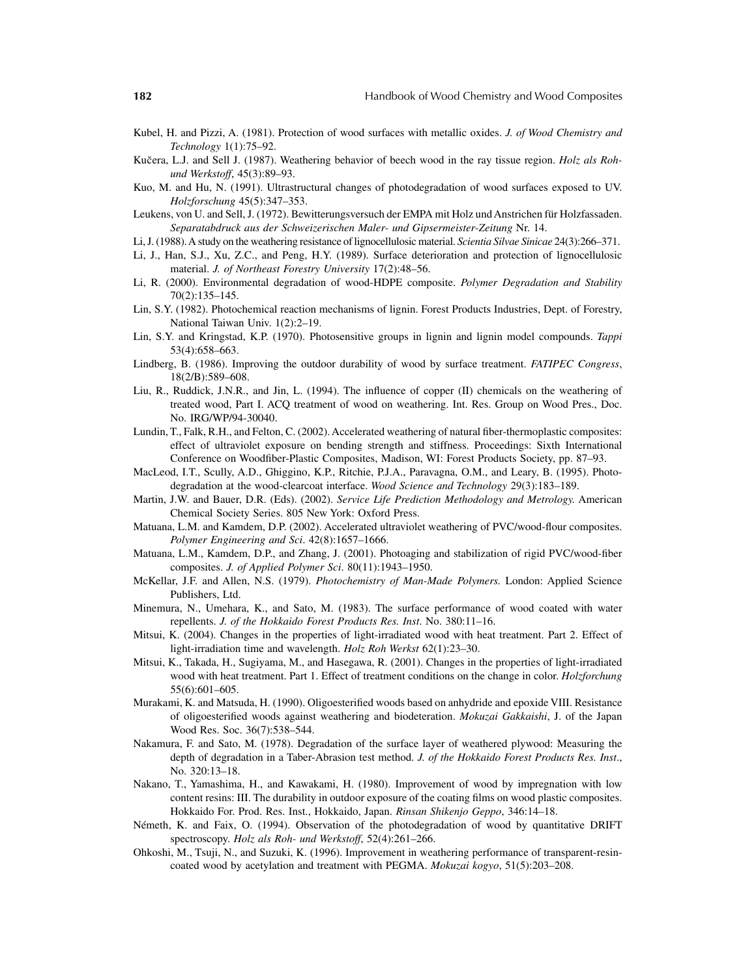- Kubel, H. and Pizzi, A. (1981). Protection of wood surfaces with metallic oxides. *J. of Wood Chemistry and Technology* 1(1):75–92.
- Kučera, L.J. and Sell J. (1987). Weathering behavior of beech wood in the ray tissue region. *Holz als Rohund Werkstoff*, 45(3):89–93.
- Kuo, M. and Hu, N. (1991). Ultrastructural changes of photodegradation of wood surfaces exposed to UV. *Holzforschung* 45(5):347–353.
- Leukens, von U. and Sell, J. (1972). Bewitterungsversuch der EMPA mit Holz und Anstrichen für Holzfassaden. *Separatabdruck aus der Schweizerischen Maler- und Gipsermeister-Zeitung* Nr. 14.
- Li, J. (1988). A study on the weathering resistance of lignocellulosic material. *Scientia Silvae Sinicae* 24(3):266–371.
- Li, J., Han, S.J., Xu, Z.C., and Peng, H.Y. (1989). Surface deterioration and protection of lignocellulosic material. *J. of Northeast Forestry University* 17(2):48–56.
- Li, R. (2000). Environmental degradation of wood-HDPE composite. *Polymer Degradation and Stability*  70(2):135–145.
- Lin, S.Y. (1982). Photochemical reaction mechanisms of lignin. Forest Products Industries, Dept. of Forestry, National Taiwan Univ. 1(2):2–19.
- Lin, S.Y. and Kringstad, K.P. (1970). Photosensitive groups in lignin and lignin model compounds. *Tappi*  53(4):658–663.
- Lindberg, B. (1986). Improving the outdoor durability of wood by surface treatment. *FATIPEC Congress*, 18(2/B):589–608.
- Liu, R., Ruddick, J.N.R., and Jin, L. (1994). The influence of copper (II) chemicals on the weathering of treated wood, Part I. ACQ treatment of wood on weathering. Int. Res. Group on Wood Pres., Doc. No. IRG/WP/94-30040.
- Lundin, T., Falk, R.H., and Felton, C. (2002). Accelerated weathering of natural fiber-thermoplastic composites: effect of ultraviolet exposure on bending strength and stiffness. Proceedings: Sixth International Conference on Woodfiber-Plastic Composites, Madison, WI: Forest Products Society, pp. 87–93.
- MacLeod, I.T., Scully, A.D., Ghiggino, K.P., Ritchie, P.J.A., Paravagna, O.M., and Leary, B. (1995). Photodegradation at the wood-clearcoat interface. *Wood Science and Technology* 29(3):183–189.
- Martin, J.W. and Bauer, D.R. (Eds). (2002). *Service Life Prediction Methodology and Metrology.* American Chemical Society Series. 805 New York: Oxford Press.
- Matuana, L.M. and Kamdem, D.P. (2002). Accelerated ultraviolet weathering of PVC/wood-flour composites. *Polymer Engineering and Sci*. 42(8):1657–1666.
- Matuana, L.M., Kamdem, D.P., and Zhang, J. (2001). Photoaging and stabilization of rigid PVC/wood-fiber composites. *J. of Applied Polymer Sci*. 80(11):1943–1950.
- McKellar, J.F. and Allen, N.S. (1979). *Photochemistry of Man-Made Polymers.* London: Applied Science Publishers, Ltd.
- Minemura, N., Umehara, K., and Sato, M. (1983). The surface performance of wood coated with water repellents. *J. of the Hokkaido Forest Products Res. Inst*. No. 380:11–16.
- Mitsui, K. (2004). Changes in the properties of light-irradiated wood with heat treatment. Part 2. Effect of light-irradiation time and wavelength. *Holz Roh Werkst* 62(1):23–30.
- Mitsui, K., Takada, H., Sugiyama, M., and Hasegawa, R. (2001). Changes in the properties of light-irradiated wood with heat treatment. Part 1. Effect of treatment conditions on the change in color. *Holzforchung*  55(6):601–605.
- Murakami, K. and Matsuda, H. (1990). Oligoesterified woods based on anhydride and epoxide VIII. Resistance of oligoesterified woods against weathering and biodeteration. *Mokuzai Gakkaishi*, J. of the Japan Wood Res. Soc. 36(7):538–544.
- Nakamura, F. and Sato, M. (1978). Degradation of the surface layer of weathered plywood: Measuring the depth of degradation in a Taber-Abrasion test method. *J. of the Hokkaido Forest Products Res. Inst*., No. 320:13–18.
- Nakano, T., Yamashima, H., and Kawakami, H. (1980). Improvement of wood by impregnation with low content resins: III. The durability in outdoor exposure of the coating films on wood plastic composites. Hokkaido For. Prod. Res. Inst., Hokkaido, Japan. *Rinsan Shikenjo Geppo*, 346:14–18.
- Németh, K. and Faix, O. (1994). Observation of the photodegradation of wood by quantitative DRIFT spectroscopy. *Holz als Roh- und Werkstoff*, 52(4):261–266.
- Ohkoshi, M., Tsuji, N., and Suzuki, K. (1996). Improvement in weathering performance of transparent-resincoated wood by acetylation and treatment with PEGMA. *Mokuzai kogyo*, 51(5):203–208.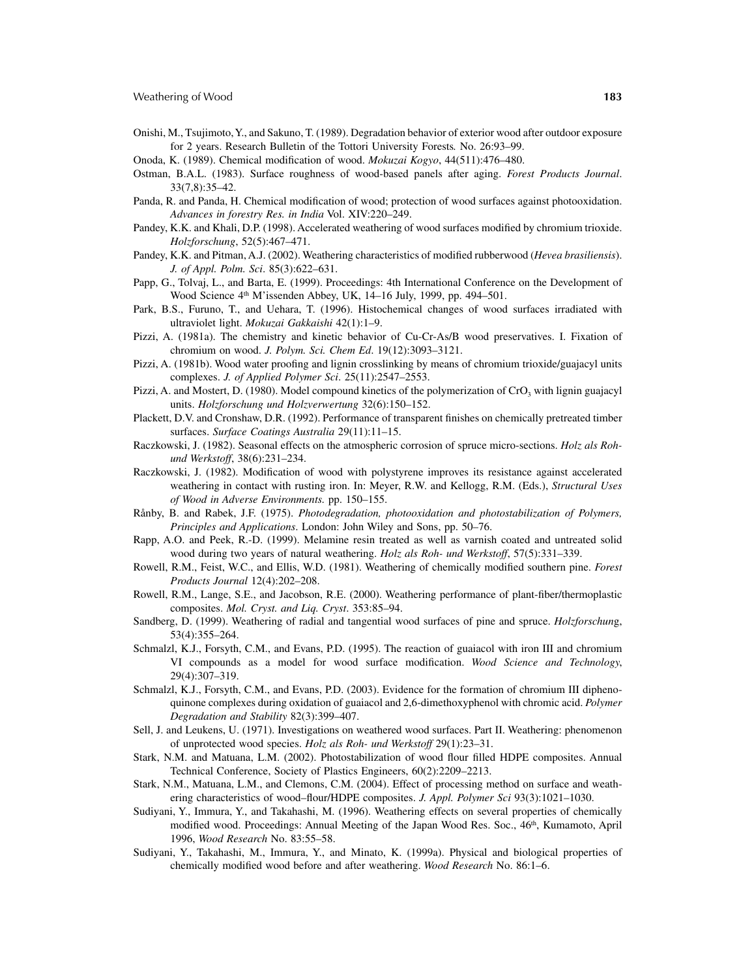- Onishi, M., Tsujimoto, Y., and Sakuno, T. (1989). Degradation behavior of exterior wood after outdoor exposure for 2 years. Research Bulletin of the Tottori University Forests*.* No. 26:93–99.
- Onoda, K. (1989). Chemical modification of wood. *Mokuzai Kogyo*, 44(511):476–480.
- Ostman, B.A.L. (1983). Surface roughness of wood-based panels after aging. *Forest Products Journal*. 33(7,8):35–42.
- Panda, R. and Panda, H. Chemical modification of wood; protection of wood surfaces against photooxidation. *Advances in forestry Res. in India* Vol. XIV:220–249.
- Pandey, K.K. and Khali, D.P. (1998). Accelerated weathering of wood surfaces modified by chromium trioxide. *Holzforschung*, 52(5):467–471.
- Pandey, K.K. and Pitman, A.J. (2002). Weathering characteristics of modified rubberwood (*Hevea brasiliensis*). *J. of Appl. Polm. Sci*. 85(3):622–631.
- Papp, G., Tolvaj, L., and Barta, E. (1999). Proceedings: 4th International Conference on the Development of Wood Science 4<sup>th</sup> M'issenden Abbey, UK, 14–16 July, 1999, pp. 494–501.
- Park, B.S., Furuno, T., and Uehara, T. (1996). Histochemical changes of wood surfaces irradiated with ultraviolet light. *Mokuzai Gakkaishi* 42(1):1–9.
- Pizzi, A. (1981a). The chemistry and kinetic behavior of Cu-Cr-As/B wood preservatives. I. Fixation of chromium on wood. *J. Polym. Sci. Chem Ed*. 19(12):3093–3121.
- Pizzi, A. (1981b). Wood water proofing and lignin crosslinking by means of chromium trioxide/guajacyl units complexes. *J. of Applied Polymer Sci*. 25(11):2547–2553.
- Pizzi, A. and Mostert, D. (1980). Model compound kinetics of the polymerization of  $CrO<sub>3</sub>$  with lignin guajacyl units. *Holzforschung und Holzverwertung* 32(6):150–152.
- Plackett, D.V. and Cronshaw, D.R. (1992). Performance of transparent finishes on chemically pretreated timber surfaces. *Surface Coatings Australia* 29(11):11–15.
- Raczkowski, J. (1982). Seasonal effects on the atmospheric corrosion of spruce micro-sections. *Holz als Rohund Werkstoff*, 38(6):231–234.
- Raczkowski, J. (1982). Modification of wood with polystyrene improves its resistance against accelerated weathering in contact with rusting iron. In: Meyer, R.W. and Kellogg, R.M. (Eds.), *Structural Uses of Wood in Adverse Environments.* pp. 150–155.
- Rånby, B. and Rabek, J.F. (1975). *Photodegradation, photooxidation and photostabilization of Polymers, Principles and Applications*. London: John Wiley and Sons, pp. 50–76.
- Rapp, A.O. and Peek, R.-D. (1999). Melamine resin treated as well as varnish coated and untreated solid wood during two years of natural weathering. *Holz als Roh- und Werkstoff*, 57(5):331–339.
- Rowell, R.M., Feist, W.C., and Ellis, W.D. (1981). Weathering of chemically modified southern pine. *Forest Products Journal* 12(4):202–208.
- Rowell, R.M., Lange, S.E., and Jacobson, R.E. (2000). Weathering performance of plant-fiber/thermoplastic composites. *Mol. Cryst. and Liq. Cryst*. 353:85–94.
- Sandberg, D. (1999). Weathering of radial and tangential wood surfaces of pine and spruce. *Holzforschun*g, 53(4):355–264.
- Schmalzl, K.J., Forsyth, C.M., and Evans, P.D. (1995). The reaction of guaiacol with iron III and chromium VI compounds as a model for wood surface modification. *Wood Science and Technology*, 29(4):307–319.
- Schmalzl, K.J., Forsyth, C.M., and Evans, P.D. (2003). Evidence for the formation of chromium III diphenoquinone complexes during oxidation of guaiacol and 2,6-dimethoxyphenol with chromic acid. *Polymer Degradation and Stability* 82(3):399–407.
- Sell, J. and Leukens, U. (1971). Investigations on weathered wood surfaces. Part II. Weathering: phenomenon of unprotected wood species. *Holz als Roh- und Werkstoff* 29(1):23–31.
- Stark, N.M. and Matuana, L.M. (2002). Photostabilization of wood flour filled HDPE composites. Annual Technical Conference, Society of Plastics Engineers, 60(2):2209–2213.
- Stark, N.M., Matuana, L.M., and Clemons, C.M. (2004). Effect of processing method on surface and weathering characteristics of wood–flour/HDPE composites. *J. Appl. Polymer Sci* 93(3):1021–1030.
- Sudiyani, Y., Immura, Y., and Takahashi, M. (1996). Weathering effects on several properties of chemically modified wood. Proceedings: Annual Meeting of the Japan Wood Res. Soc., 46<sup>th</sup>, Kumamoto, April 1996, *Wood Research* No. 83:55–58.
- Sudiyani, Y., Takahashi, M., Immura, Y., and Minato, K. (1999a). Physical and biological properties of chemically modified wood before and after weathering. *Wood Research* No. 86:1–6.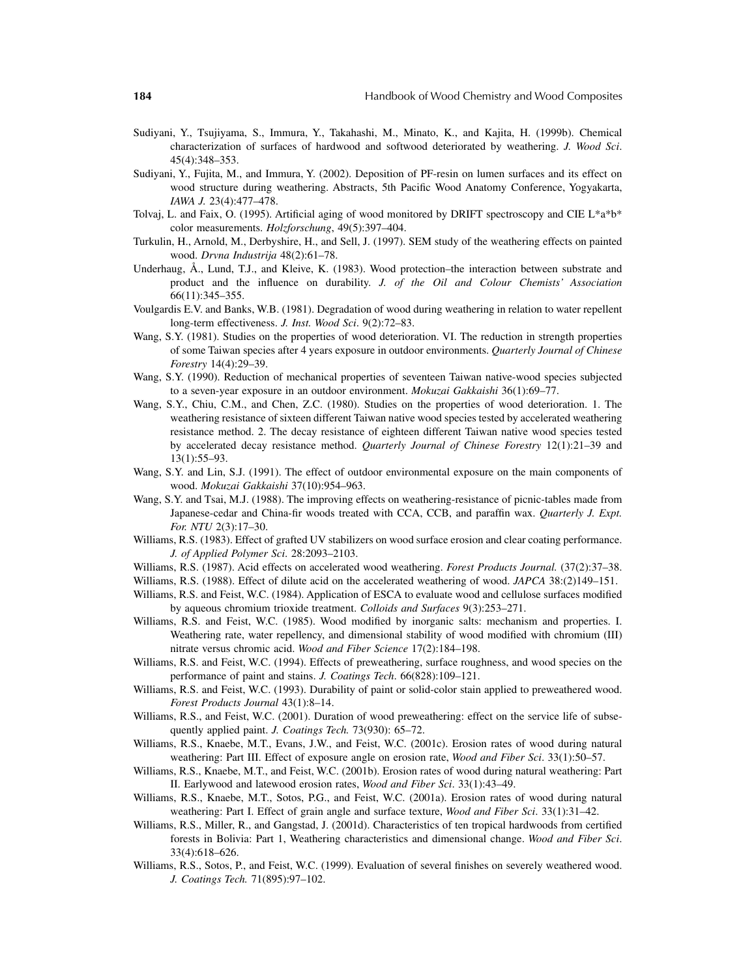- Sudiyani, Y., Tsujiyama, S., Immura, Y., Takahashi, M., Minato, K., and Kajita, H. (1999b). Chemical characterization of surfaces of hardwood and softwood deteriorated by weathering. *J. Wood Sci*. 45(4):348–353.
- Sudiyani, Y., Fujita, M., and Immura, Y. (2002). Deposition of PF-resin on lumen surfaces and its effect on wood structure during weathering. Abstracts, 5th Pacific Wood Anatomy Conference, Yogyakarta, *IAWA J.* 23(4):477–478.
- Tolvaj, L. and Faix, O. (1995). Artificial aging of wood monitored by DRIFT spectroscopy and CIE L\*a\*b\* color measurements. *Holzforschung*, 49(5):397–404.
- Turkulin, H., Arnold, M., Derbyshire, H., and Sell, J. (1997). SEM study of the weathering effects on painted wood. *Drvna Industrija* 48(2):61–78.
- Underhaug, Å., Lund, T.J., and Kleive, K. (1983). Wood protection–the interaction between substrate and product and the influence on durability. *J. of the Oil and Colour Chemists' Association*  66(11):345–355.
- Voulgardis E.V. and Banks, W.B. (1981). Degradation of wood during weathering in relation to water repellent long-term effectiveness. *J. Inst. Wood Sci*. 9(2):72–83.
- Wang, S.Y. (1981). Studies on the properties of wood deterioration. VI. The reduction in strength properties of some Taiwan species after 4 years exposure in outdoor environments. *Quarterly Journal of Chinese Forestry* 14(4):29–39.
- Wang, S.Y. (1990). Reduction of mechanical properties of seventeen Taiwan native-wood species subjected to a seven-year exposure in an outdoor environment. *Mokuzai Gakkaishi* 36(1):69–77.
- Wang, S.Y., Chiu, C.M., and Chen, Z.C. (1980). Studies on the properties of wood deterioration. 1. The weathering resistance of sixteen different Taiwan native wood species tested by accelerated weathering resistance method. 2. The decay resistance of eighteen different Taiwan native wood species tested by accelerated decay resistance method. *Quarterly Journal of Chinese Forestry* 12(1):21–39 and 13(1):55–93.
- Wang, S.Y. and Lin, S.J. (1991). The effect of outdoor environmental exposure on the main components of wood. *Mokuzai Gakkaishi* 37(10):954–963.
- Wang, S.Y. and Tsai, M.J. (1988). The improving effects on weathering-resistance of picnic-tables made from Japanese-cedar and China-fir woods treated with CCA, CCB, and paraffin wax. *Quarterly J. Expt. For. NTU* 2(3):17–30.
- Williams, R.S. (1983). Effect of grafted UV stabilizers on wood surface erosion and clear coating performance. *J. of Applied Polymer Sci*. 28:2093–2103.
- Williams, R.S. (1987). Acid effects on accelerated wood weathering. *Forest Products Journal.* (37(2):37–38.
- Williams, R.S. (1988). Effect of dilute acid on the accelerated weathering of wood. *JAPCA* 38:(2)149–151. Williams, R.S. and Feist, W.C. (1984). Application of ESCA to evaluate wood and cellulose surfaces modified
- by aqueous chromium trioxide treatment. *Colloids and Surfaces* 9(3):253–271.
- Williams, R.S. and Feist, W.C. (1985). Wood modified by inorganic salts: mechanism and properties. I. Weathering rate, water repellency, and dimensional stability of wood modified with chromium (III) nitrate versus chromic acid. *Wood and Fiber Science* 17(2):184–198.
- Williams, R.S. and Feist, W.C. (1994). Effects of preweathering, surface roughness, and wood species on the performance of paint and stains. *J. Coatings Tech*. 66(828):109–121.
- Williams, R.S. and Feist, W.C. (1993). Durability of paint or solid-color stain applied to preweathered wood. *Forest Products Journal* 43(1):8–14.
- Williams, R.S., and Feist, W.C. (2001). Duration of wood preweathering: effect on the service life of subsequently applied paint. *J. Coatings Tech.* 73(930): 65–72.
- Williams, R.S., Knaebe, M.T., Evans, J.W., and Feist, W.C. (2001c). Erosion rates of wood during natural weathering: Part III. Effect of exposure angle on erosion rate, *Wood and Fiber Sci*. 33(1):50–57.
- Williams, R.S., Knaebe, M.T., and Feist, W.C. (2001b). Erosion rates of wood during natural weathering: Part II. Earlywood and latewood erosion rates, *Wood and Fiber Sci*. 33(1):43–49.
- Williams, R.S., Knaebe, M.T., Sotos, P.G., and Feist, W.C. (2001a). Erosion rates of wood during natural weathering: Part I. Effect of grain angle and surface texture, *Wood and Fiber Sci*. 33(1):31–42.
- Williams, R.S., Miller, R., and Gangstad, J. (2001d). Characteristics of ten tropical hardwoods from certified forests in Bolivia: Part 1, Weathering characteristics and dimensional change. *Wood and Fiber Sci*. 33(4):618–626.
- Williams, R.S., Sotos, P., and Feist, W.C. (1999). Evaluation of several finishes on severely weathered wood. *J. Coatings Tech.* 71(895):97–102.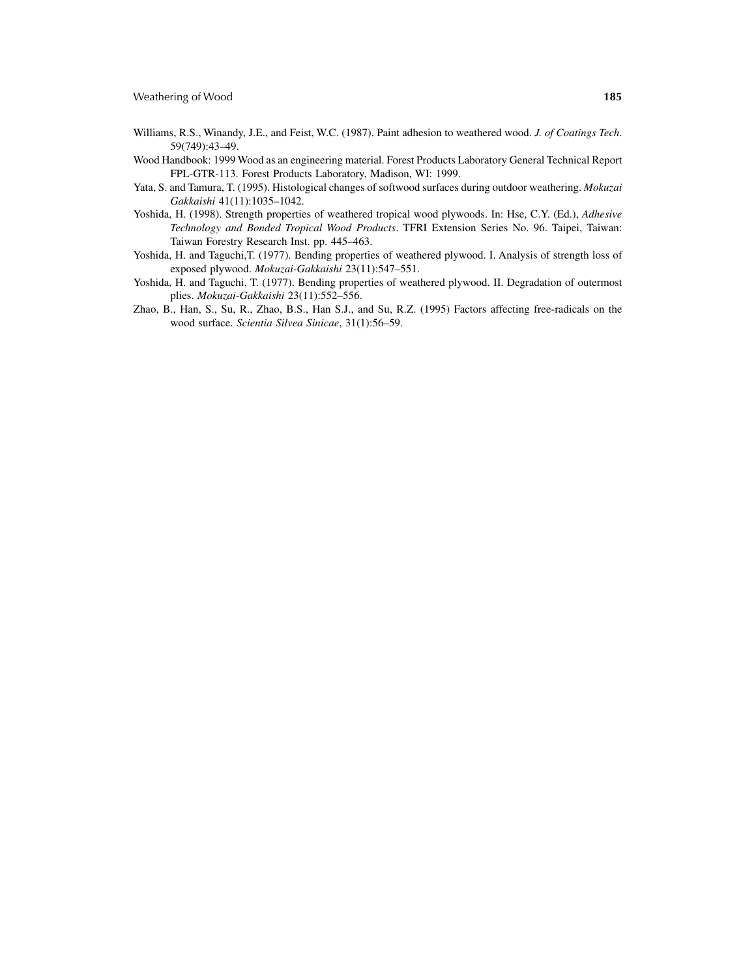- Williams, R.S., Winandy, J.E., and Feist, W.C. (1987). Paint adhesion to weathered wood. *J. of Coatings Tech*. 59(749):43–49.
- Wood Handbook: 1999 Wood as an engineering material. Forest Products Laboratory General Technical Report FPL-GTR-113. Forest Products Laboratory, Madison, WI: 1999.
- Yata, S. and Tamura, T. (1995). Histological changes of softwood surfaces during outdoor weathering. *Mokuzai Gakkaishi* 41(11):1035–1042.
- Yoshida, H. (1998). Strength properties of weathered tropical wood plywoods. In: Hse, C.Y. (Ed.), *Adhesive Technology and Bonded Tropical Wood Products*. TFRI Extension Series No. 96. Taipei, Taiwan: Taiwan Forestry Research Inst. pp. 445–463.
- Yoshida, H. and Taguchi,T. (1977). Bending properties of weathered plywood. I. Analysis of strength loss of exposed plywood. *Mokuzai-Gakkaishi* 23(11):547–551.
- Yoshida, H. and Taguchi, T. (1977). Bending properties of weathered plywood. II. Degradation of outermost plies. *Mokuzai-Gakkaishi* 23(11):552–556.
- Zhao, B., Han, S., Su, R., Zhao, B.S., Han S.J., and Su, R.Z. (1995) Factors affecting free-radicals on the wood surface. *Scientia Silvea Sinicae*, 31(1):56–59.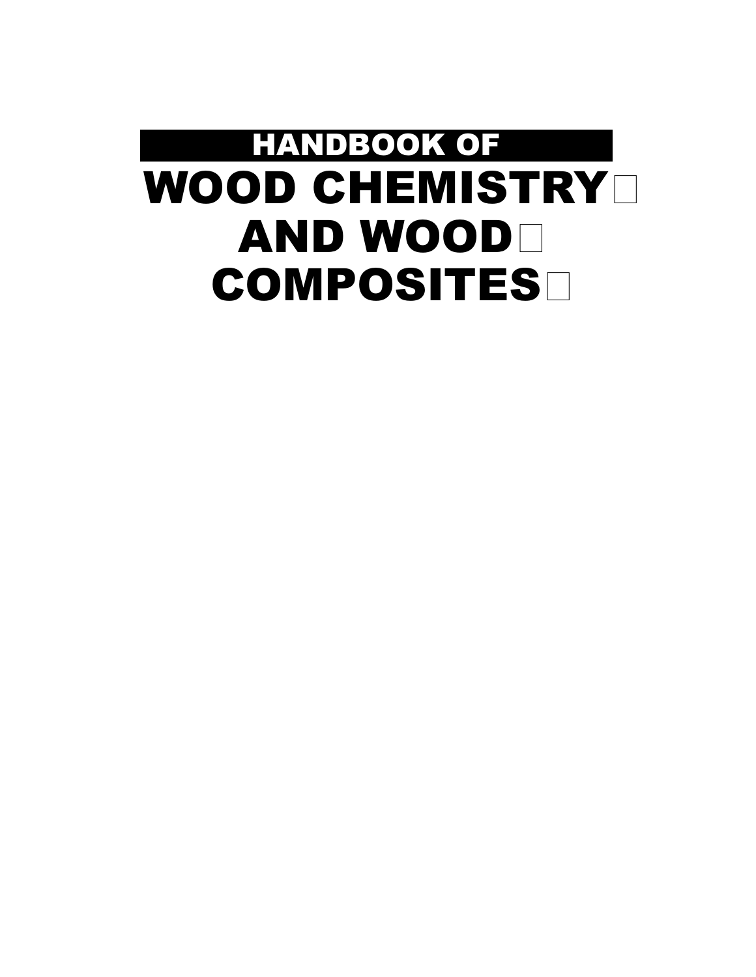# HANDBOOK OF WOOD CHEMISTRYD AND WOOD $\Box$ **COMPOSITES**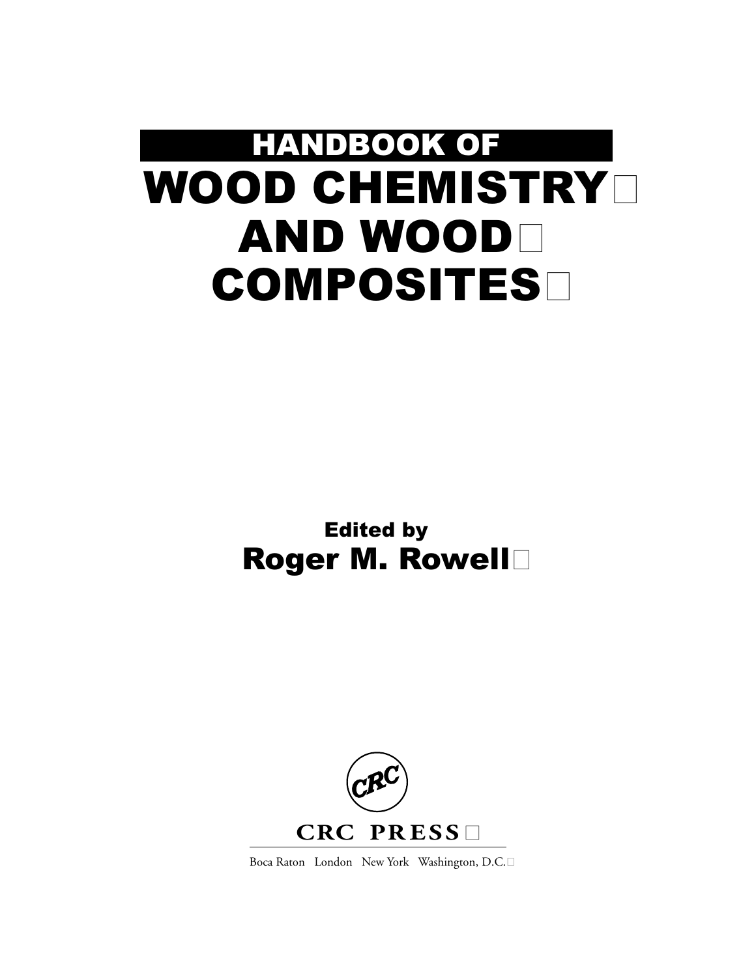# HANDBOOK OF WOOD CHEMISTRYD AND WOOD $\Box$ **COMPOSITES**

Edited by Roger M. Rowell<sup>[1]</sup>



Boca Raton London New York Washington, D.C.